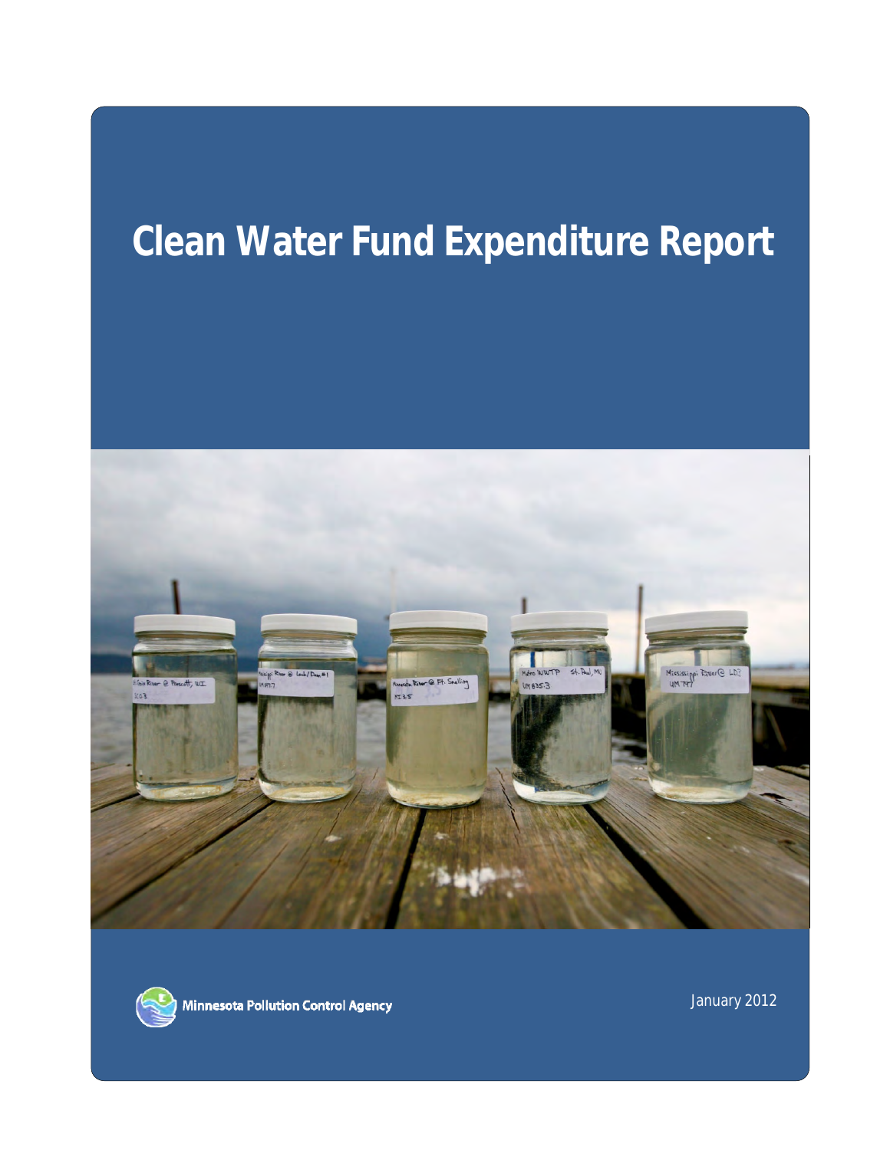# **Clean Water Fund Expenditure Report**





Minnesota Pollution Control Agency

January 2012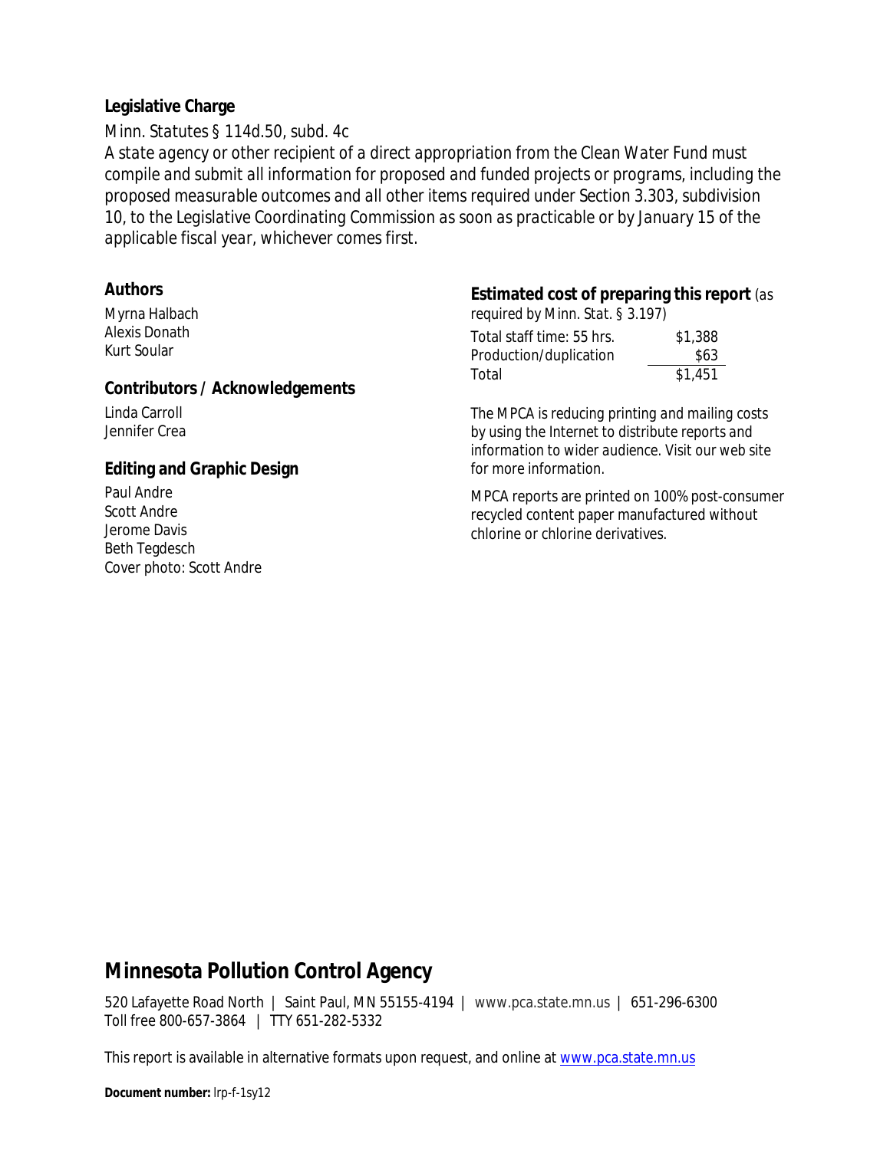#### **Legislative Charge**

*Minn. Statutes § 114d.50, subd. 4c* 

*A state agency or other recipient of a direct appropriation from the Clean Water Fund must compile and submit all information for proposed and funded projects or programs, including the proposed measurable outcomes and all other items required under Section [3.303, subdivision](https://www.revisor.mn.gov/statutes?id=3.303#stat.3.303.10)  [10](https://www.revisor.mn.gov/statutes?id=3.303#stat.3.303.10), to the Legislative Coordinating Commission as soon as practicable or by January 15 of the applicable fiscal year, whichever comes first.* 

#### Contributors / Acknowledgements

#### **Editing and Graphic Design** *for more information.*

Beth Tegdesch Cover photo: Scott Andre

#### **Authors Estimated cost of preparing this report** *(as*

Myrna Halbach *required by Minn. Stat. § 3.197)* 

| Alexis Donath                                                            | Total staff time: 55 hrs. | \$1,388 |
|--------------------------------------------------------------------------|---------------------------|---------|
| Kurt Soular                                                              | Production/duplication    | \$63    |
| $\Omega$ . The state of $\Lambda$ and the state of the state of $\Omega$ | Total                     | \$1.451 |

Linda Carroll *The MPCA is reducing printing and mailing costs*  Jennifer Crea *by using the Internet to distribute reports and information to wider audience. Visit our web site* 

Paul Andre<br>Scott Andre MPCA reports are printed on 100% post-consumer<br>Fecycled content paper manufactured without Scott Andre recycled content paper manufactured without<br>Jerome Davis chlorine or chlorine derivatives.

### **Minnesota Pollution Control Agency**

520 Lafayette Road North | Saint Paul, MN 55155-4194 | www.pca.state.mn.us | 651-296-6300 Toll free 800-657-3864 | TTY 651-282-5332

This report is available in alternative formats upon request, and online at <u>www.pca.state.mn.us</u>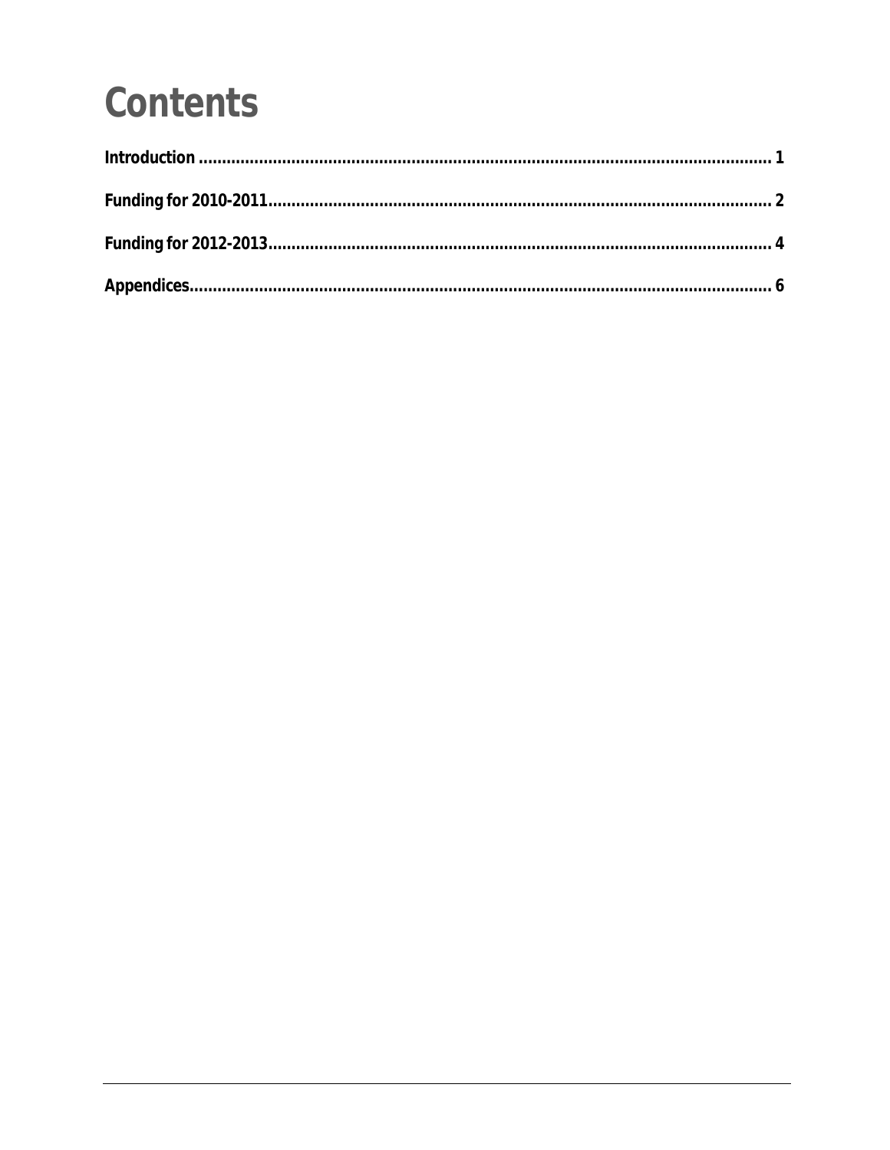# **Contents**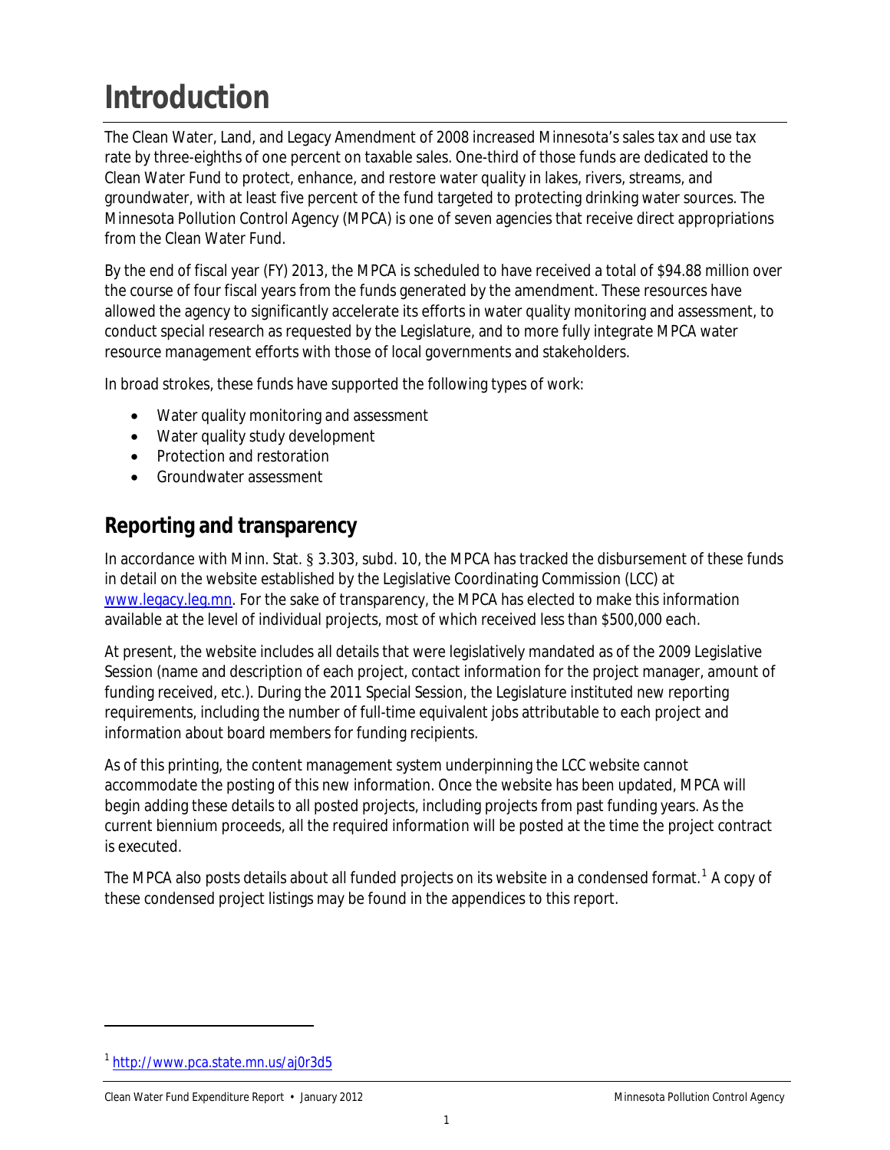## <span id="page-3-0"></span>**Introduction**

The Clean Water, Land, and Legacy Amendment of 2008 increased Minnesota's sales tax and use tax rate by three-eighths of one percent on taxable sales. One-third of those funds are dedicated to the Clean Water Fund to protect, enhance, and restore water quality in lakes, rivers, streams, and groundwater, with at least five percent of the fund targeted to protecting drinking water sources. The Minnesota Pollution Control Agency (MPCA) is one of seven agencies that receive direct appropriations from the Clean Water Fund.

By the end of fiscal year (FY) 2013, the MPCA is scheduled to have received a total of \$94.88 million over the course of four fiscal years from the funds generated by the amendment. These resources have allowed the agency to significantly accelerate its efforts in water quality monitoring and assessment, to conduct special research as requested by the Legislature, and to more fully integrate MPCA water resource management efforts with those of local governments and stakeholders.

In broad strokes, these funds have supported the following types of work:

- Water quality monitoring and assessment
- Water quality study development
- Protection and restoration
- Groundwater assessment

### **Reporting and transparency**

In accordance with Minn. Stat. § 3.303, subd. 10, the MPCA has tracked the disbursement of these funds in detail on the website established by the Legislative Coordinating Commission (LCC) at [www.legacy.leg.mn.](http://www.legacy.leg.mn/) For the sake of transparency, the MPCA has elected to make this information available at the level of individual projects, most of which received less than \$500,000 each.

At present, the website includes all details that were legislatively mandated as of the 2009 Legislative Session (name and description of each project, contact information for the project manager, amount of funding received, etc.). During the 2011 Special Session, the Legislature instituted new reporting requirements, including the number of full-time equivalent jobs attributable to each project and information about board members for funding recipients.

 accommodate the posting of this new information. Once the website has been updated, MPCA will As of this printing, the content management system underpinning the LCC website cannot begin adding these details to all posted projects, including projects from past funding years. As the current biennium proceeds, all the required information will be posted at the time the project contract is executed.

The MPCA also posts details about all funded projects on its website in a condensed format. $^1$  $^1$  A copy of these condensed project listings may be found in the appendices to this report.

 $\overline{a}$ 

<span id="page-3-1"></span><sup>1</sup> <http://www.pca.state.mn.us/aj0r3d5>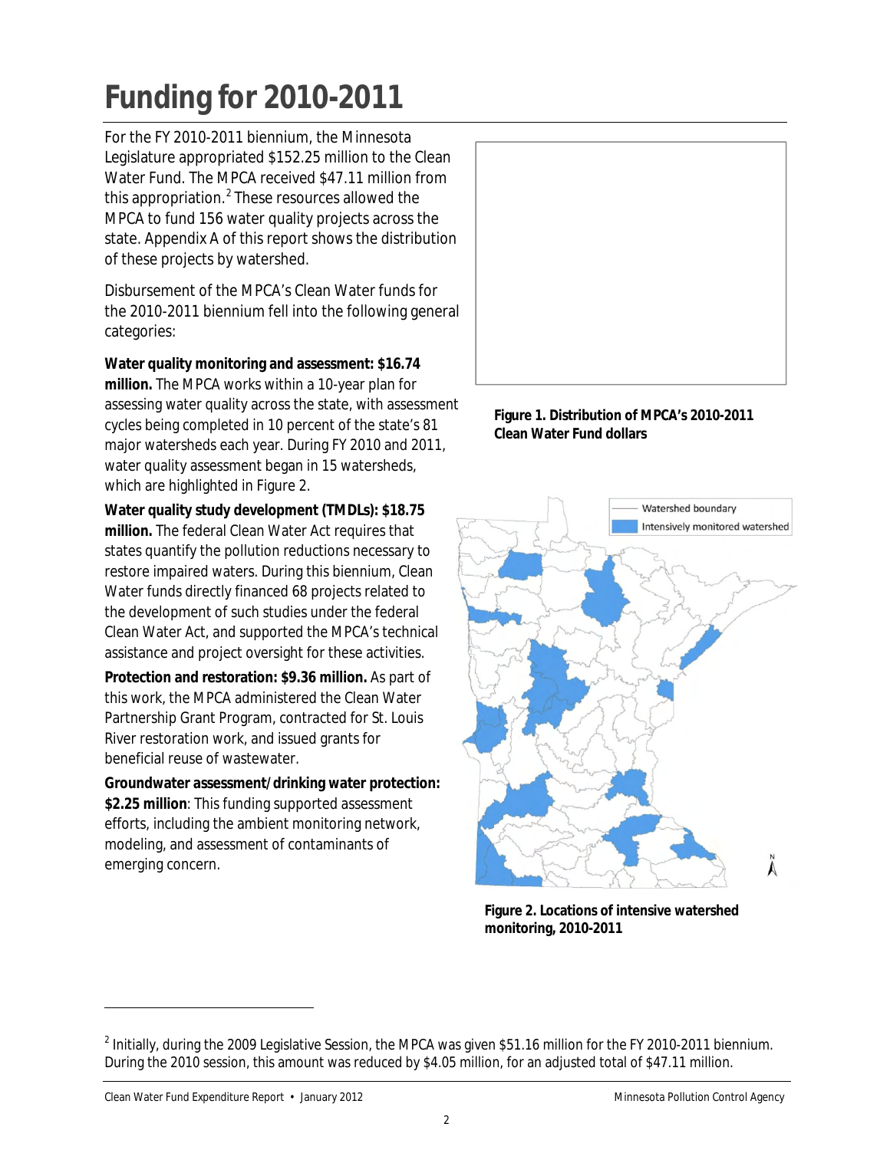# <span id="page-4-0"></span>**Funding for 2010-2011**

For the FY 2010-2011 biennium, the Minnesota Legislature appropriated \$152.25 million to the Clean Water Fund. The MPCA received \$47.11 million from this appropriation. $<sup>2</sup>$  $<sup>2</sup>$  $<sup>2</sup>$  These resources allowed the</sup> MPCA to fund 156 water quality projects across the state. Appendix A of this report shows the distribution of these projects by watershed.

Disbursement of the MPCA's Clean Water funds for the 2010-2011 biennium fell into the following general categories:

**Water quality monitoring and assessment: \$16.74 million.** The MPCA works within a 10-year plan for assessing water quality across the state, with assessment cycles being completed in 10 percent of the state's 81 major watersheds each year. During FY 2010 and 2011, water quality assessment began in 15 watersheds, which are highlighted in Figure 2.

**Water quality study development (TMDLs): \$18.75 million.** The federal Clean Water Act requires that states quantify the pollution reductions necessary to restore impaired waters. During this biennium, Clean Water funds directly financed 68 projects related to the development of such studies under the federal Clean Water Act, and supported the MPCA's technical assistance and project oversight for these activities.

**Protection and restoration: \$9.36 million.** As part of this work, the MPCA administered the Clean Water Partnership Grant Program, contracted for St. Louis River restoration work, and issued grants for beneficial reuse of wastewater.

**Groundwater assessment/drinking water protection: \$2.25 million**: This funding supported assessment efforts, including the ambient monitoring network, modeling, and assessment of contaminants of emerging concern.



 **Clean Water Fund dollars Figure 1. Distribution of MPCA's 2010-2011** 



**Figure 2. Locations of intensive watershed monitoring, 2010-2011** 

 $\overline{a}$ 

<span id="page-4-1"></span> $^2$  Initially, during the 2009 Legislative Session, the MPCA was given \$51.16 million for the FY 2010-2011 biennium. During the 2010 session, this amount was reduced by \$4.05 million, for an adjusted total of \$47.11 million.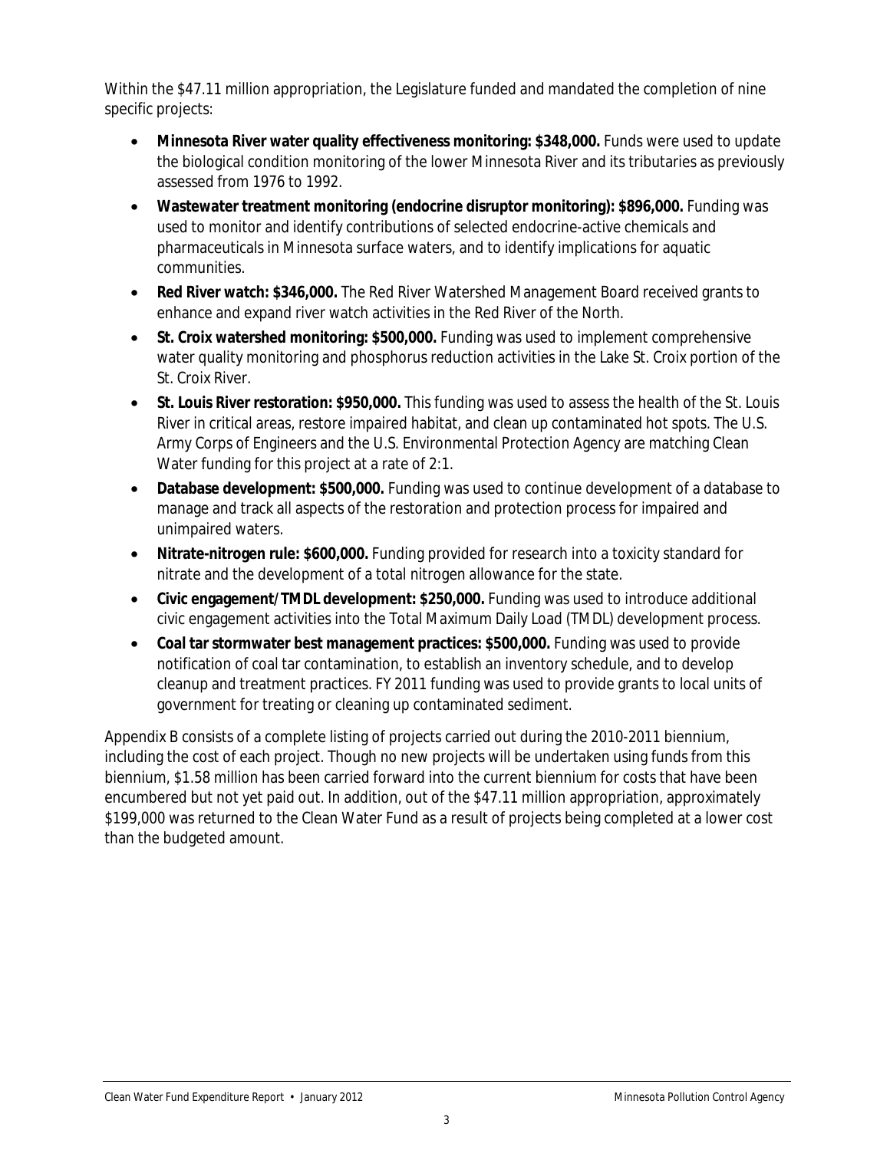Within the \$47.11 million appropriation, the Legislature funded and mandated the completion of nine specific projects:

- Minnesota River water quality effectiveness monitoring: \$348,000. Funds were used to update the biological condition monitoring of the lower Minnesota River and its tributaries as previously assessed from 1976 to 1992.
- • **Wastewater treatment monitoring (endocrine disruptor monitoring): \$896,000.** Funding was used to monitor and identify contributions of selected endocrine-active chemicals and pharmaceuticals in Minnesota surface waters, and to identify implications for aquatic communities.
- • **Red River watch: \$346,000.** The Red River Watershed Management Board received grants to enhance and expand river watch activities in the Red River of the North.
- • **St. Croix watershed monitoring: \$500,000.** Funding was used to implement comprehensive water quality monitoring and phosphorus reduction activities in the Lake St. Croix portion of the St. Croix River.
- • **St. Louis River restoration: \$950,000.** This funding was used to assess the health of the St. Louis River in critical areas, restore impaired habitat, and clean up contaminated hot spots. The U.S. Army Corps of Engineers and the U.S. Environmental Protection Agency are matching Clean Water funding for this project at a rate of 2:1.
- **Database development: \$500,000.** Funding was used to continue development of a database to manage and track all aspects of the restoration and protection process for impaired and unimpaired waters.
- • **Nitrate-nitrogen rule: \$600,000.** Funding provided for research into a toxicity standard for nitrate and the development of a total nitrogen allowance for the state.
- • **Civic engagement/TMDL development: \$250,000.** Funding was used to introduce additional civic engagement activities into the Total Maximum Daily Load (TMDL) development process.
- government for treating or cleaning up contaminated sediment. • **Coal tar stormwater best management practices: \$500,000.** Funding was used to provide notification of coal tar contamination, to establish an inventory schedule, and to develop cleanup and treatment practices. FY 2011 funding was used to provide grants to local units of

Appendix B consists of a complete listing of projects carried out during the 2010-2011 biennium, including the cost of each project. Though no new projects will be undertaken using funds from this biennium, \$1.58 million has been carried forward into the current biennium for costs that have been encumbered but not yet paid out. In addition, out of the \$47.11 million appropriation, approximately \$199,000 was returned to the Clean Water Fund as a result of projects being completed at a lower cost than the budgeted amount.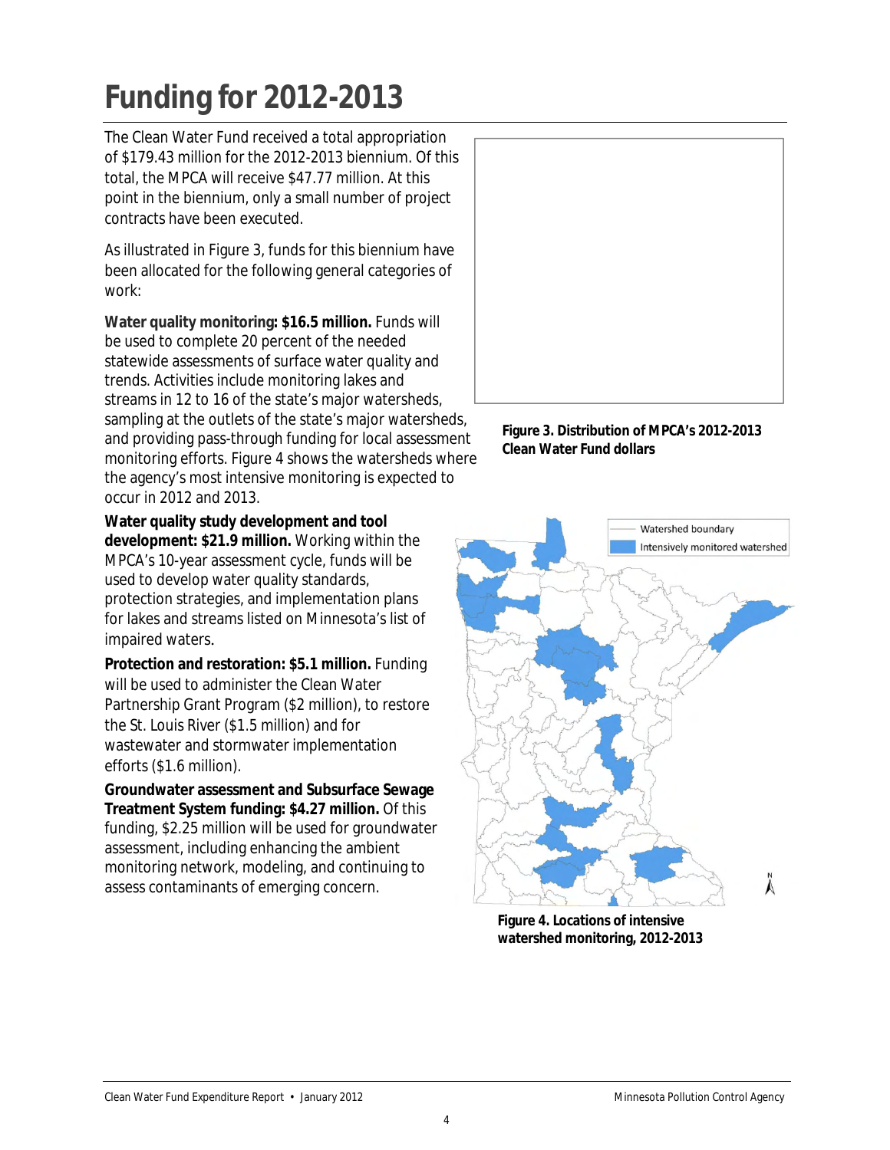## <span id="page-6-0"></span>**Funding for 2012-2013**

contracts have been executed. The Clean Water Fund received a total appropriation of \$179.43 million for the 2012-2013 biennium. Of this total, the MPCA will receive \$47.77 million. At this point in the biennium, only a small number of project

As illustrated in Figure 3, funds for this biennium have been allocated for the following general categories of work:

 monitoring efforts. Figure 4 shows the watersheds where **[Water quality monitoring](http://www.pca.state.mn.us/index.php?option=com_k2&Itemid=2712&id=1196&layout=item&view=item): \$16.5 million.** Funds will be used to complete 20 percent of the needed statewide assessments of surface water quality and trends. Activities include monitoring lakes and streams in 12 to 16 of the state's major watersheds, sampling at the outlets of the state's major watersheds, and providing pass-through funding for local assessment the agency's most intensive monitoring is expected to occur in 2012 and 2013.

 **Water quality study development and tool development: \$21.9 million.** Working within the MPCA's 10-year assessment cycle, funds will be used to develop water quality standards, protection strategies, and implementation plans for lakes and streams listed on Minnesota's list of [impaired waters](http://www.pca.state.mn.us/water/tmdl/tmdl-303dlist.html).

**[Protection and restoration](http://www.pca.state.mn.us/index.php?option=com_k2&Itemid=2707&id=682&layout=item&view=item): \$5.1 million.** Funding will be used to administer the Clean Water Partnership Grant Program (\$2 million), to restore the St. Louis River (\$1.5 million) and for wastewater and stormwater implementation efforts (\$1.6 million).

 assess contaminants of emerging concern. **[Groundwater assessment and Subsurface Sewage](http://www.pca.state.mn.us/index.php?option=com_k2&Itemid=232&id=696&layout=item&view=item)  [Treatment System funding](http://www.pca.state.mn.us/index.php?option=com_k2&Itemid=232&id=696&layout=item&view=item): \$4.27 million.** Of this funding, \$2.25 million will be used for groundwater assessment, including enhancing the ambient monitoring network, modeling, and continuing to



**Figure 3. Distribution of MPCA's 2012-2013 Clean Water Fund dollars** 



**Figure 4. Locations of intensive watershed monitoring, 2012-2013**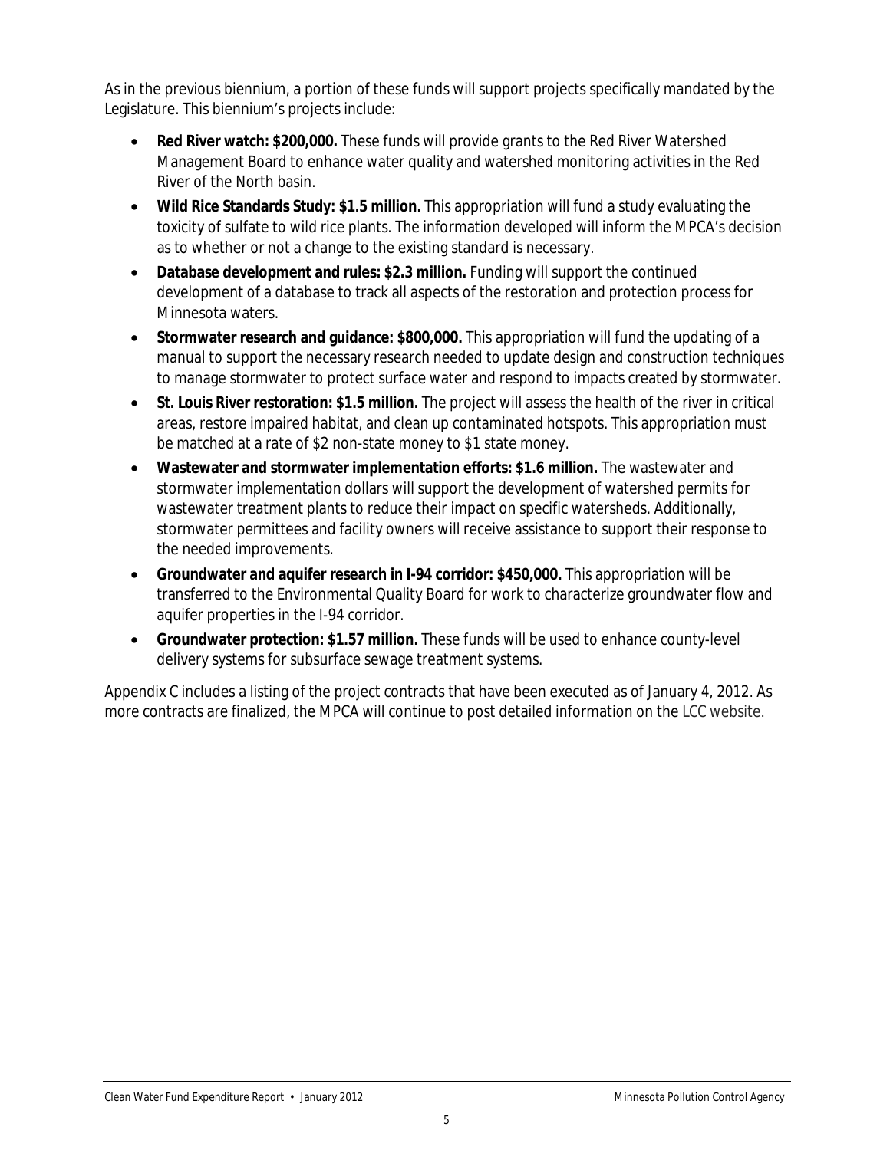As in the previous biennium, a portion of these funds will support projects specifically mandated by the Legislature. This biennium's projects include:

- **Red River watch: \$200,000.** These funds will provide grants to the Red River Watershed Management Board to enhance water quality and watershed monitoring activities in the Red River of the North basin.
- • **Wild Rice Standards Study: \$1.5 million.** This appropriation will fund a study evaluating the toxicity of sulfate to wild rice plants. The information developed will inform the MPCA's decision as to whether or not a change to the existing standard is necessary.
- **Database development and rules: \$2.3 million.** Funding will support the continued development of a database to track all aspects of the restoration and protection process for Minnesota waters.
- Stormwater research and quidance: \$800,000. This appropriation will fund the updating of a manual to support the necessary research needed to update design and construction techniques to manage stormwater to protect surface water and respond to impacts created by stormwater.
- • **St. Louis River restoration: \$1.5 million.** The project will assess the health of the river in critical areas, restore impaired habitat, and clean up contaminated hotspots. This appropriation must be matched at a rate of \$2 non-state money to \$1 state money.
- • **Wastewater and stormwater implementation efforts: \$1.6 million.** The wastewater and stormwater implementation dollars will support the development of watershed permits for wastewater treatment plants to reduce their impact on specific watersheds. Additionally, stormwater permittees and facility owners will receive assistance to support their response to the needed improvements.
- • **Groundwater and aquifer research in I-94 corridor: \$450,000.** This appropriation will be transferred to the Environmental Quality Board for work to characterize groundwater flow and aquifer properties in the I-94 corridor.
- **Groundwater protection: \$1.57 million.** These funds will be used to enhance county-level delivery systems for subsurface sewage treatment systems.

Appendix C includes a listing of the project contracts that have been executed as of January 4, 2012. As more contracts are finalized, the MPCA will continue to post detailed information on the [LCC website.](http://www.legacy.leg.mn/)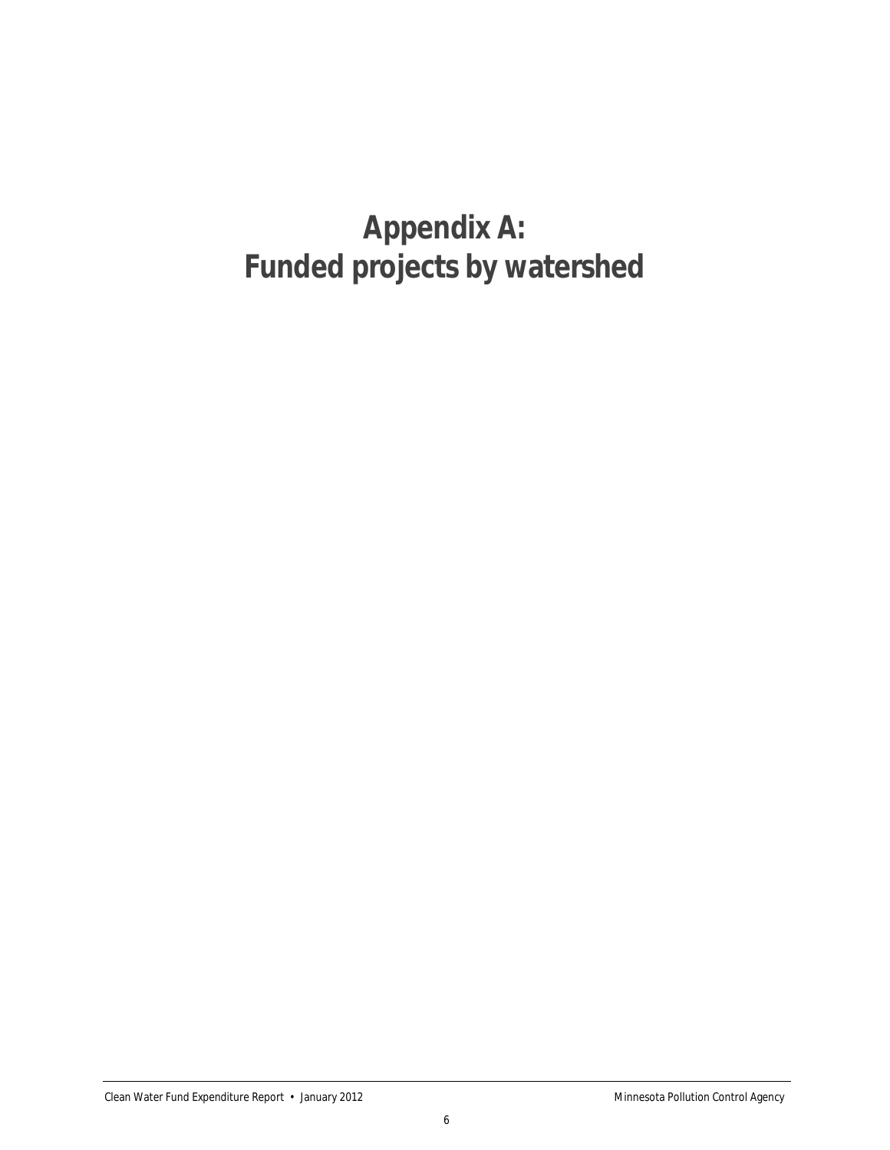### <span id="page-8-0"></span>**Appendix A: Funded projects by watershed**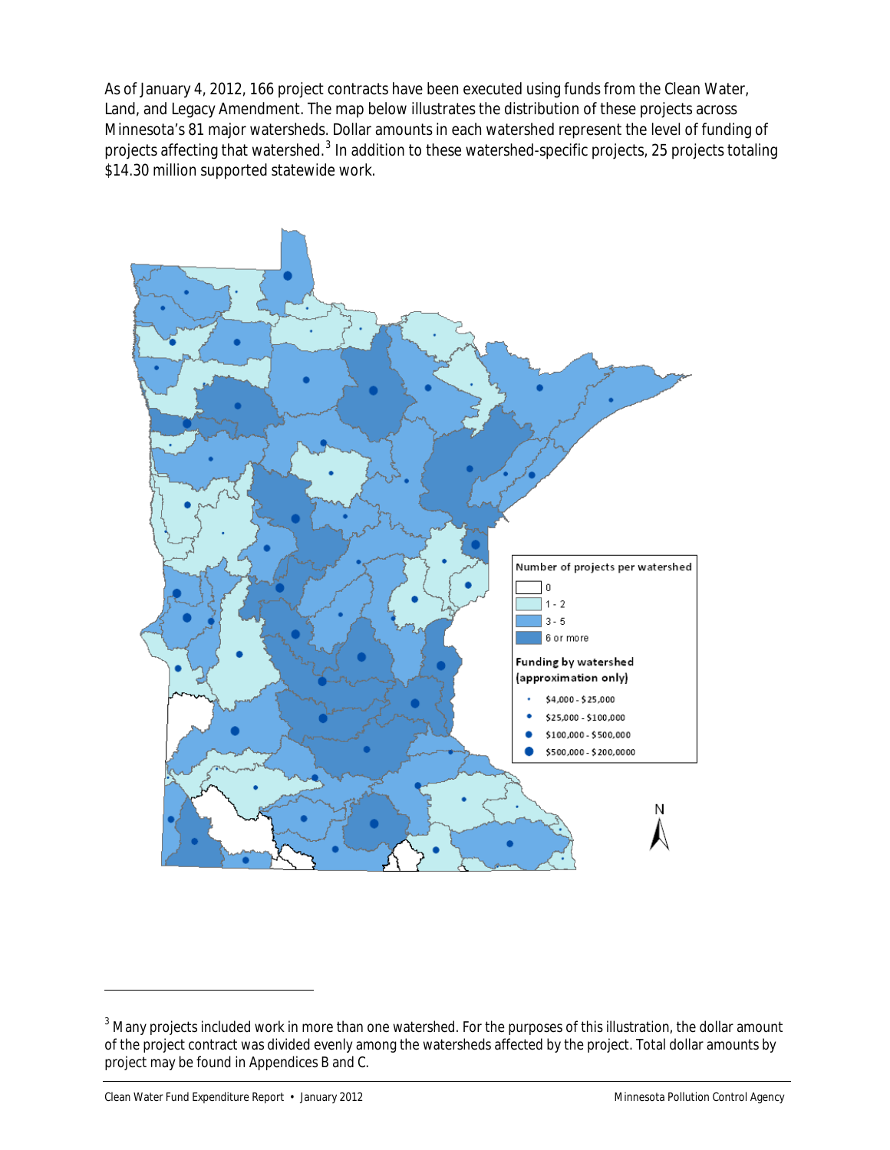As of January 4, 2012, 166 project contracts have been executed using funds from the Clean Water, Land, and Legacy Amendment. The map below illustrates the distribution of these projects across Minnesota's 81 major watersheds. Dollar amounts in each watershed represent the level of funding of projects affecting that watershed.<sup>[3](#page-9-0)</sup> In addition to these watershed-specific projects, 25 projects totaling \$14.30 million supported statewide work.



 $\overline{a}$ 

<span id="page-9-0"></span> $^3$  Many projects included work in more than one watershed. For the purposes of this illustration, the dollar amount of the project contract was divided evenly among the watersheds affected by the project. Total dollar amounts by project may be found in Appendices B and C.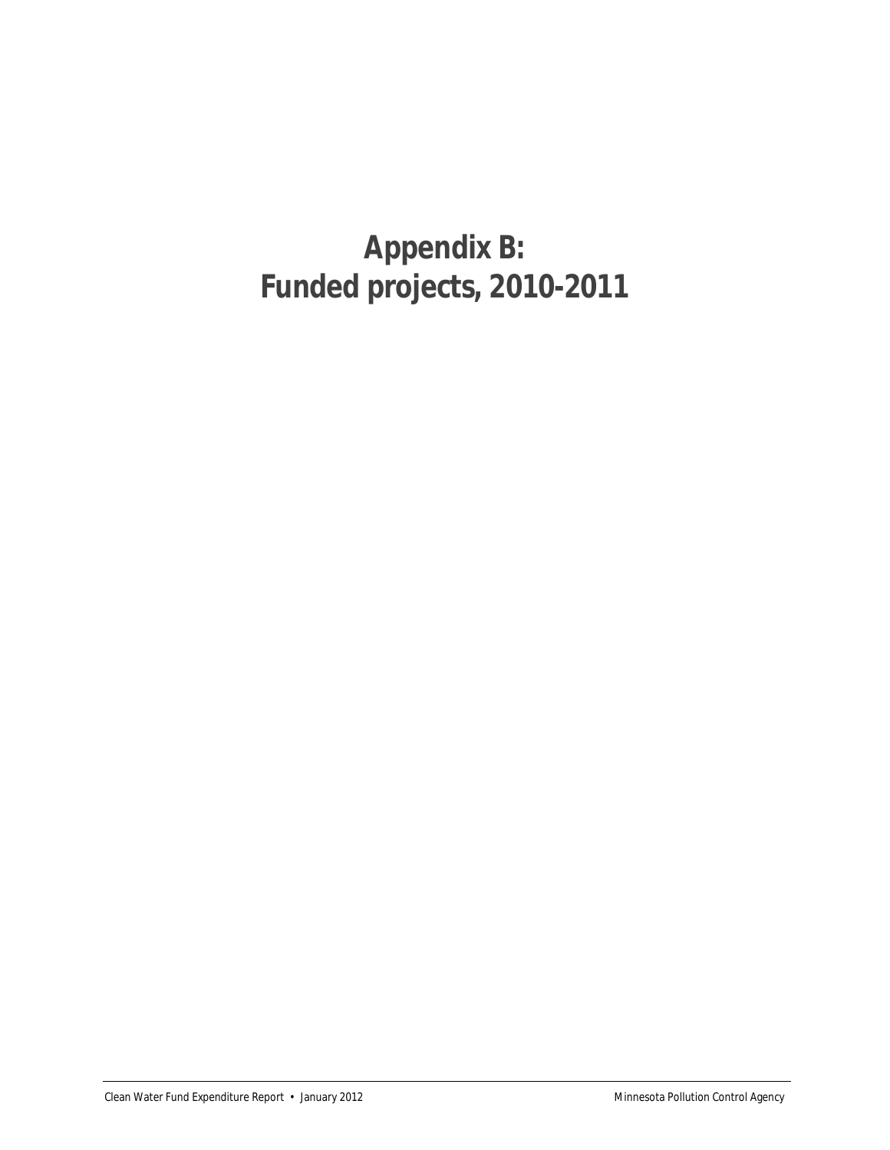### **Appendix B: Funded projects, 2010-2011**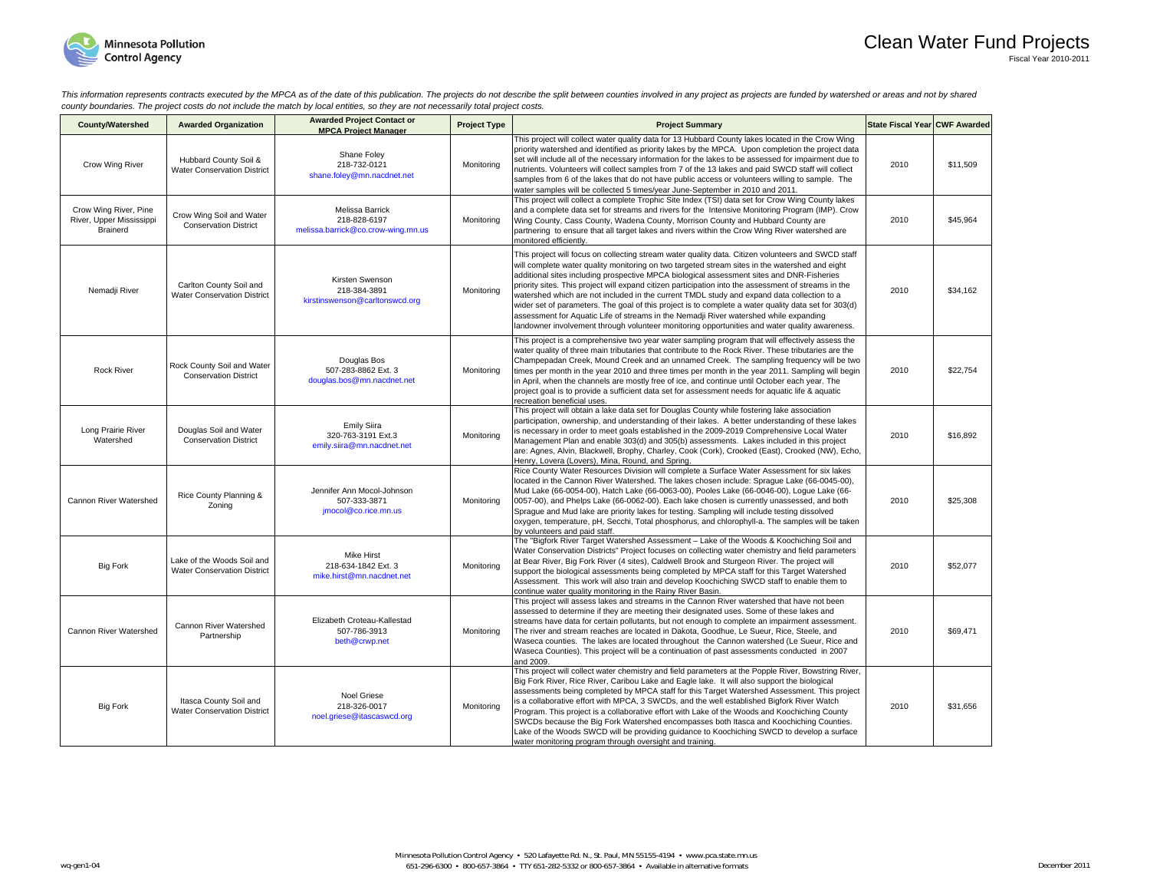

This information represents contracts executed by the MPCA as of the date of this publication. The projects do not describe the split between counties involved in any project as projects are funded by watershed or areas an *county boundaries. The project costs do not include the match by local entities, so they are not necessarily total project costs.* 

| <b>County/Watershed</b>                                       | <b>Awarded Organization</b>                                      | <b>Awarded Project Contact or</b><br><b>MPCA Project Manager</b>       | <b>Project Type</b> | <b>Project Summary</b>                                                                                                                                                                                                                                                                                                                                                                                                                                                                                                                                                                                                                                                                                                                                                                                    | State Fiscal Year CWF Awarded |          |
|---------------------------------------------------------------|------------------------------------------------------------------|------------------------------------------------------------------------|---------------------|-----------------------------------------------------------------------------------------------------------------------------------------------------------------------------------------------------------------------------------------------------------------------------------------------------------------------------------------------------------------------------------------------------------------------------------------------------------------------------------------------------------------------------------------------------------------------------------------------------------------------------------------------------------------------------------------------------------------------------------------------------------------------------------------------------------|-------------------------------|----------|
| Crow Wing River                                               | Hubbard County Soil &<br><b>Water Conservation District</b>      | Shane Foley<br>218-732-0121<br>shane.foley@mn.nacdnet.net              | Monitorina          | This project will collect water quality data for 13 Hubbard County lakes located in the Crow Wing<br>priority watershed and identified as priority lakes by the MPCA. Upon completion the project data<br>set will include all of the necessary information for the lakes to be assessed for impairment due to<br>nutrients. Volunteers will collect samples from 7 of the 13 lakes and paid SWCD staff will collect<br>samples from 6 of the lakes that do not have public access or volunteers willing to sample. The<br>water samples will be collected 5 times/year June-September in 2010 and 2011.                                                                                                                                                                                                  | 2010                          | \$11,509 |
| Crow Wing River, Pine<br>River, Upper Mississippi<br>Brainerd | Crow Wing Soil and Water<br><b>Conservation District</b>         | Melissa Barrick<br>218-828-6197<br>melissa.barrick@co.crow-wing.mn.us  | Monitorina          | This project will collect a complete Trophic Site Index (TSI) data set for Crow Wing County lakes<br>and a complete data set for streams and rivers for the Intensive Monitoring Program (IMP). Crow<br>Wing County, Cass County, Wadena County, Morrison County and Hubbard County are<br>partnering to ensure that all target lakes and rivers within the Crow Wing River watershed are<br>monitored efficiently.                                                                                                                                                                                                                                                                                                                                                                                       | 2010                          | \$45,964 |
| Nemadji River                                                 | Carlton County Soil and<br><b>Water Conservation District</b>    | Kirsten Swenson<br>218-384-3891<br>kirstinswenson@carltonswcd.org      | Monitoring          | This project will focus on collecting stream water quality data. Citizen volunteers and SWCD staff<br>will complete water quality monitoring on two targeted stream sites in the watershed and eight<br>additional sites including prospective MPCA biological assessment sites and DNR-Fisheries<br>priority sites. This project will expand citizen participation into the assessment of streams in the<br>watershed which are not included in the current TMDL study and expand data collection to a<br>wider set of parameters. The goal of this project is to complete a water quality data set for 303(d)<br>assessment for Aquatic Life of streams in the Nemadji River watershed while expanding<br>landowner involvement through volunteer monitoring opportunities and water quality awareness. | 2010                          | \$34,162 |
| <b>Rock River</b>                                             | Rock County Soil and Water<br><b>Conservation District</b>       | Douglas Bos<br>507-283-8862 Ext. 3<br>douglas.bos@mn.nacdnet.net       | Monitoring          | This project is a comprehensive two year water sampling program that will effectively assess the<br>water quality of three main tributaries that contribute to the Rock River. These tributaries are the<br>Champepadan Creek, Mound Creek and an unnamed Creek. The sampling frequency will be two<br>times per month in the year 2010 and three times per month in the year 2011. Sampling will begin<br>in April, when the channels are mostly free of ice, and continue until October each year. The<br>project goal is to provide a sufficient data set for assessment needs for aquatic life & aquatic<br>recreation beneficial uses.                                                                                                                                                               | 2010                          | \$22,754 |
| Long Prairie River<br>Watershed                               | Douglas Soil and Water<br><b>Conservation District</b>           | <b>Emily Siira</b><br>320-763-3191 Ext.3<br>emily.siira@mn.nacdnet.net | Monitorina          | This project will obtain a lake data set for Douglas County while fostering lake association<br>participation, ownership, and understanding of their lakes. A better understanding of these lakes<br>is necessary in order to meet goals established in the 2009-2019 Comprehensive Local Water<br>Management Plan and enable 303(d) and 305(b) assessments. Lakes included in this project<br>are: Agnes, Alvin, Blackwell, Brophy, Charley, Cook (Cork), Crooked (East), Crooked (NW), Echo,<br>Henry, Lovera (Lovers), Mina, Round, and Spring.                                                                                                                                                                                                                                                        | 2010                          | \$16,892 |
| Cannon River Watershed                                        | Rice County Planning &<br>Zoning                                 | Jennifer Ann Mocol-Johnson<br>507-333-3871<br>jmocol@co.rice.mn.us     | Monitorina          | Rice County Water Resources Division will complete a Surface Water Assessment for six lakes<br>located in the Cannon River Watershed. The lakes chosen include: Spraque Lake (66-0045-00),<br>Mud Lake (66-0054-00), Hatch Lake (66-0063-00), Pooles Lake (66-0046-00), Logue Lake (66-<br>0057-00), and Phelps Lake (66-0062-00). Each lake chosen is currently unassessed, and both<br>Spraque and Mud lake are priority lakes for testing. Sampling will include testing dissolved<br>oxygen, temperature, pH, Secchi, Total phosphorus, and chlorophyll-a. The samples will be taken<br>by volunteers and paid staff.                                                                                                                                                                                 | 2010                          | \$25,308 |
| <b>Big Fork</b>                                               | Lake of the Woods Soil and<br><b>Water Conservation District</b> | Mike Hirst<br>218-634-1842 Ext. 3<br>mike.hirst@mn.nacdnet.net         | Monitoring          | The "Bigfork River Target Watershed Assessment - Lake of the Woods & Koochiching Soil and<br>Water Conservation Districts" Project focuses on collecting water chemistry and field parameters<br>at Bear River, Big Fork River (4 sites), Caldwell Brook and Sturgeon River. The project will<br>support the biological assessments being completed by MPCA staff for this Target Watershed<br>Assessment. This work will also train and develop Koochiching SWCD staff to enable them to<br>continue water quality monitoring in the Rainy River Basin.                                                                                                                                                                                                                                                  | 2010                          | \$52,077 |
| Cannon River Watershed                                        | Cannon River Watershed<br>Partnership                            | Elizabeth Croteau-Kallestad<br>507-786-3913<br>beth@crwp.net           | Monitoring          | This project will assess lakes and streams in the Cannon River watershed that have not been<br>assessed to determine if they are meeting their designated uses. Some of these lakes and<br>streams have data for certain pollutants, but not enough to complete an impairment assessment.<br>The river and stream reaches are located in Dakota, Goodhue, Le Sueur, Rice, Steele, and<br>Waseca counties. The lakes are located throughout the Cannon watershed (Le Sueur, Rice and<br>Waseca Counties). This project will be a continuation of past assessments conducted in 2007<br>and 2009.                                                                                                                                                                                                           | 2010                          | \$69,471 |
| <b>Big Fork</b>                                               | Itasca County Soil and<br><b>Water Conservation District</b>     | Noel Griese<br>218-326-0017<br>noel.griese@itascaswcd.org              | Monitorina          | This project will collect water chemistry and field parameters at the Popple River, Bowstring River,<br>Big Fork River, Rice River, Caribou Lake and Eagle lake. It will also support the biological<br>assessments being completed by MPCA staff for this Target Watershed Assessment. This project<br>is a collaborative effort with MPCA, 3 SWCDs, and the well established Bigfork River Watch<br>Program. This project is a collaborative effort with Lake of the Woods and Koochiching County<br>SWCDs because the Big Fork Watershed encompasses both Itasca and Koochiching Counties.<br>Lake of the Woods SWCD will be providing guidance to Koochiching SWCD to develop a surface<br>water monitoring program through oversight and training.                                                   | 2010                          | \$31.656 |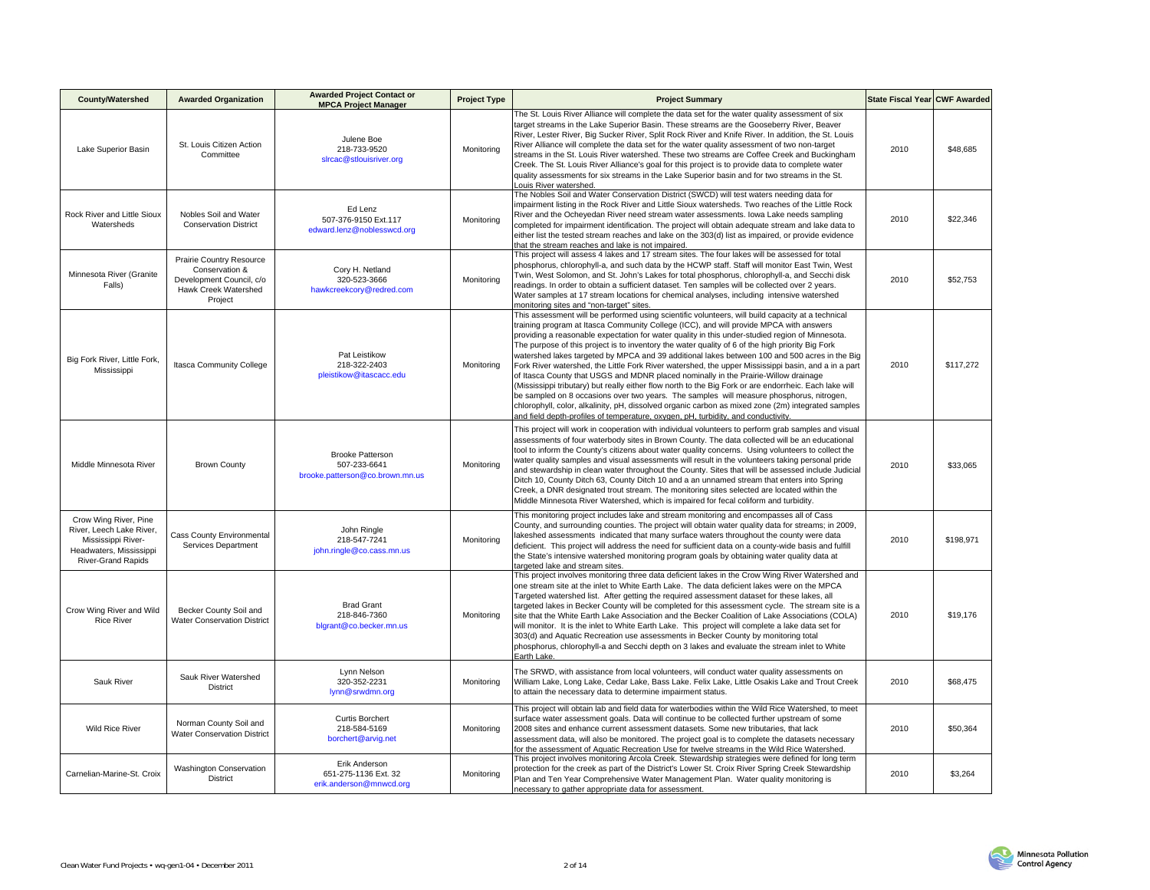| <b>County/Watershed</b>                                                                                                         | <b>Awarded Organization</b>                                                                               | <b>Awarded Project Contact or</b><br><b>MPCA Project Manager</b>           | <b>Project Type</b> | <b>Project Summary</b>                                                                                                                                                                                                                                                                                                                                                                                                                                                                                                                                                                                                                                                                                                                                                                                                                                                                                                                                                                                                                                                                             | State Fiscal Year CWF Awarded |           |
|---------------------------------------------------------------------------------------------------------------------------------|-----------------------------------------------------------------------------------------------------------|----------------------------------------------------------------------------|---------------------|----------------------------------------------------------------------------------------------------------------------------------------------------------------------------------------------------------------------------------------------------------------------------------------------------------------------------------------------------------------------------------------------------------------------------------------------------------------------------------------------------------------------------------------------------------------------------------------------------------------------------------------------------------------------------------------------------------------------------------------------------------------------------------------------------------------------------------------------------------------------------------------------------------------------------------------------------------------------------------------------------------------------------------------------------------------------------------------------------|-------------------------------|-----------|
| Lake Superior Basin                                                                                                             | St. Louis Citizen Action<br>Committee                                                                     | Julene Boe<br>218-733-9520<br>slrcac@stlouisriver.org                      | Monitoring          | The St. Louis River Alliance will complete the data set for the water quality assessment of six<br>target streams in the Lake Superior Basin. These streams are the Gooseberry River, Beaver<br>River, Lester River, Big Sucker River, Split Rock River and Knife River. In addition, the St. Louis<br>River Alliance will complete the data set for the water quality assessment of two non-target<br>streams in the St. Louis River watershed. These two streams are Coffee Creek and Buckingham<br>Creek. The St. Louis River Alliance's goal for this project is to provide data to complete water<br>quality assessments for six streams in the Lake Superior basin and for two streams in the St.<br>Louis River watershed.                                                                                                                                                                                                                                                                                                                                                                  | 2010                          | \$48,685  |
| Rock River and Little Sioux<br>Watersheds                                                                                       | Nobles Soil and Water<br><b>Conservation District</b>                                                     | Ed Lenz<br>507-376-9150 Ext.117<br>edward.lenz@noblesswcd.org              | Monitorina          | The Nobles Soil and Water Conservation District (SWCD) will test waters needing data for<br>impairment listing in the Rock River and Little Sioux watersheds. Two reaches of the Little Rock<br>River and the Ocheyedan River need stream water assessments. Iowa Lake needs sampling<br>completed for impairment identification. The project will obtain adequate stream and lake data to<br>either list the tested stream reaches and lake on the 303(d) list as impaired, or provide evidence<br>that the stream reaches and lake is not impaired.                                                                                                                                                                                                                                                                                                                                                                                                                                                                                                                                              | 2010                          | \$22,346  |
| Minnesota River (Granite<br>Falls)                                                                                              | Prairie Country Resource<br>Conservation &<br>Development Council, c/o<br>Hawk Creek Watershed<br>Project | Cory H. Netland<br>320-523-3666<br>hawkcreekcory@redred.com                | Monitoring          | This project will assess 4 lakes and 17 stream sites. The four lakes will be assessed for total<br>phosphorus, chlorophyll-a, and such data by the HCWP staff. Staff will monitor East Twin, West<br>Twin, West Solomon, and St. John's Lakes for total phosphorus, chlorophyll-a, and Secchi disk<br>readings. In order to obtain a sufficient dataset. Ten samples will be collected over 2 years.<br>Water samples at 17 stream locations for chemical analyses, including intensive watershed<br>monitoring sites and "non-target" sites.                                                                                                                                                                                                                                                                                                                                                                                                                                                                                                                                                      | 2010                          | \$52,753  |
| Big Fork River, Little Fork,<br>Mississippi                                                                                     | Itasca Community College                                                                                  | Pat Leistikow<br>218-322-2403<br>pleistikow@itascacc.edu                   | Monitoring          | This assessment will be performed using scientific volunteers, will build capacity at a technical<br>training program at Itasca Community College (ICC), and will provide MPCA with answers<br>providing a reasonable expectation for water quality in this under-studied region of Minnesota.<br>The purpose of this project is to inventory the water quality of 6 of the high priority Big Fork<br>watershed lakes targeted by MPCA and 39 additional lakes between 100 and 500 acres in the Big<br>Fork River watershed, the Little Fork River watershed, the upper Mississippi basin, and a in a part<br>of Itasca County that USGS and MDNR placed nominally in the Prairie-Willow drainage<br>(Mississippi tributary) but really either flow north to the Big Fork or are endorrheic. Each lake will<br>be sampled on 8 occasions over two years. The samples will measure phosphorus, nitrogen,<br>chlorophyll, color, alkalinity, pH, dissolved organic carbon as mixed zone (2m) integrated samples<br>and field depth-profiles of temperature, oxygen, pH, turbidity, and conductivity. | 2010                          | \$117,272 |
| Middle Minnesota River                                                                                                          | <b>Brown County</b>                                                                                       | <b>Brooke Patterson</b><br>507-233-6641<br>brooke.patterson@co.brown.mn.us | Monitoring          | This project will work in cooperation with individual volunteers to perform grab samples and visual<br>assessments of four waterbody sites in Brown County. The data collected will be an educational<br>tool to inform the County's citizens about water quality concerns. Using volunteers to collect the<br>water quality samples and visual assessments will result in the volunteers taking personal pride<br>and stewardship in clean water throughout the County. Sites that will be assessed include Judicial<br>Ditch 10, County Ditch 63, County Ditch 10 and a an unnamed stream that enters into Spring<br>Creek, a DNR designated trout stream. The monitoring sites selected are located within the<br>Middle Minnesota River Watershed, which is impaired for fecal coliform and turbidity.                                                                                                                                                                                                                                                                                         | 2010                          | \$33,065  |
| Crow Wing River, Pine<br>River, Leech Lake River,<br>Mississippi River-<br>Headwaters, Mississippi<br><b>River-Grand Rapids</b> | <b>Cass County Environmental</b><br>Services Department                                                   | John Ringle<br>218-547-7241<br>john.ringle@co.cass.mn.us                   | Monitoring          | This monitoring project includes lake and stream monitoring and encompasses all of Cass<br>County, and surrounding counties. The project will obtain water quality data for streams; in 2009,<br>lakeshed assessments indicated that many surface waters throughout the county were data<br>deficient. This project will address the need for sufficient data on a county-wide basis and fulfill<br>the State's intensive watershed monitoring program goals by obtaining water quality data at<br>targeted lake and stream sites.                                                                                                                                                                                                                                                                                                                                                                                                                                                                                                                                                                 | 2010                          | \$198,971 |
| Crow Wing River and Wild<br><b>Rice River</b>                                                                                   | Becker County Soil and<br><b>Water Conservation District</b>                                              | <b>Brad Grant</b><br>218-846-7360<br>blgrant@co.becker.mn.us               | Monitorina          | This project involves monitoring three data deficient lakes in the Crow Wing River Watershed and<br>one stream site at the inlet to White Earth Lake. The data deficient lakes were on the MPCA<br>Targeted watershed list. After getting the required assessment dataset for these lakes, all<br>targeted lakes in Becker County will be completed for this assessment cycle. The stream site is a<br>site that the White Earth Lake Association and the Becker Coalition of Lake Associations (COLA)<br>will monitor. It is the inlet to White Earth Lake. This project will complete a lake data set for<br>303(d) and Aquatic Recreation use assessments in Becker County by monitoring total<br>phosphorus, chlorophyll-a and Secchi depth on 3 lakes and evaluate the stream inlet to White<br>Earth Lake.                                                                                                                                                                                                                                                                                   | 2010                          | \$19,176  |
| Sauk River                                                                                                                      | Sauk River Watershed<br>District                                                                          | Lynn Nelson<br>320-352-2231<br>lynn@srwdmn.org                             | Monitoring          | The SRWD, with assistance from local volunteers, will conduct water quality assessments on<br>William Lake, Long Lake, Cedar Lake, Bass Lake. Felix Lake, Little Osakis Lake and Trout Creek<br>to attain the necessary data to determine impairment status.                                                                                                                                                                                                                                                                                                                                                                                                                                                                                                                                                                                                                                                                                                                                                                                                                                       | 2010                          | \$68,475  |
| <b>Wild Rice River</b>                                                                                                          | Norman County Soil and<br><b>Water Conservation District</b>                                              | <b>Curtis Borchert</b><br>218-584-5169<br>borchert@arvig.net               | Monitoring          | This project will obtain lab and field data for waterbodies within the Wild Rice Watershed, to meet<br>surface water assessment goals. Data will continue to be collected further upstream of some<br>2008 sites and enhance current assessment datasets. Some new tributaries, that lack<br>assessment data, will also be monitored. The project goal is to complete the datasets necessary<br>for the assessment of Aquatic Recreation Use for twelve streams in the Wild Rice Watershed.                                                                                                                                                                                                                                                                                                                                                                                                                                                                                                                                                                                                        | 2010                          | \$50,364  |
| Carnelian-Marine-St. Croix                                                                                                      | <b>Washington Conservation</b><br>District                                                                | Erik Anderson<br>651-275-1136 Ext. 32<br>erik.anderson@mnwcd.org           | Monitoring          | This project involves monitoring Arcola Creek. Stewardship strategies were defined for long term<br>protection for the creek as part of the District's Lower St. Croix River Spring Creek Stewardship<br>Plan and Ten Year Comprehensive Water Management Plan. Water quality monitoring is<br>necessary to gather appropriate data for assessment.                                                                                                                                                                                                                                                                                                                                                                                                                                                                                                                                                                                                                                                                                                                                                | 2010                          | \$3,264   |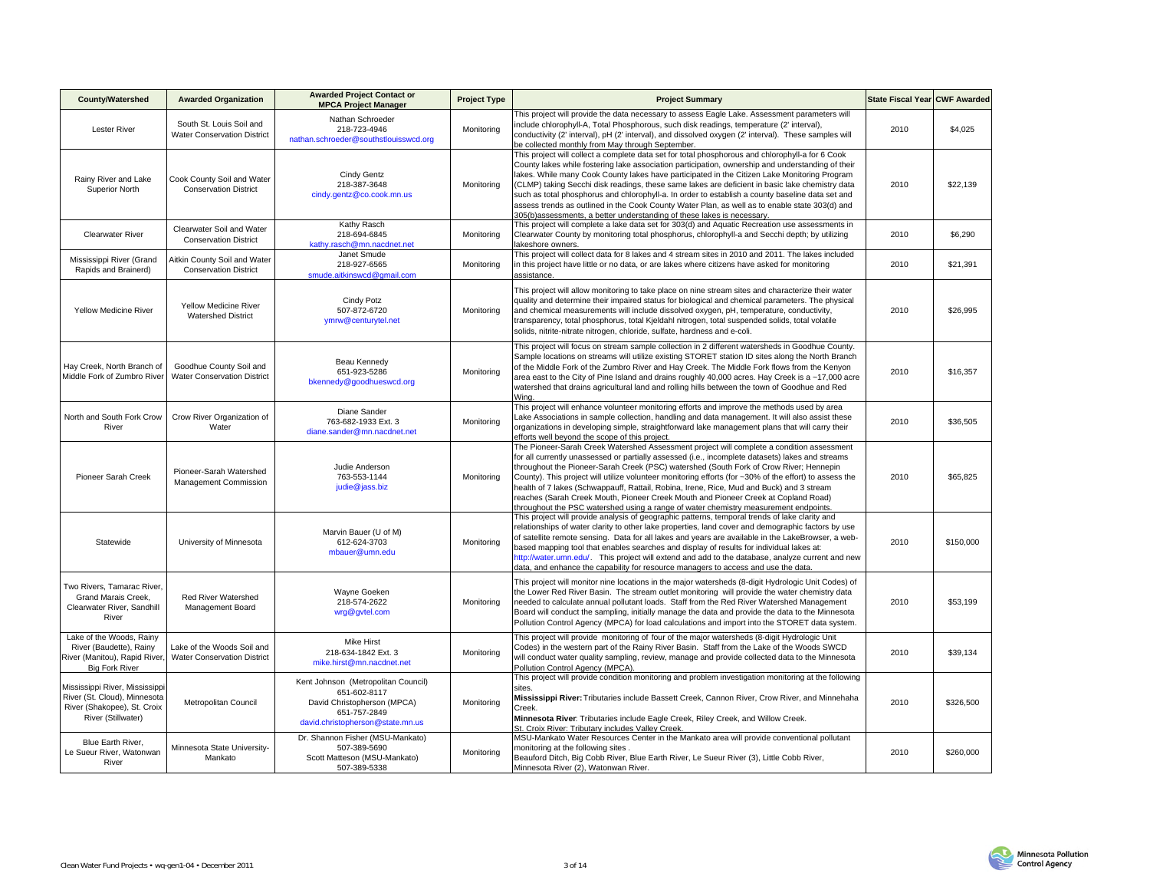| <b>County/Watershed</b>                                                                                             | <b>Awarded Organization</b>                                      | <b>Awarded Project Contact or</b><br><b>MPCA Project Manager</b>                                                                       | <b>Project Type</b> | <b>Project Summary</b>                                                                                                                                                                                                                                                                                                                                                                                                                                                                                                                                                                                                                                                                   | State Fiscal Year CWF Awarded |           |
|---------------------------------------------------------------------------------------------------------------------|------------------------------------------------------------------|----------------------------------------------------------------------------------------------------------------------------------------|---------------------|------------------------------------------------------------------------------------------------------------------------------------------------------------------------------------------------------------------------------------------------------------------------------------------------------------------------------------------------------------------------------------------------------------------------------------------------------------------------------------------------------------------------------------------------------------------------------------------------------------------------------------------------------------------------------------------|-------------------------------|-----------|
| <b>Lester River</b>                                                                                                 | South St. Louis Soil and<br><b>Water Conservation District</b>   | Nathan Schroeder<br>218-723-4946<br>nathan.schroeder@southstlouisswcd.org                                                              | Monitoring          | This project will provide the data necessary to assess Eagle Lake. Assessment parameters will<br>include chlorophyll-A, Total Phosphorous, such disk readings, temperature (2' interval),<br>conductivity (2' interval), pH (2' interval), and dissolved oxygen (2' interval). These samples will<br>be collected monthly from May through September.                                                                                                                                                                                                                                                                                                                                    | 2010                          | \$4,025   |
| Rainy River and Lake<br>Superior North                                                                              | Cook County Soil and Water<br><b>Conservation District</b>       | Cindy Gentz<br>218-387-3648<br>cindy.gentz@co.cook.mn.us                                                                               | Monitoring          | This project will collect a complete data set for total phosphorous and chlorophyll-a for 6 Cook<br>County lakes while fostering lake association participation, ownership and understanding of their<br>lakes. While many Cook County lakes have participated in the Citizen Lake Monitoring Program<br>(CLMP) taking Secchi disk readings, these same lakes are deficient in basic lake chemistry data<br>such as total phosphorus and chlorophyll-a. In order to establish a county baseline data set and<br>assess trends as outlined in the Cook County Water Plan, as well as to enable state 303(d) and<br>305(b)assessments, a better understanding of these lakes is necessary. | 2010                          | \$22,139  |
| <b>Clearwater River</b>                                                                                             | Clearwater Soil and Water<br><b>Conservation District</b>        | Kathy Rasch<br>218-694-6845<br>kathy.rasch@mn.nacdnet.net                                                                              | Monitoring          | This project will complete a lake data set for 303(d) and Aquatic Recreation use assessments in<br>Clearwater County by monitoring total phosphorus, chlorophyll-a and Secchi depth; by utilizing<br>akeshore owners.                                                                                                                                                                                                                                                                                                                                                                                                                                                                    | 2010                          | \$6,290   |
| Mississippi River (Grand<br>Rapids and Brainerd)                                                                    | Aitkin County Soil and Water<br><b>Conservation District</b>     | Janet Smude<br>218-927-6565<br>smude.aitkinswcd@qmail.com                                                                              | Monitoring          | This project will collect data for 8 lakes and 4 stream sites in 2010 and 2011. The lakes included<br>in this project have little or no data, or are lakes where citizens have asked for monitoring<br>assistance.                                                                                                                                                                                                                                                                                                                                                                                                                                                                       | 2010                          | \$21,391  |
| Yellow Medicine River                                                                                               | Yellow Medicine River<br><b>Watershed District</b>               | Cindy Potz<br>507-872-6720<br>ymrw@centurytel.net                                                                                      | Monitoring          | This project will allow monitoring to take place on nine stream sites and characterize their water<br>quality and determine their impaired status for biological and chemical parameters. The physical<br>and chemical measurements will include dissolved oxygen, pH, temperature, conductivity,<br>transparency, total phosphorus, total Kjeldahl nitrogen, total suspended solids, total volatile<br>solids, nitrite-nitrate nitrogen, chloride, sulfate, hardness and e-coli.                                                                                                                                                                                                        | 2010                          | \$26,995  |
| Hay Creek, North Branch of<br>Middle Fork of Zumbro River                                                           | Goodhue County Soil and<br><b>Water Conservation District</b>    | Beau Kennedy<br>651-923-5286<br>bkennedy@goodhueswcd.org                                                                               | Monitoring          | This project will focus on stream sample collection in 2 different watersheds in Goodhue County.<br>Sample locations on streams will utilize existing STORET station ID sites along the North Branch<br>of the Middle Fork of the Zumbro River and Hay Creek. The Middle Fork flows from the Kenyon<br>area east to the City of Pine Island and drains roughly 40,000 acres. Hay Creek is a ~17,000 acre<br>watershed that drains agricultural land and rolling hills between the town of Goodhue and Red<br>Wina.                                                                                                                                                                       | 2010                          | \$16,357  |
| North and South Fork Crow<br>River                                                                                  | Crow River Organization of<br>Water                              | Diane Sander<br>763-682-1933 Ext. 3<br>diane.sander@mn.nacdnet.net                                                                     | Monitoring          | This project will enhance volunteer monitoring efforts and improve the methods used by area<br>Lake Associations in sample collection, handling and data management. It will also assist these<br>organizations in developing simple, straightforward lake management plans that will carry their<br>efforts well beyond the scope of this project.                                                                                                                                                                                                                                                                                                                                      | 2010                          | \$36,505  |
| Pioneer Sarah Creek                                                                                                 | Pioneer-Sarah Watershed<br>Management Commission                 | Judie Anderson<br>763-553-1144<br>judie@jass.biz                                                                                       | Monitoring          | The Pioneer-Sarah Creek Watershed Assessment project will complete a condition assessment<br>for all currently unassessed or partially assessed (i.e., incomplete datasets) lakes and streams<br>throughout the Pioneer-Sarah Creek (PSC) watershed (South Fork of Crow River; Hennepin<br>County). This project will utilize volunteer monitoring efforts (for ~30% of the effort) to assess the<br>health of 7 lakes (Schwappauff, Rattail, Robina, Irene, Rice, Mud and Buck) and 3 stream<br>reaches (Sarah Creek Mouth, Pioneer Creek Mouth and Pioneer Creek at Copland Road)<br>throughout the PSC watershed using a range of water chemistry measurement endpoints.              | 2010                          | \$65,825  |
| Statewide                                                                                                           | University of Minnesota                                          | Marvin Bauer (U of M)<br>612-624-3703<br>mbauer@umn.edu                                                                                | Monitoring          | This project will provide analysis of geographic patterns, temporal trends of lake clarity and<br>relationships of water clarity to other lake properties, land cover and demographic factors by use<br>of satellite remote sensing. Data for all lakes and years are available in the LakeBrowser, a web-<br>based mapping tool that enables searches and display of results for individual lakes at:<br>http://water.umn.edu/. This project will extend and add to the database, analyze current and new<br>data, and enhance the capability for resource managers to access and use the data.                                                                                         | 2010                          | \$150,000 |
| Two Rivers, Tamarac River,<br>Grand Marais Creek,<br>Clearwater River, Sandhill<br>River                            | <b>Red River Watershed</b><br>Management Board                   | Wavne Goeken<br>218-574-2622<br>wrg@gvtel.com                                                                                          | Monitoring          | This project will monitor nine locations in the major watersheds (8-digit Hydrologic Unit Codes) of<br>the Lower Red River Basin. The stream outlet monitoring will provide the water chemistry data<br>needed to calculate annual pollutant loads. Staff from the Red River Watershed Management<br>Board will conduct the sampling, initially manage the data and provide the data to the Minnesota<br>Pollution Control Agency (MPCA) for load calculations and import into the STORET data system.                                                                                                                                                                                   | 2010                          | \$53,199  |
| Lake of the Woods, Rainy<br>River (Baudette), Rainy<br>River (Manitou), Rapid River<br><b>Big Fork River</b>        | Lake of the Woods Soil and<br><b>Water Conservation District</b> | <b>Mike Hirst</b><br>218-634-1842 Ext. 3<br>mike.hirst@mn.nacdnet.net                                                                  | Monitoring          | This project will provide monitoring of four of the major watersheds (8-digit Hydrologic Unit<br>Codes) in the western part of the Rainy River Basin. Staff from the Lake of the Woods SWCD<br>will conduct water quality sampling, review, manage and provide collected data to the Minnesota<br>Pollution Control Agency (MPCA).                                                                                                                                                                                                                                                                                                                                                       | 2010                          | \$39,134  |
| Mississippi River, Mississippi<br>River (St. Cloud), Minnesota<br>River (Shakopee), St. Croix<br>River (Stillwater) | Metropolitan Council                                             | Kent Johnson (Metropolitan Council)<br>651-602-8117<br>David Christopherson (MPCA)<br>651-757-2849<br>david.christopherson@state.mn.us | Monitoring          | This project will provide condition monitoring and problem investigation monitoring at the following<br>sites.<br>Mississippi River: Tributaries include Bassett Creek, Cannon River, Crow River, and Minnehaha<br>Creek.<br>Minnesota River: Tributaries include Eagle Creek, Riley Creek, and Willow Creek.<br>St. Croix River: Tributary includes Valley Creek                                                                                                                                                                                                                                                                                                                        | 2010                          | \$326,500 |
| Blue Earth River,<br>Le Sueur River, Watonwan<br>River                                                              | Minnesota State University-<br>Mankato                           | Dr. Shannon Fisher (MSU-Mankato)<br>507-389-5690<br>Scott Matteson (MSU-Mankato)<br>507-389-5338                                       | Monitoring          | MSU-Mankato Water Resources Center in the Mankato area will provide conventional pollutant<br>monitoring at the following sites.<br>Beauford Ditch, Big Cobb River, Blue Earth River, Le Sueur River (3), Little Cobb River,<br>Minnesota River (2), Watonwan River.                                                                                                                                                                                                                                                                                                                                                                                                                     | 2010                          | \$260,000 |

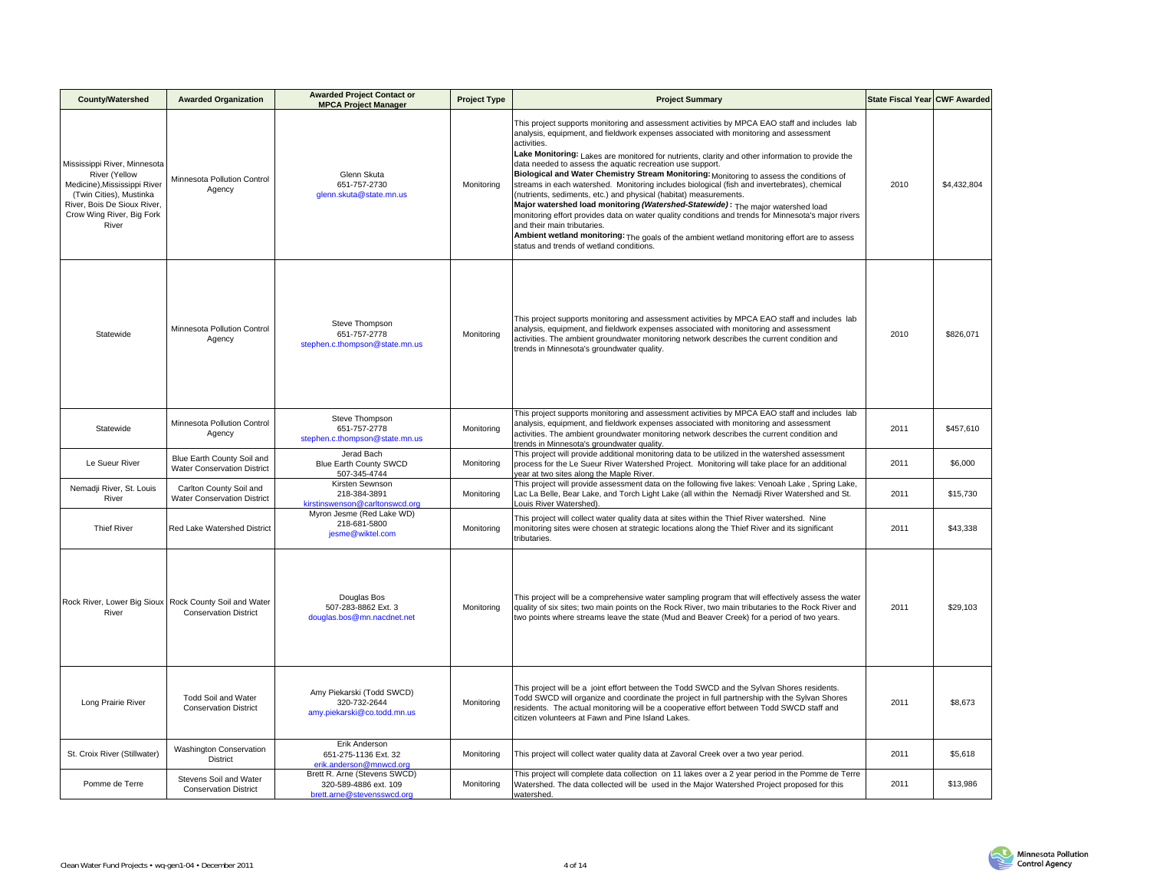| <b>County/Watershed</b>                                                                                                                                                       | <b>Awarded Organization</b>                                      | <b>Awarded Project Contact or</b><br><b>MPCA Project Manager</b>                    | <b>Project Type</b> | <b>Project Summary</b>                                                                                                                                                                                                                                                                                                                                                                                                                                                                                                                                                                                                                                                                                                                                                                                                                                                                                                                                                                                       | State Fiscal Year CWF Awarded |             |
|-------------------------------------------------------------------------------------------------------------------------------------------------------------------------------|------------------------------------------------------------------|-------------------------------------------------------------------------------------|---------------------|--------------------------------------------------------------------------------------------------------------------------------------------------------------------------------------------------------------------------------------------------------------------------------------------------------------------------------------------------------------------------------------------------------------------------------------------------------------------------------------------------------------------------------------------------------------------------------------------------------------------------------------------------------------------------------------------------------------------------------------------------------------------------------------------------------------------------------------------------------------------------------------------------------------------------------------------------------------------------------------------------------------|-------------------------------|-------------|
| Mississippi River, Minnesota<br>River (Yellow<br>Medicine), Mississippi River<br>(Twin Cities), Mustinka<br>River, Bois De Sioux River,<br>Crow Wing River, Big Fork<br>River | Minnesota Pollution Control<br>Agency                            | Glenn Skuta<br>651-757-2730<br>glenn.skuta@state.mn.us                              | Monitoring          | This project supports monitoring and assessment activities by MPCA EAO staff and includes lab<br>analysis, equipment, and fieldwork expenses associated with monitoring and assessment<br>activities.<br>Lake Monitoring: Lakes are monitored for nutrients, clarity and other information to provide the<br>data needed to assess the aquatic recreation use support.<br>Biological and Water Chemistry Stream Monitoring: Monitoring to assess the conditions of<br>streams in each watershed. Monitoring includes biological (fish and invertebrates), chemical<br>(nutrients, sediments, etc.) and physical (habitat) measurements.<br>Major watershed load monitoring (Watershed-Statewide): The major watershed load<br>monitoring effort provides data on water quality conditions and trends for Minnesota's major rivers<br>and their main tributaries.<br>Ambient wetland monitoring: The goals of the ambient wetland monitoring effort are to assess<br>status and trends of wetland conditions. | 2010                          | \$4,432,804 |
| Statewide                                                                                                                                                                     | Minnesota Pollution Control<br>Agency                            | Steve Thompson<br>651-757-2778<br>stephen.c.thompson@state.mn.us                    | Monitoring          | This project supports monitoring and assessment activities by MPCA EAO staff and includes lab<br>analysis, equipment, and fieldwork expenses associated with monitoring and assessment<br>activities. The ambient groundwater monitoring network describes the current condition and<br>trends in Minnesota's groundwater quality.                                                                                                                                                                                                                                                                                                                                                                                                                                                                                                                                                                                                                                                                           | 2010                          | \$826,071   |
| Statewide                                                                                                                                                                     | Minnesota Pollution Control<br>Agency                            | Steve Thompson<br>651-757-2778<br>stephen.c.thompson@state.mn.us                    | Monitoring          | This project supports monitoring and assessment activities by MPCA EAO staff and includes lab<br>analysis, equipment, and fieldwork expenses associated with monitoring and assessment<br>activities. The ambient groundwater monitoring network describes the current condition and<br>rends in Minnesota's groundwater quality.                                                                                                                                                                                                                                                                                                                                                                                                                                                                                                                                                                                                                                                                            | 2011                          | \$457,610   |
| Le Sueur River                                                                                                                                                                | Blue Earth County Soil and<br><b>Water Conservation District</b> | Jerad Bach<br>Blue Earth County SWCD<br>507-345-4744                                | Monitoring          | This project will provide additional monitoring data to be utilized in the watershed assessment<br>process for the Le Sueur River Watershed Project. Monitoring will take place for an additional<br>year at two sites along the Maple River.                                                                                                                                                                                                                                                                                                                                                                                                                                                                                                                                                                                                                                                                                                                                                                | 2011                          | \$6,000     |
| Nemadji River, St. Louis<br>River                                                                                                                                             | Carlton County Soil and<br><b>Water Conservation District</b>    | Kirsten Sewnson<br>218-384-3891<br>kirstinswenson@carltonswcd.org                   | Monitoring          | This project will provide assessment data on the following five lakes: Venoah Lake, Spring Lake,<br>ac La Belle, Bear Lake, and Torch Light Lake (all within the Nemadji River Watershed and St.<br>ouis River Watershed).                                                                                                                                                                                                                                                                                                                                                                                                                                                                                                                                                                                                                                                                                                                                                                                   | 2011                          | \$15,730    |
| <b>Thief River</b>                                                                                                                                                            | Red Lake Watershed District                                      | Myron Jesme (Red Lake WD)<br>218-681-5800<br>jesme@wiktel.com                       | Monitoring          | This project will collect water quality data at sites within the Thief River watershed. Nine<br>monitoring sites were chosen at strategic locations along the Thief River and its significant<br>tributaries.                                                                                                                                                                                                                                                                                                                                                                                                                                                                                                                                                                                                                                                                                                                                                                                                | 2011                          | \$43,338    |
| Rock River, Lower Big Sioux<br>River                                                                                                                                          | Rock County Soil and Water<br><b>Conservation District</b>       | Douglas Bos<br>507-283-8862 Ext. 3<br>douglas.bos@mn.nacdnet.net                    | Monitoring          | This project will be a comprehensive water sampling program that will effectively assess the water<br>quality of six sites; two main points on the Rock River, two main tributaries to the Rock River and<br>two points where streams leave the state (Mud and Beaver Creek) for a period of two years.                                                                                                                                                                                                                                                                                                                                                                                                                                                                                                                                                                                                                                                                                                      | 2011                          | \$29,103    |
| Long Prairie River                                                                                                                                                            | <b>Todd Soil and Water</b><br><b>Conservation District</b>       | Amy Piekarski (Todd SWCD)<br>320-732-2644<br>amy.piekarski@co.todd.mn.us            | Monitoring          | This project will be a joint effort between the Todd SWCD and the Sylvan Shores residents.<br>Todd SWCD will organize and coordinate the project in full partnership with the Sylvan Shores<br>residents. The actual monitoring will be a cooperative effort between Todd SWCD staff and<br>citizen volunteers at Fawn and Pine Island Lakes.                                                                                                                                                                                                                                                                                                                                                                                                                                                                                                                                                                                                                                                                | 2011                          | \$8,673     |
| St. Croix River (Stillwater)                                                                                                                                                  | Washington Conservation<br><b>District</b>                       | Erik Anderson<br>651-275-1136 Ext. 32<br>erik.anderson@mnwcd.org                    | Monitoring          | This project will collect water quality data at Zavoral Creek over a two year period.                                                                                                                                                                                                                                                                                                                                                                                                                                                                                                                                                                                                                                                                                                                                                                                                                                                                                                                        | 2011                          | \$5,618     |
| Pomme de Terre                                                                                                                                                                | Stevens Soil and Water<br><b>Conservation District</b>           | Brett R. Arne (Stevens SWCD)<br>320-589-4886 ext. 109<br>brett.arne@stevensswcd.org | Monitoring          | This project will complete data collection on 11 lakes over a 2 year period in the Pomme de Terre<br>Watershed. The data collected will be used in the Major Watershed Project proposed for this<br>watershed.                                                                                                                                                                                                                                                                                                                                                                                                                                                                                                                                                                                                                                                                                                                                                                                               | 2011                          | \$13,986    |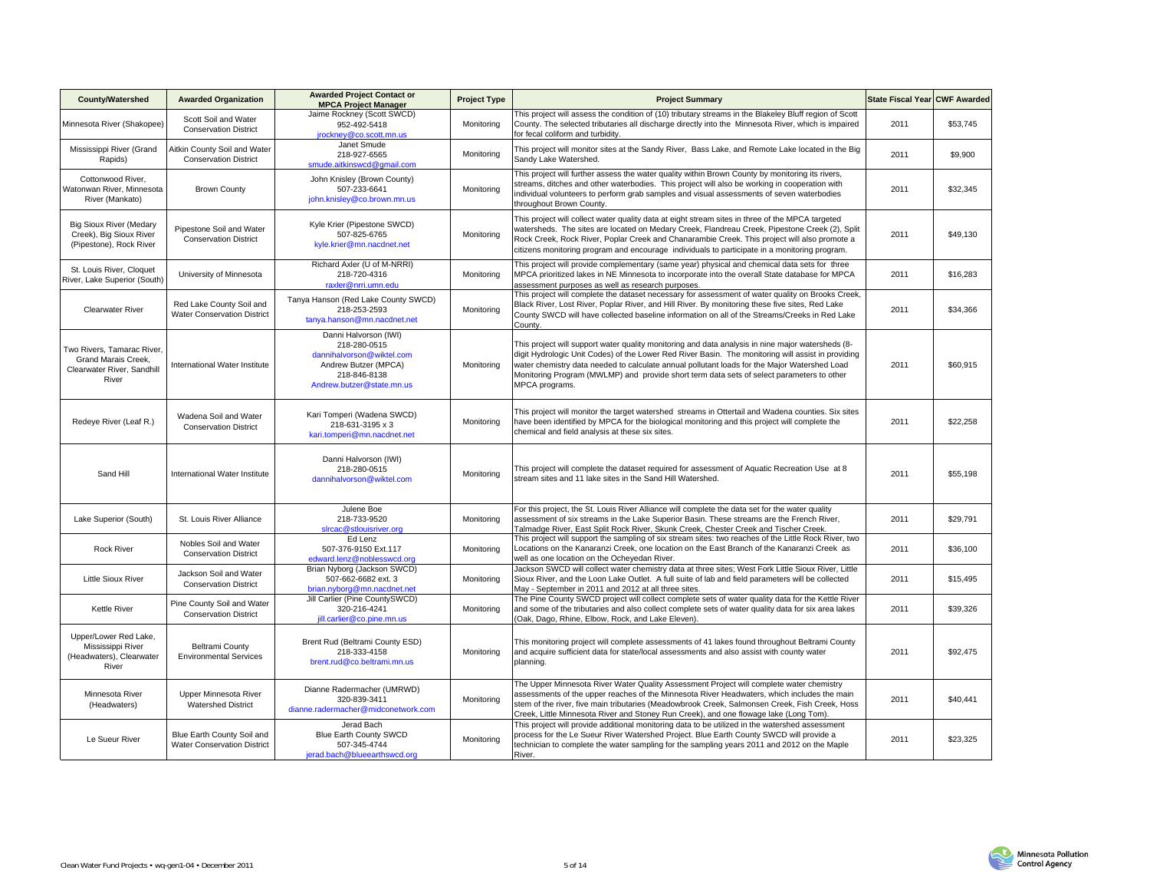| <b>County/Watershed</b>                                                                  | <b>Awarded Organization</b>                                      | <b>Awarded Project Contact or</b><br><b>MPCA Project Manager</b>                                                                        | <b>Project Type</b> | <b>Project Summary</b>                                                                                                                                                                                                                                                                                                                                                                                                 | State Fiscal Year CWF Awarded |          |
|------------------------------------------------------------------------------------------|------------------------------------------------------------------|-----------------------------------------------------------------------------------------------------------------------------------------|---------------------|------------------------------------------------------------------------------------------------------------------------------------------------------------------------------------------------------------------------------------------------------------------------------------------------------------------------------------------------------------------------------------------------------------------------|-------------------------------|----------|
| Minnesota River (Shakopee)                                                               | Scott Soil and Water<br><b>Conservation District</b>             | Jaime Rockney (Scott SWCD)<br>952-492-5418<br>jrockney@co.scott.mn.us                                                                   | Monitoring          | This project will assess the condition of (10) tributary streams in the Blakeley Bluff region of Scott<br>County. The selected tributaries all discharge directly into the Minnesota River, which is impaired<br>for fecal coliform and turbidity.                                                                                                                                                                     | 2011                          | \$53,745 |
| Mississippi River (Grand<br>Rapids)                                                      | Aitkin County Soil and Water<br><b>Conservation District</b>     | Janet Smude<br>218-927-6565<br>smude.aitkinswcd@qmail.com                                                                               | Monitoring          | This project will monitor sites at the Sandy River, Bass Lake, and Remote Lake located in the Big<br>Sandy Lake Watershed.                                                                                                                                                                                                                                                                                             | 2011                          | \$9,900  |
| Cottonwood River.<br>Watonwan River, Minnesota<br>River (Mankato)                        | <b>Brown County</b>                                              | John Knisley (Brown County)<br>507-233-6641<br>john.knisley@co.brown.mn.us                                                              | Monitoring          | This project will further assess the water quality within Brown County by monitoring its rivers,<br>streams, ditches and other waterbodies. This project will also be working in cooperation with<br>individual volunteers to perform grab samples and visual assessments of seven waterbodies<br>throughout Brown County.                                                                                             | 2011                          | \$32,345 |
| <b>Big Sioux River (Medary</b><br>Creek), Big Sioux River<br>(Pipestone), Rock River     | Pipestone Soil and Water<br><b>Conservation District</b>         | Kyle Krier (Pipestone SWCD)<br>507-825-6765<br>kyle.krier@mn.nacdnet.net                                                                | Monitorina          | This project will collect water quality data at eight stream sites in three of the MPCA targeted<br>watersheds. The sites are located on Medary Creek, Flandreau Creek, Pipestone Creek (2), Split<br>Rock Creek, Rock River, Poplar Creek and Chanarambie Creek. This project will also promote a<br>citizens monitoring program and encourage individuals to participate in a monitoring program.                    | 2011                          | \$49,130 |
| St. Louis River, Cloquet<br>River, Lake Superior (South)                                 | University of Minnesota                                          | Richard Axler (U of M-NRRI)<br>218-720-4316<br>raxler@nrri.umn.edu                                                                      | Monitoring          | This project will provide complementary (same year) physical and chemical data sets for three<br>MPCA prioritized lakes in NE Minnesota to incorporate into the overall State database for MPCA<br>assessment purposes as well as research purposes.                                                                                                                                                                   | 2011                          | \$16,283 |
| <b>Clearwater River</b>                                                                  | Red Lake County Soil and<br><b>Water Conservation District</b>   | Tanya Hanson (Red Lake County SWCD)<br>218-253-2593<br>tanya.hanson@mn.nacdnet.net                                                      | Monitoring          | This project will complete the dataset necessary for assessment of water quality on Brooks Creek,<br>Black River, Lost River, Poplar River, and Hill River. By monitoring these five sites, Red Lake<br>County SWCD will have collected baseline information on all of the Streams/Creeks in Red Lake<br>County.                                                                                                       | 2011                          | \$34,366 |
| Two Rivers, Tamarac River,<br>Grand Marais Creek,<br>Clearwater River, Sandhill<br>River | International Water Institute                                    | Danni Halvorson (IWI)<br>218-280-0515<br>dannihalvorson@wiktel.com<br>Andrew Butzer (MPCA)<br>218-846-8138<br>Andrew.butzer@state.mn.us | Monitorina          | This project will support water quality monitoring and data analysis in nine major watersheds (8-<br>digit Hydrologic Unit Codes) of the Lower Red River Basin. The monitoring will assist in providing<br>water chemistry data needed to calculate annual pollutant loads for the Major Watershed Load<br>Monitoring Program (MWLMP) and provide short term data sets of select parameters to other<br>MPCA programs. | 2011                          | \$60,915 |
| Redeye River (Leaf R.)                                                                   | Wadena Soil and Water<br><b>Conservation District</b>            | Kari Tomperi (Wadena SWCD)<br>218-631-3195 x 3<br>kari.tomperi@mn.nacdnet.net                                                           | Monitoring          | This project will monitor the target watershed streams in Ottertail and Wadena counties. Six sites<br>have been identified by MPCA for the biological monitoring and this project will complete the<br>chemical and field analysis at these six sites.                                                                                                                                                                 | 2011                          | \$22,258 |
| Sand Hill                                                                                | International Water Institute                                    | Danni Halvorson (IWI)<br>218-280-0515<br>dannihalvorson@wiktel.com                                                                      | Monitoring          | This project will complete the dataset required for assessment of Aquatic Recreation Use at 8<br>stream sites and 11 lake sites in the Sand Hill Watershed.                                                                                                                                                                                                                                                            | 2011                          | \$55,198 |
| Lake Superior (South)                                                                    | St. Louis River Alliance                                         | Julene Boe<br>218-733-9520<br>sircac@stlouisriver.org                                                                                   | Monitoring          | For this project, the St. Louis River Alliance will complete the data set for the water quality<br>assessment of six streams in the Lake Superior Basin. These streams are the French River,<br>Talmadge River, East Split Rock River, Skunk Creek, Chester Creek and Tischer Creek.                                                                                                                                   | 2011                          | \$29,791 |
| <b>Rock River</b>                                                                        | Nobles Soil and Water<br><b>Conservation District</b>            | Ed Lenz<br>507-376-9150 Ext.117<br>edward.lenz@noblesswcd.org                                                                           | Monitoring          | This project will support the sampling of six stream sites: two reaches of the Little Rock River, two<br>Locations on the Kanaranzi Creek, one location on the East Branch of the Kanaranzi Creek as<br>well as one location on the Ocheyedan River.                                                                                                                                                                   | 2011                          | \$36,100 |
| <b>Little Sioux River</b>                                                                | Jackson Soil and Water<br><b>Conservation District</b>           | Brian Nyborg (Jackson SWCD)<br>507-662-6682 ext. 3<br>brian.nyborg@mn.nacdnet.net                                                       | Monitoring          | Jackson SWCD will collect water chemistry data at three sites; West Fork Little Sioux River, Little<br>Sioux River, and the Loon Lake Outlet. A full suite of lab and field parameters will be collected<br>May - September in 2011 and 2012 at all three sites.                                                                                                                                                       | 2011                          | \$15,495 |
| <b>Kettle River</b>                                                                      | Pine County Soil and Water<br><b>Conservation District</b>       | Jill Carlier (Pine CountySWCD)<br>320-216-4241<br>jill.carlier@co.pine.mn.us                                                            | Monitoring          | The Pine County SWCD project will collect complete sets of water quality data for the Kettle River<br>and some of the tributaries and also collect complete sets of water quality data for six area lakes<br>(Oak, Dago, Rhine, Elbow, Rock, and Lake Eleven).                                                                                                                                                         | 2011                          | \$39,326 |
| Upper/Lower Red Lake,<br>Mississippi River<br>(Headwaters), Clearwater<br>River          | <b>Beltrami County</b><br><b>Environmental Services</b>          | Brent Rud (Beltrami County ESD)<br>218-333-4158<br>brent.rud@co.beltrami.mn.us                                                          | Monitoring          | This monitoring project will complete assessments of 41 lakes found throughout Beltrami County<br>and acquire sufficient data for state/local assessments and also assist with county water<br>planning.                                                                                                                                                                                                               | 2011                          | \$92,475 |
| Minnesota River<br>(Headwaters)                                                          | Upper Minnesota River<br><b>Watershed District</b>               | Dianne Radermacher (UMRWD)<br>320-839-3411<br>dianne.radermacher@midconetwork.com                                                       | Monitoring          | The Upper Minnesota River Water Quality Assessment Project will complete water chemistry<br>assessments of the upper reaches of the Minnesota River Headwaters, which includes the main<br>stem of the river, five main tributaries (Meadowbrook Creek, Salmonsen Creek, Fish Creek, Hoss<br>Creek, Little Minnesota River and Stoney Run Creek), and one flowage lake (Long Tom).                                     | 2011                          | \$40,441 |
| Le Sueur River                                                                           | Blue Earth County Soil and<br><b>Water Conservation District</b> | Jerad Bach<br><b>Blue Earth County SWCD</b><br>507-345-4744<br>ierad.bach@blueearthswcd.org                                             | Monitoring          | This project will provide additional monitoring data to be utilized in the watershed assessment<br>process for the Le Sueur River Watershed Proiect. Blue Earth County SWCD will provide a<br>technician to complete the water sampling for the sampling years 2011 and 2012 on the Maple<br>River.                                                                                                                    | 2011                          | \$23,325 |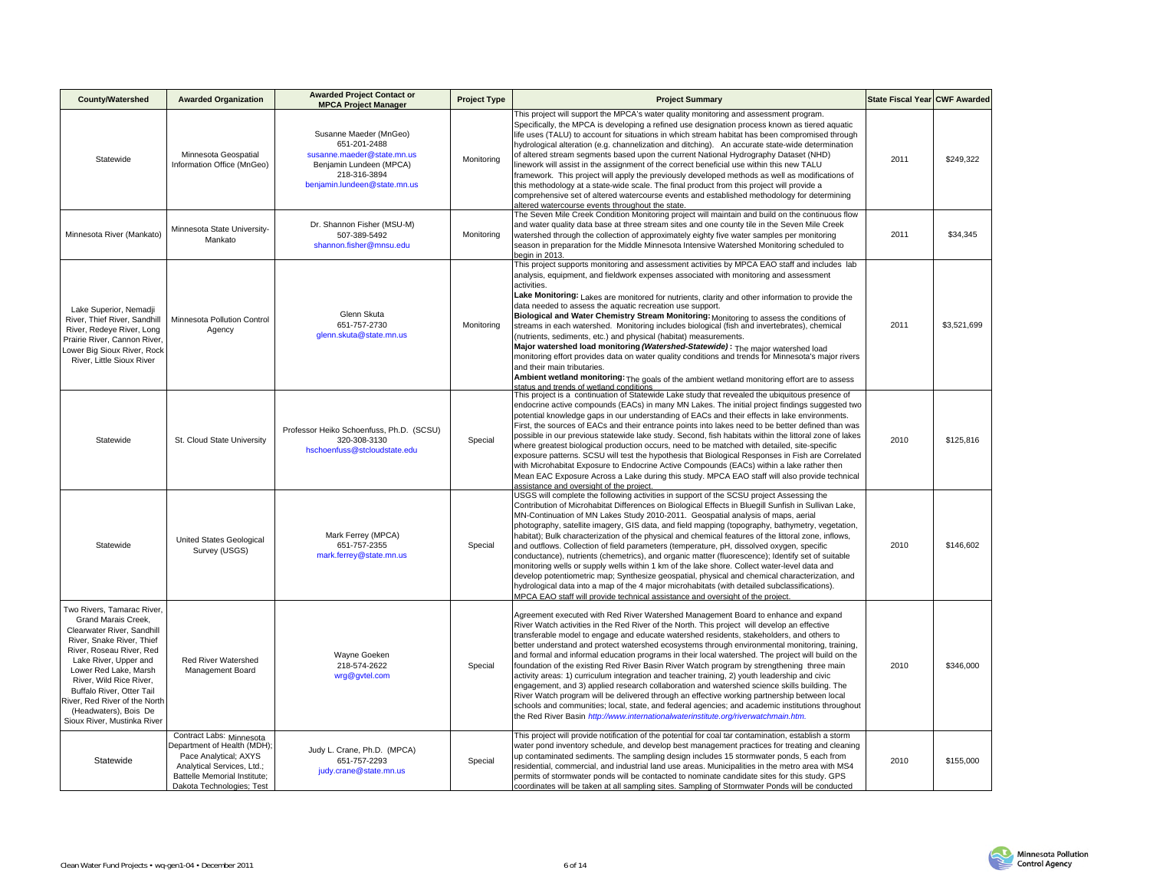| <b>County/Watershed</b>                                                                                                                                                                                                                                                                                                                     | <b>Awarded Organization</b>                                                                                                                                                 | <b>Awarded Project Contact or</b><br><b>MPCA Project Manager</b>                                                                                | <b>Project Type</b> | <b>Project Summary</b>                                                                                                                                                                                                                                                                                                                                                                                                                                                                                                                                                                                                                                                                                                                                                                                                                                                                                                                                                                                                                                                                  | State Fiscal Year CWF Awarded |             |
|---------------------------------------------------------------------------------------------------------------------------------------------------------------------------------------------------------------------------------------------------------------------------------------------------------------------------------------------|-----------------------------------------------------------------------------------------------------------------------------------------------------------------------------|-------------------------------------------------------------------------------------------------------------------------------------------------|---------------------|-----------------------------------------------------------------------------------------------------------------------------------------------------------------------------------------------------------------------------------------------------------------------------------------------------------------------------------------------------------------------------------------------------------------------------------------------------------------------------------------------------------------------------------------------------------------------------------------------------------------------------------------------------------------------------------------------------------------------------------------------------------------------------------------------------------------------------------------------------------------------------------------------------------------------------------------------------------------------------------------------------------------------------------------------------------------------------------------|-------------------------------|-------------|
| Statewide                                                                                                                                                                                                                                                                                                                                   | Minnesota Geospatial<br>Information Office (MnGeo)                                                                                                                          | Susanne Maeder (MnGeo)<br>651-201-2488<br>susanne.maeder@state.mn.us<br>Benjamin Lundeen (MPCA)<br>218-316-3894<br>benjamin.lundeen@state.mn.us | Monitoring          | This project will support the MPCA's water quality monitoring and assessment program.<br>Specifically, the MPCA is developing a refined use designation process known as tiered aquatic<br>life uses (TALU) to account for situations in which stream habitat has been compromised through<br>hydrological alteration (e.g. channelization and ditching). An accurate state-wide determination<br>of altered stream segments based upon the current National Hydrography Dataset (NHD)<br>linework will assist in the assignment of the correct beneficial use within this new TALU<br>framework. This project will apply the previously developed methods as well as modifications of<br>this methodology at a state-wide scale. The final product from this project will provide a<br>comprehensive set of altered watercourse events and established methodology for determining<br>altered watercourse events throughout the state.                                                                                                                                                 | 2011                          | \$249,322   |
| Minnesota River (Mankato)                                                                                                                                                                                                                                                                                                                   | Minnesota State University-<br>Mankato                                                                                                                                      | Dr. Shannon Fisher (MSU-M)<br>507-389-5492<br>shannon.fisher@mnsu.edu                                                                           | Monitorina          | The Seven Mile Creek Condition Monitoring project will maintain and build on the continuous flow<br>and water quality data base at three stream sites and one county tile in the Seven Mile Creek<br>watershed through the collection of approximately eighty five water samples per monitoring<br>season in preparation for the Middle Minnesota Intensive Watershed Monitoring scheduled to<br>egin in 2013.                                                                                                                                                                                                                                                                                                                                                                                                                                                                                                                                                                                                                                                                          | 2011                          | \$34,345    |
| Lake Superior, Nemadji<br>River, Thief River, Sandhill<br>River, Redeye River, Long<br>Prairie River, Cannon River.<br>ower Big Sioux River, Rock<br>River, Little Sioux River                                                                                                                                                              | Minnesota Pollution Control<br>Agency                                                                                                                                       | Glenn Skuta<br>651-757-2730<br>glenn.skuta@state.mn.us                                                                                          | Monitorina          | This project supports monitoring and assessment activities by MPCA EAO staff and includes lab<br>analysis, equipment, and fieldwork expenses associated with monitoring and assessment<br>activities.<br>Lake Monitoring: Lakes are monitored for nutrients, clarity and other information to provide the<br>data needed to assess the aquatic recreation use support.<br>Biological and Water Chemistry Stream Monitoring: Monitoring to assess the conditions of<br>streams in each watershed. Monitoring includes biological (fish and invertebrates), chemical<br>(nutrients, sediments, etc.) and physical (habitat) measurements.<br>Major watershed load monitoring (Watershed-Statewide): The major watershed load<br>monitoring effort provides data on water quality conditions and trends for Minnesota's major rivers<br>and their main tributaries.<br>Ambient wetland monitoring: The goals of the ambient wetland monitoring effort are to assess<br>status and trends of wetland conditions                                                                             | 2011                          | \$3,521,699 |
| Statewide                                                                                                                                                                                                                                                                                                                                   | St. Cloud State University                                                                                                                                                  | Professor Heiko Schoenfuss, Ph.D. (SCSU)<br>320-308-3130<br>hschoenfuss@stcloudstate.edu                                                        | Special             | This project is a continuation of Statewide Lake study that revealed the ubiquitous presence of<br>endocrine active compounds (EACs) in many MN Lakes. The initial project findings suggested two<br>potential knowledge gaps in our understanding of EACs and their effects in lake environments.<br>First, the sources of EACs and their entrance points into lakes need to be better defined than was<br>possible in our previous statewide lake study. Second, fish habitats within the littoral zone of lakes<br>where greatest biological production occurs, need to be matched with detailed, site-specific<br>exposure patterns. SCSU will test the hypothesis that Biological Responses in Fish are Correlated<br>with Microhabitat Exposure to Endocrine Active Compounds (EACs) within a lake rather then<br>Mean EAC Exposure Across a Lake during this study. MPCA EAO staff will also provide technical<br>assistance and oversight of the project.                                                                                                                       | 2010                          | \$125,816   |
| Statewide                                                                                                                                                                                                                                                                                                                                   | <b>United States Geological</b><br>Survey (USGS)                                                                                                                            | Mark Ferrey (MPCA)<br>651-757-2355<br>mark.ferrey@state.mn.us                                                                                   | Special             | USGS will complete the following activities in support of the SCSU project Assessing the<br>Contribution of Microhabitat Differences on Biological Effects in Bluegill Sunfish in Sullivan Lake,<br>MN-Continuation of MN Lakes Study 2010-2011. Geospatial analysis of maps, aerial<br>photography, satellite imagery, GIS data, and field mapping (topography, bathymetry, vegetation,<br>habitat); Bulk characterization of the physical and chemical features of the littoral zone, inflows,<br>and outflows. Collection of field parameters (temperature, pH, dissolved oxygen, specific<br>conductance), nutrients (chemetrics), and organic matter (fluorescence); Identify set of suitable<br>monitoring wells or supply wells within 1 km of the lake shore. Collect water-level data and<br>develop potentiometric map; Synthesize geospatial, physical and chemical characterization, and<br>hydrological data into a map of the 4 major microhabitats (with detailed subclassifications).<br>MPCA EAO staff will provide technical assistance and oversight of the project. | 2010                          | \$146,602   |
| Two Rivers, Tamarac River,<br>Grand Marais Creek.<br>Clearwater River, Sandhill<br>River, Snake River, Thief<br>River, Roseau River, Red<br>Lake River, Upper and<br>Lower Red Lake, Marsh<br>River, Wild Rice River,<br>Buffalo River, Otter Tail<br>River, Red River of the North<br>(Headwaters), Bois De<br>Sioux River, Mustinka River | Red River Watershed<br>Management Board                                                                                                                                     | Wayne Goeken<br>218-574-2622<br>wrg@gvtel.com                                                                                                   | Special             | Agreement executed with Red River Watershed Management Board to enhance and expand<br>River Watch activities in the Red River of the North. This project will develop an effective<br>transferable model to engage and educate watershed residents, stakeholders, and others to<br>better understand and protect watershed ecosystems through environmental monitoring, training,<br>and formal and informal education programs in their local watershed. The project will build on the<br>foundation of the existing Red River Basin River Watch program by strengthening three main<br>activity areas: 1) curriculum integration and teacher training, 2) youth leadership and civic<br>engagement, and 3) applied research collaboration and watershed science skills building. The<br>River Watch program will be delivered through an effective working partnership between local<br>schools and communities; local, state, and federal agencies; and academic institutions throughout<br>the Red River Basin http://www.internationalwaterinstitute.org/riverwatchmain.htm.       | 2010                          | \$346,000   |
| Statewide                                                                                                                                                                                                                                                                                                                                   | Contract Labs: Minnesota<br>Department of Health (MDH);<br>Pace Analytical: AXYS<br>Analytical Services, Ltd.;<br>Battelle Memorial Institute;<br>Dakota Technologies; Test | Judy L. Crane, Ph.D. (MPCA)<br>651-757-2293<br>judy.crane@state.mn.us                                                                           | Special             | This project will provide notification of the potential for coal tar contamination, establish a storm<br>water pond inventory schedule, and develop best management practices for treating and cleaning<br>up contaminated sediments. The sampling design includes 15 stormwater ponds, 5 each from<br>residential, commercial, and industrial land use areas. Municipalities in the metro area with MS4<br>permits of stormwater ponds will be contacted to nominate candidate sites for this study. GPS<br>coordinates will be taken at all sampling sites. Sampling of Stormwater Ponds will be conducted                                                                                                                                                                                                                                                                                                                                                                                                                                                                            | 2010                          | \$155,000   |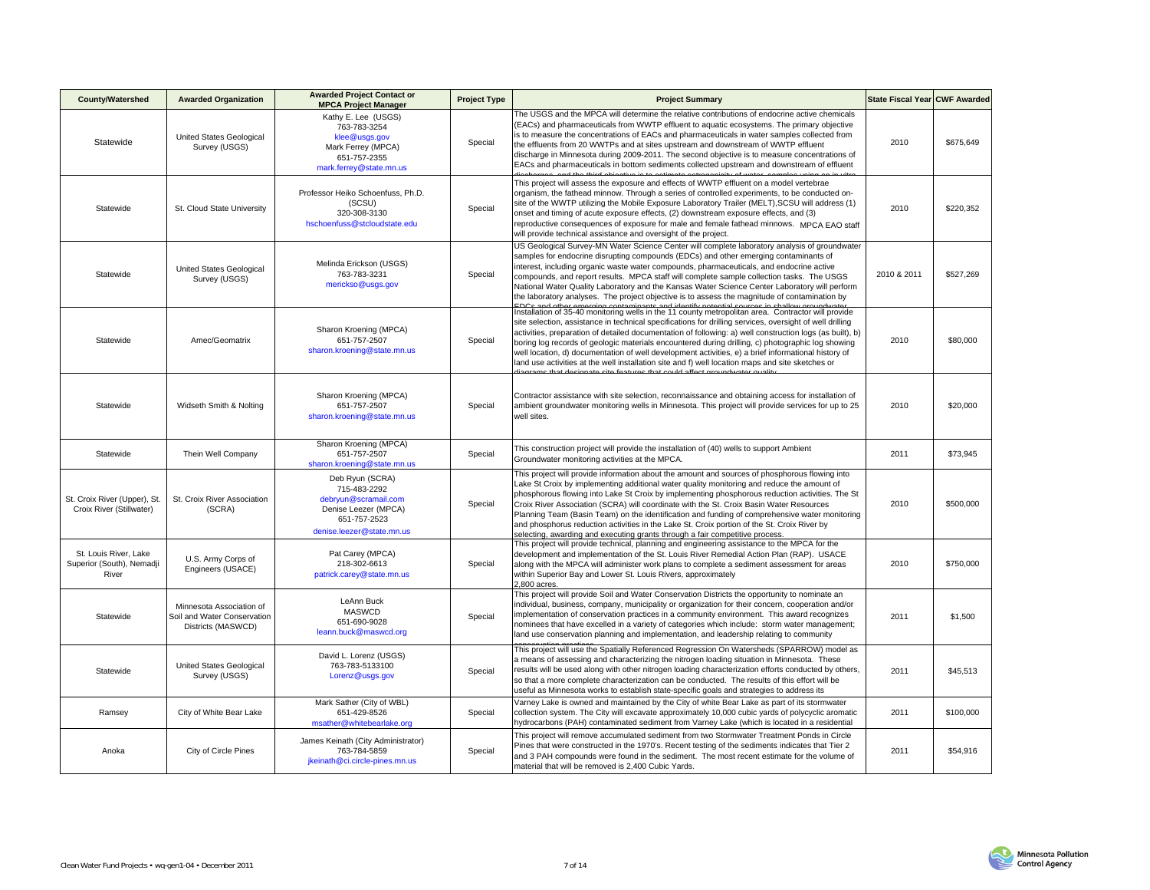| County/Watershed                                            | <b>Awarded Organization</b>                                                   | <b>Awarded Project Contact or</b><br><b>MPCA Project Manager</b>                                                             | <b>Project Type</b> | <b>Project Summary</b>                                                                                                                                                                                                                                                                                                                                                                                                                                                                                                                                                                                                                                                      | State Fiscal Year CWF Awarded |           |
|-------------------------------------------------------------|-------------------------------------------------------------------------------|------------------------------------------------------------------------------------------------------------------------------|---------------------|-----------------------------------------------------------------------------------------------------------------------------------------------------------------------------------------------------------------------------------------------------------------------------------------------------------------------------------------------------------------------------------------------------------------------------------------------------------------------------------------------------------------------------------------------------------------------------------------------------------------------------------------------------------------------------|-------------------------------|-----------|
| Statewide                                                   | United States Geological<br>Survey (USGS)                                     | Kathy E. Lee (USGS)<br>763-783-3254<br>klee@usgs.gov<br>Mark Ferrey (MPCA)<br>651-757-2355<br>mark.ferrey@state.mn.us        | Special             | The USGS and the MPCA will determine the relative contributions of endocrine active chemicals<br>(EACs) and pharmaceuticals from WWTP effluent to aquatic ecosystems. The primary objective<br>is to measure the concentrations of EACs and pharmaceuticals in water samples collected from<br>the effluents from 20 WWTPs and at sites upstream and downstream of WWTP effluent<br>discharge in Minnesota during 2009-2011. The second objective is to measure concentrations of<br>EACs and pharmaceuticals in bottom sediments collected upstream and downstream of effluent                                                                                             | 2010                          | \$675.649 |
| Statewide                                                   | St. Cloud State University                                                    | Professor Heiko Schoenfuss, Ph.D.<br>(SCSU)<br>320-308-3130<br>hschoenfuss@stcloudstate.edu                                  | Special             | This project will assess the exposure and effects of WWTP effluent on a model vertebrae<br>organism, the fathead minnow. Through a series of controlled experiments, to be conducted on-<br>site of the WWTP utilizing the Mobile Exposure Laboratory Trailer (MELT), SCSU will address (1)<br>onset and timing of acute exposure effects. (2) downstream exposure effects, and (3)<br>reproductive consequences of exposure for male and female fathead minnows. MPCA EAO staff<br>will provide technical assistance and oversight of the project.                                                                                                                         | 2010                          | \$220,352 |
| Statewide                                                   | United States Geological<br>Survey (USGS)                                     | Melinda Erickson (USGS)<br>763-783-3231<br>merickso@usgs.gov                                                                 | Special             | US Geological Survey-MN Water Science Center will complete laboratory analysis of groundwater<br>samples for endocrine disrupting compounds (EDCs) and other emerging contaminants of<br>interest, including organic waste water compounds, pharmaceuticals, and endocrine active<br>compounds, and report results. MPCA staff will complete sample collection tasks. The USGS<br>National Water Quality Laboratory and the Kansas Water Science Center Laboratory will perform<br>the laboratory analyses. The project objective is to assess the magnitude of contamination by                                                                                            | 2010 & 2011                   | \$527,269 |
| Statewide                                                   | Amec/Geomatrix                                                                | Sharon Kroening (MPCA)<br>651-757-2507<br>sharon.kroening@state.mn.us                                                        | Special             | Installation of 35-40 monitoring wells in the 11 county metropolitan area. Contractor will provide<br>site selection, assistance in technical specifications for drilling services, oversight of well drilling<br>activities, preparation of detailed documentation of following: a) well construction logs (as built), b)<br>boring log records of geologic materials encountered during drilling, c) photographic log showing<br>well location, d) documentation of well development activities, e) a brief informational history of<br>land use activities at the well installation site and f) well location maps and site sketches or                                  | 2010                          | \$80,000  |
| Statewide                                                   | Widseth Smith & Nolting                                                       | Sharon Kroening (MPCA)<br>651-757-2507<br>sharon.kroening@state.mn.us                                                        | Special             | Contractor assistance with site selection, reconnaissance and obtaining access for installation of<br>ambient groundwater monitoring wells in Minnesota. This project will provide services for up to 25<br>well sites.                                                                                                                                                                                                                                                                                                                                                                                                                                                     | 2010                          | \$20,000  |
| Statewide                                                   | Thein Well Company                                                            | Sharon Kroening (MPCA)<br>651-757-2507<br>sharon.kroening@state.mn.us                                                        | Special             | This construction project will provide the installation of (40) wells to support Ambient<br>Groundwater monitoring activities at the MPCA.                                                                                                                                                                                                                                                                                                                                                                                                                                                                                                                                  | 2011                          | \$73,945  |
| St. Croix River (Upper), St.<br>Croix River (Stillwater)    | St. Croix River Association<br>(SCRA)                                         | Deb Ryun (SCRA)<br>715-483-2292<br>debryun@scramail.com<br>Denise Leezer (MPCA)<br>651-757-2523<br>denise.leezer@state.mn.us | Special             | This project will provide information about the amount and sources of phosphorous flowing into<br>Lake St Croix by implementing additional water quality monitoring and reduce the amount of<br>phosphorous flowing into Lake St Croix by implementing phosphorous reduction activities. The St<br>Croix River Association (SCRA) will coordinate with the St. Croix Basin Water Resources<br>Planning Team (Basin Team) on the identification and funding of comprehensive water monitoring<br>and phosphorus reduction activities in the Lake St. Croix portion of the St. Croix River by<br>selecting, awarding and executing grants through a fair competitive process. | 2010                          | \$500,000 |
| St. Louis River, Lake<br>Superior (South), Nemadji<br>River | U.S. Army Corps of<br>Engineers (USACE)                                       | Pat Carey (MPCA)<br>218-302-6613<br>patrick.carey@state.mn.us                                                                | Special             | This project will provide technical, planning and engineering assistance to the MPCA for the<br>development and implementation of the St. Louis River Remedial Action Plan (RAP). USACE<br>along with the MPCA will administer work plans to complete a sediment assessment for areas<br>within Superior Bay and Lower St. Louis Rivers, approximately<br>$2.800$ acres.                                                                                                                                                                                                                                                                                                    | 2010                          | \$750,000 |
| Statewide                                                   | Minnesota Association of<br>Soil and Water Conservation<br>Districts (MASWCD) | LeAnn Buck<br>MASWCD<br>651-690-9028<br>leann.buck@maswcd.org                                                                | Special             | This project will provide Soil and Water Conservation Districts the opportunity to nominate an<br>individual, business, company, municipality or organization for their concern, cooperation and/or<br>implementation of conservation practices in a community environment. This award recognizes<br>nominees that have excelled in a variety of categories which include: storm water management;<br>land use conservation planning and implementation, and leadership relating to community                                                                                                                                                                               | 2011                          | \$1,500   |
| Statewide                                                   | United States Geological<br>Survey (USGS)                                     | David L. Lorenz (USGS)<br>763-783-5133100<br>Lorenz@usgs.gov                                                                 | Special             | This project will use the Spatially Referenced Regression On Watersheds (SPARROW) model as<br>a means of assessing and characterizing the nitrogen loading situation in Minnesota. These<br>results will be used along with other nitrogen loading characterization efforts conducted by others,<br>so that a more complete characterization can be conducted. The results of this effort will be<br>useful as Minnesota works to establish state-specific goals and strategies to address its                                                                                                                                                                              | 2011                          | \$45,513  |
| Ramsey                                                      | City of White Bear Lake                                                       | Mark Sather (City of WBL)<br>651-429-8526<br>msather@whitebearlake.org                                                       | Special             | Varney Lake is owned and maintained by the City of white Bear Lake as part of its stormwater<br>collection system. The City will excavate approximately 10,000 cubic yards of polycyclic aromatic<br>hydrocarbons (PAH) contaminated sediment from Varney Lake (which is located in a residential                                                                                                                                                                                                                                                                                                                                                                           | 2011                          | \$100,000 |
| Anoka                                                       | City of Circle Pines                                                          | James Keinath (City Administrator)<br>763-784-5859<br>jkeinath@ci.circle-pines.mn.us                                         | Special             | This project will remove accumulated sediment from two Stormwater Treatment Ponds in Circle<br>Pines that were constructed in the 1970's. Recent testing of the sediments indicates that Tier 2<br>and 3 PAH compounds were found in the sediment. The most recent estimate for the volume of<br>material that will be removed is 2,400 Cubic Yards.                                                                                                                                                                                                                                                                                                                        | 2011                          | \$54,916  |

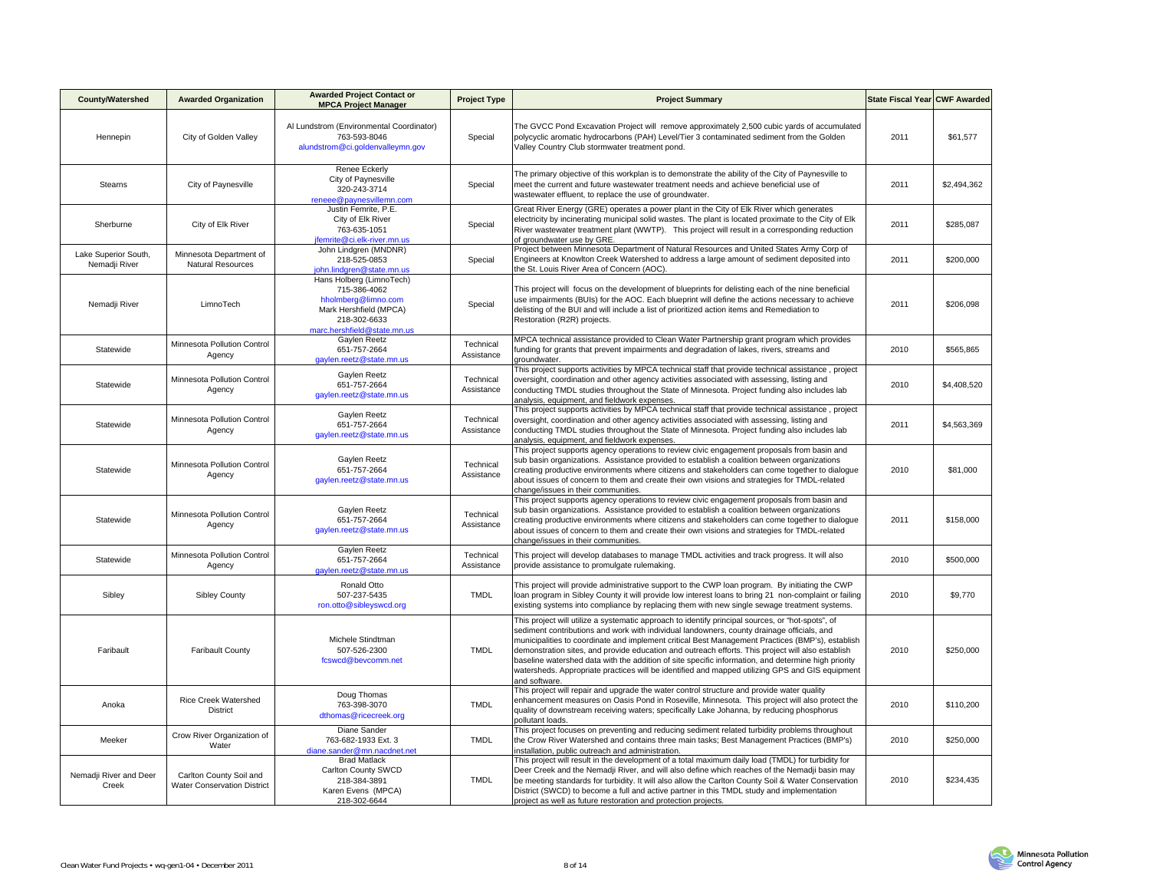| <b>County/Watershed</b>               | <b>Awarded Organization</b>                                   | <b>Awarded Project Contact or</b><br><b>MPCA Project Manager</b>                                                                         | <b>Project Type</b>     | <b>Project Summary</b>                                                                                                                                                                                                                                                                                                                                                                                                                                                                                                                                                                                                              | State Fiscal Year CWF Awarded |             |
|---------------------------------------|---------------------------------------------------------------|------------------------------------------------------------------------------------------------------------------------------------------|-------------------------|-------------------------------------------------------------------------------------------------------------------------------------------------------------------------------------------------------------------------------------------------------------------------------------------------------------------------------------------------------------------------------------------------------------------------------------------------------------------------------------------------------------------------------------------------------------------------------------------------------------------------------------|-------------------------------|-------------|
| Hennepin                              | City of Golden Valley                                         | Al Lundstrom (Environmental Coordinator)<br>763-593-8046<br>alundstrom@ci.goldenvalleymn.gov                                             | Special                 | The GVCC Pond Excavation Project will remove approximately 2,500 cubic yards of accumulated<br>polycyclic aromatic hydrocarbons (PAH) Level/Tier 3 contaminated sediment from the Golden<br>Valley Country Club stormwater treatment pond.                                                                                                                                                                                                                                                                                                                                                                                          | 2011                          | \$61,577    |
| Stearns                               | City of Paynesville                                           | Renee Eckerly<br>City of Paynesville<br>320-243-3714<br>reneee@paynesvillemn.com                                                         | Special                 | The primary objective of this workplan is to demonstrate the ability of the City of Paynesville to<br>meet the current and future wastewater treatment needs and achieve beneficial use of<br>wastewater effluent, to replace the use of groundwater.                                                                                                                                                                                                                                                                                                                                                                               | 2011                          | \$2,494,362 |
| Sherburne                             | City of Elk River                                             | Justin Femrite, P.E.<br>City of Elk River<br>763-635-1051<br>ifemrite@ci.elk-river.mn.us                                                 | Special                 | Great River Energy (GRE) operates a power plant in the City of Elk River which generates<br>electricity by incinerating municipal solid wastes. The plant is located proximate to the City of Elk<br>River wastewater treatment plant (WWTP). This project will result in a corresponding reduction<br>of groundwater use by GRE.                                                                                                                                                                                                                                                                                                   | 2011                          | \$285,087   |
| Lake Superior South,<br>Nemadji River | Minnesota Department of<br>Natural Resources                  | John Lindgren (MNDNR)<br>218-525-0853<br>john.lindgren@state.mn.us                                                                       | Special                 | Project between Minnesota Department of Natural Resources and United States Army Corp of<br>Engineers at Knowlton Creek Watershed to address a large amount of sediment deposited into<br>the St. Louis River Area of Concern (AOC).                                                                                                                                                                                                                                                                                                                                                                                                | 2011                          | \$200,000   |
| Nemadji River                         | LimnoTech                                                     | Hans Holberg (LimnoTech)<br>715-386-4062<br>hholmberg@limno.com<br>Mark Hershfield (MPCA)<br>218-302-6633<br>marc.hershfield@state.mn.us | Special                 | This project will focus on the development of blueprints for delisting each of the nine beneficial<br>use impairments (BUIs) for the AOC. Each blueprint will define the actions necessary to achieve<br>delisting of the BUI and will include a list of prioritized action items and Remediation to<br>Restoration (R2R) projects.                                                                                                                                                                                                                                                                                                 | 2011                          | \$206,098   |
| Statewide                             | Minnesota Pollution Control<br>Agency                         | Gaylen Reetz<br>651-757-2664<br>gaylen.reetz@state.mn.us                                                                                 | Technical<br>Assistance | MPCA technical assistance provided to Clean Water Partnership grant program which provides<br>unding for grants that prevent impairments and degradation of lakes, rivers, streams and<br>groundwater.                                                                                                                                                                                                                                                                                                                                                                                                                              | 2010                          | \$565,865   |
| Statewide                             | Minnesota Pollution Control<br>Agency                         | Gaylen Reetz<br>651-757-2664<br>gaylen.reetz@state.mn.us                                                                                 | Technical<br>Assistance | This project supports activities by MPCA technical staff that provide technical assistance, project<br>oversight, coordination and other agency activities associated with assessing, listing and<br>conducting TMDL studies throughout the State of Minnesota. Project funding also includes lab<br>analysis, equipment, and fieldwork expenses,                                                                                                                                                                                                                                                                                   | 2010                          | \$4,408,520 |
| Statewide                             | Minnesota Pollution Control<br>Agency                         | Gaylen Reetz<br>651-757-2664<br>gaylen.reetz@state.mn.us                                                                                 | Technical<br>Assistance | This project supports activities by MPCA technical staff that provide technical assistance, project<br>oversight, coordination and other agency activities associated with assessing, listing and<br>conducting TMDL studies throughout the State of Minnesota. Project funding also includes lab<br>analysis, equipment, and fieldwork expenses.                                                                                                                                                                                                                                                                                   | 2011                          | \$4,563,369 |
| Statewide                             | Minnesota Pollution Control<br>Agency                         | Gaylen Reetz<br>651-757-2664<br>gaylen.reetz@state.mn.us                                                                                 | Technical<br>Assistance | This project supports agency operations to review civic engagement proposals from basin and<br>sub basin organizations. Assistance provided to establish a coalition between organizations<br>creating productive environments where citizens and stakeholders can come together to dialogue<br>about issues of concern to them and create their own visions and strategies for TMDL-related<br>change/issues in their communities.                                                                                                                                                                                                 | 2010                          | \$81,000    |
| Statewide                             | Minnesota Pollution Control<br>Agency                         | Gaylen Reetz<br>651-757-2664<br>gaylen.reetz@state.mn.us                                                                                 | Technical<br>Assistance | This project supports agency operations to review civic engagement proposals from basin and<br>sub basin organizations. Assistance provided to establish a coalition between organizations<br>creating productive environments where citizens and stakeholders can come together to dialogue<br>about issues of concern to them and create their own visions and strategies for TMDL-related<br>change/issues in their communities.                                                                                                                                                                                                 | 2011                          | \$158,000   |
| Statewide                             | Minnesota Pollution Control<br>Agency                         | Gaylen Reetz<br>651-757-2664<br>gaylen.reetz@state.mn.us                                                                                 | Technical<br>Assistance | This project will develop databases to manage TMDL activities and track progress. It will also<br>provide assistance to promulgate rulemaking.                                                                                                                                                                                                                                                                                                                                                                                                                                                                                      | 2010                          | \$500,000   |
| Sibley                                | <b>Sibley County</b>                                          | Ronald Otto<br>507-237-5435<br>ron.otto@sibleyswcd.org                                                                                   | <b>TMDL</b>             | This project will provide administrative support to the CWP loan program. By initiating the CWP<br>loan program in Sibley County it will provide low interest loans to bring 21 non-complaint or failing<br>existing systems into compliance by replacing them with new single sewage treatment systems.                                                                                                                                                                                                                                                                                                                            | 2010                          | \$9,770     |
| Faribault                             | <b>Faribault County</b>                                       | Michele Stindtman<br>507-526-2300<br>fcswcd@bevcomm.net                                                                                  | <b>TMDL</b>             | This project will utilize a systematic approach to identify principal sources, or "hot-spots", of<br>sediment contributions and work with individual landowners, county drainage officials, and<br>municipalities to coordinate and implement critical Best Management Practices (BMP's), establish<br>demonstration sites, and provide education and outreach efforts. This project will also establish<br>baseline watershed data with the addition of site specific information, and determine high priority<br>watersheds. Appropriate practices will be identified and mapped utilizing GPS and GIS equipment<br>and software. | 2010                          | \$250,000   |
| Anoka                                 | <b>Rice Creek Watershed</b><br><b>District</b>                | Doug Thomas<br>763-398-3070<br>dthomas@ricecreek.org                                                                                     | <b>TMDL</b>             | This project will repair and upgrade the water control structure and provide water quality<br>enhancement measures on Oasis Pond in Roseville, Minnesota. This project will also protect the<br>quality of downstream receiving waters; specifically Lake Johanna, by reducing phosphorus<br>pollutant loads.                                                                                                                                                                                                                                                                                                                       | 2010                          | \$110,200   |
| Meeker                                | Crow River Organization of<br>Water                           | Diane Sander<br>763-682-1933 Ext. 3<br>diane.sander@mn.nacdnet.net                                                                       | <b>TMDL</b>             | This project focuses on preventing and reducing sediment related turbidity problems throughout<br>the Crow River Watershed and contains three main tasks; Best Management Practices (BMP's)<br>nstallation, public outreach and administration.                                                                                                                                                                                                                                                                                                                                                                                     | 2010                          | \$250,000   |
| Nemadji River and Deer<br>Creek       | Carlton County Soil and<br><b>Water Conservation District</b> | <b>Brad Matlack</b><br>Carlton County SWCD<br>218-384-3891<br>Karen Evens (MPCA)<br>218-302-6644                                         | <b>TMDL</b>             | This project will result in the development of a total maximum daily load (TMDL) for turbidity for<br>Deer Creek and the Nemadji River, and will also define which reaches of the Nemadji basin may<br>be meeting standards for turbidity. It will also allow the Carlton County Soil & Water Conservation<br>District (SWCD) to become a full and active partner in this TMDL study and implementation<br>project as well as future restoration and protection projects.                                                                                                                                                           | 2010                          | \$234,435   |

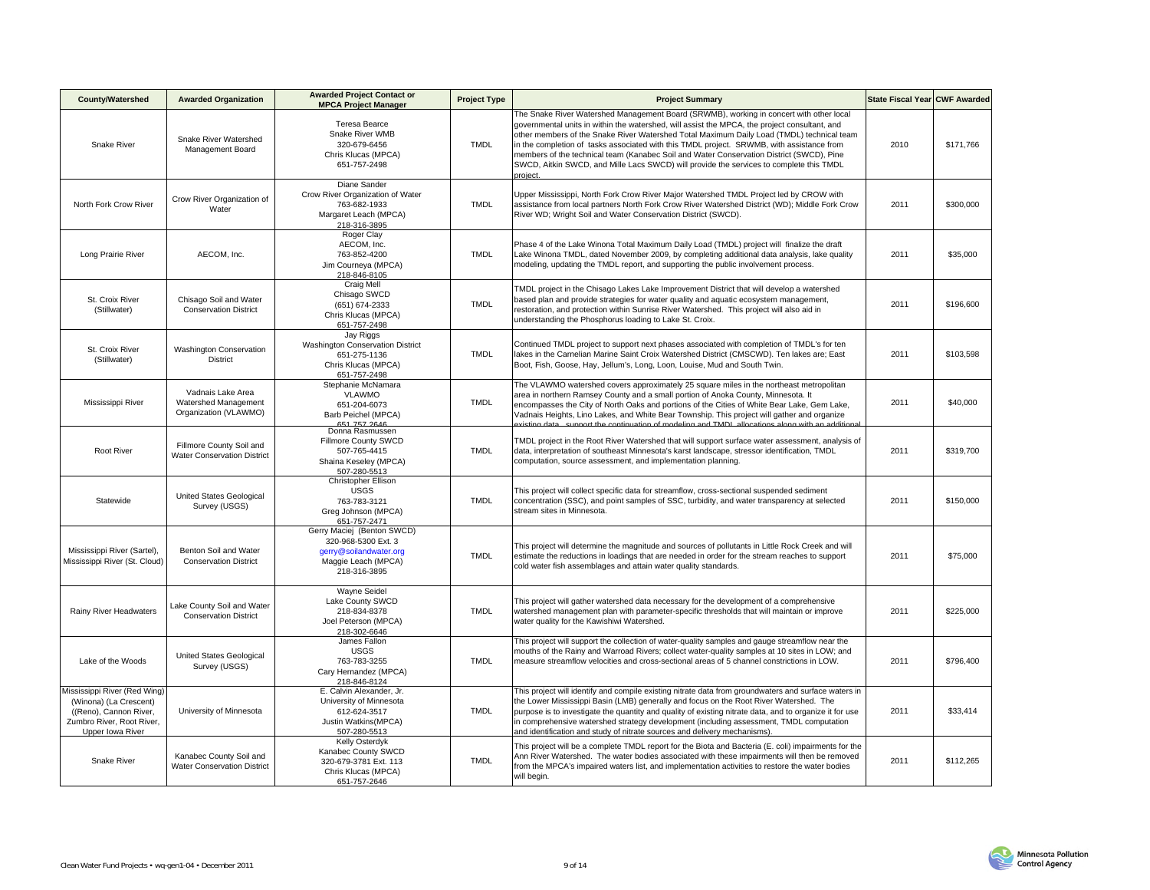| <b>County/Watershed</b>                                                                                                           | <b>Awarded Organization</b>                                        | <b>Awarded Project Contact or</b><br><b>MPCA Project Manager</b>                                                   | <b>Project Type</b> | <b>Project Summary</b>                                                                                                                                                                                                                                                                                                                                                                                                                                                                                                                                                                | State Fiscal Year CWF Awarded |           |
|-----------------------------------------------------------------------------------------------------------------------------------|--------------------------------------------------------------------|--------------------------------------------------------------------------------------------------------------------|---------------------|---------------------------------------------------------------------------------------------------------------------------------------------------------------------------------------------------------------------------------------------------------------------------------------------------------------------------------------------------------------------------------------------------------------------------------------------------------------------------------------------------------------------------------------------------------------------------------------|-------------------------------|-----------|
| Snake River                                                                                                                       | Snake River Watershed<br>Management Board                          | Teresa Bearce<br>Snake River WMB<br>320-679-6456<br>Chris Klucas (MPCA)<br>651-757-2498                            | <b>TMDL</b>         | The Snake River Watershed Management Board (SRWMB), working in concert with other local<br>governmental units in within the watershed, will assist the MPCA, the project consultant, and<br>other members of the Snake River Watershed Total Maximum Daily Load (TMDL) technical team<br>in the completion of tasks associated with this TMDL project. SRWMB, with assistance from<br>members of the technical team (Kanabec Soil and Water Conservation District (SWCD), Pine<br>SWCD, Aitkin SWCD, and Mille Lacs SWCD) will provide the services to complete this TMDL<br>project. | 2010                          | \$171,766 |
| North Fork Crow River                                                                                                             | Crow River Organization of<br>Water                                | Diane Sander<br>Crow River Organization of Water<br>763-682-1933<br>Margaret Leach (MPCA)<br>218-316-3895          | <b>TMDL</b>         | Upper Mississippi, North Fork Crow River Major Watershed TMDL Project led by CROW with<br>assistance from local partners North Fork Crow River Watershed District (WD); Middle Fork Crow<br>River WD; Wright Soil and Water Conservation District (SWCD).                                                                                                                                                                                                                                                                                                                             | 2011                          | \$300,000 |
| Long Prairie River                                                                                                                | AECOM, Inc.                                                        | Roger Clay<br>AECOM, Inc.<br>763-852-4200<br>Jim Courneya (MPCA)<br>218-846-8105                                   | <b>TMDL</b>         | Phase 4 of the Lake Winona Total Maximum Daily Load (TMDL) project will finalize the draft<br>Lake Winona TMDL, dated November 2009, by completing additional data analysis, lake quality<br>modeling, updating the TMDL report, and supporting the public involvement process.                                                                                                                                                                                                                                                                                                       | 2011                          | \$35,000  |
| St. Croix River<br>(Stillwater)                                                                                                   | Chisago Soil and Water<br><b>Conservation District</b>             | Craig Mell<br>Chisago SWCD<br>(651) 674-2333<br>Chris Klucas (MPCA)<br>651-757-2498                                | <b>TMDL</b>         | TMDL project in the Chisago Lakes Lake Improvement District that will develop a watershed<br>based plan and provide strategies for water quality and aquatic ecosystem management,<br>restoration, and protection within Sunrise River Watershed. This project will also aid in<br>understanding the Phosphorus loading to Lake St. Croix.                                                                                                                                                                                                                                            | 2011                          | \$196,600 |
| St. Croix River<br>(Stillwater)                                                                                                   | <b>Washington Conservation</b><br><b>District</b>                  | Jay Riggs<br>Washington Conservation District<br>651-275-1136<br>Chris Klucas (MPCA)<br>651-757-2498               | <b>TMDL</b>         | Continued TMDL project to support next phases associated with completion of TMDL's for ten<br>lakes in the Carnelian Marine Saint Croix Watershed District (CMSCWD). Ten lakes are; East<br>Boot, Fish, Goose, Hay, Jellum's, Long, Loon, Louise, Mud and South Twin.                                                                                                                                                                                                                                                                                                                 | 2011                          | \$103,598 |
| Mississippi River                                                                                                                 | Vadnais Lake Area<br>Watershed Management<br>Organization (VLAWMO) | Stephanie McNamara<br><b>VLAWMO</b><br>651-204-6073<br>Barb Peichel (MPCA)                                         | <b>TMDL</b>         | The VLAWMO watershed covers approximately 25 square miles in the northeast metropolitan<br>area in northern Ramsey County and a small portion of Anoka County, Minnesota. It<br>encompasses the City of North Oaks and portions of the Cities of White Bear Lake, Gem Lake,<br>Vadnais Heights, Lino Lakes, and White Bear Township. This project will gather and organize<br>4700                                                                                                                                                                                                    | 2011                          | \$40,000  |
| Root River                                                                                                                        | Fillmore County Soil and<br><b>Water Conservation District</b>     | Donna Rasmussen<br>Fillmore County SWCD<br>507-765-4415<br>Shaina Keseley (MPCA)<br>507-280-5513                   | <b>TMDL</b>         | TMDL project in the Root River Watershed that will support surface water assessment, analysis of<br>data, interpretation of southeast Minnesota's karst landscape, stressor identification, TMDL<br>computation, source assessment, and implementation planning.                                                                                                                                                                                                                                                                                                                      | 2011                          | \$319,700 |
| Statewide                                                                                                                         | United States Geological<br>Survey (USGS)                          | Christopher Ellison<br><b>USGS</b><br>763-783-3121<br>Greg Johnson (MPCA)<br>651-757-2471                          | <b>TMDL</b>         | This project will collect specific data for streamflow, cross-sectional suspended sediment<br>concentration (SSC), and point samples of SSC, turbidity, and water transparency at selected<br>stream sites in Minnesota.                                                                                                                                                                                                                                                                                                                                                              | 2011                          | \$150,000 |
| Mississippi River (Sartel),<br>Mississippi River (St. Cloud)                                                                      | Benton Soil and Water<br><b>Conservation District</b>              | Gerry Maciej (Benton SWCD)<br>320-968-5300 Ext. 3<br>gerry@soilandwater.org<br>Maggie Leach (MPCA)<br>218-316-3895 | <b>TMDL</b>         | This project will determine the magnitude and sources of pollutants in Little Rock Creek and will<br>estimate the reductions in loadings that are needed in order for the stream reaches to support<br>cold water fish assemblages and attain water quality standards.                                                                                                                                                                                                                                                                                                                | 2011                          | \$75,000  |
| Rainy River Headwaters                                                                                                            | Lake County Soil and Water<br><b>Conservation District</b>         | Wayne Seidel<br>Lake County SWCD<br>218-834-8378<br>Joel Peterson (MPCA)<br>218-302-6646                           | <b>TMDL</b>         | This project will gather watershed data necessary for the development of a comprehensive<br>watershed management plan with parameter-specific thresholds that will maintain or improve<br>water quality for the Kawishiwi Watershed.                                                                                                                                                                                                                                                                                                                                                  | 2011                          | \$225,000 |
| Lake of the Woods                                                                                                                 | <b>United States Geological</b><br>Survey (USGS)                   | James Fallon<br><b>USGS</b><br>763-783-3255<br>Cary Hernandez (MPCA)<br>218-846-8124                               | <b>TMDL</b>         | This project will support the collection of water-quality samples and gauge streamflow near the<br>mouths of the Rainy and Warroad Rivers; collect water-quality samples at 10 sites in LOW; and<br>measure streamflow velocities and cross-sectional areas of 5 channel constrictions in LOW.                                                                                                                                                                                                                                                                                        | 2011                          | \$796,400 |
| Mississippi River (Red Wing)<br>(Winona) (La Crescent)<br>((Reno), Cannon River,<br>Zumbro River, Root River,<br>Upper Iowa River | University of Minnesota                                            | E. Calvin Alexander, Jr.<br>University of Minnesota<br>612-624-3517<br>Justin Watkins(MPCA)<br>507-280-5513        | <b>TMDL</b>         | This project will identify and compile existing nitrate data from groundwaters and surface waters in<br>the Lower Mississippi Basin (LMB) generally and focus on the Root River Watershed. The<br>purpose is to investigate the quantity and quality of existing nitrate data, and to organize it for use<br>in comprehensive watershed strategy development (including assessment, TMDL computation<br>and identification and study of nitrate sources and delivery mechanisms).                                                                                                     | 2011                          | \$33,414  |
| Snake River                                                                                                                       | Kanabec County Soil and<br>Water Conservation District             | Kelly Osterdyk<br>Kanabec County SWCD<br>320-679-3781 Ext. 113<br>Chris Klucas (MPCA)<br>651-757-2646              | <b>TMDL</b>         | This project will be a complete TMDL report for the Biota and Bacteria (E. coli) impairments for the<br>Ann River Watershed. The water bodies associated with these impairments will then be removed<br>from the MPCA's impaired waters list, and implementation activities to restore the water bodies<br>will begin.                                                                                                                                                                                                                                                                | 2011                          | \$112,265 |

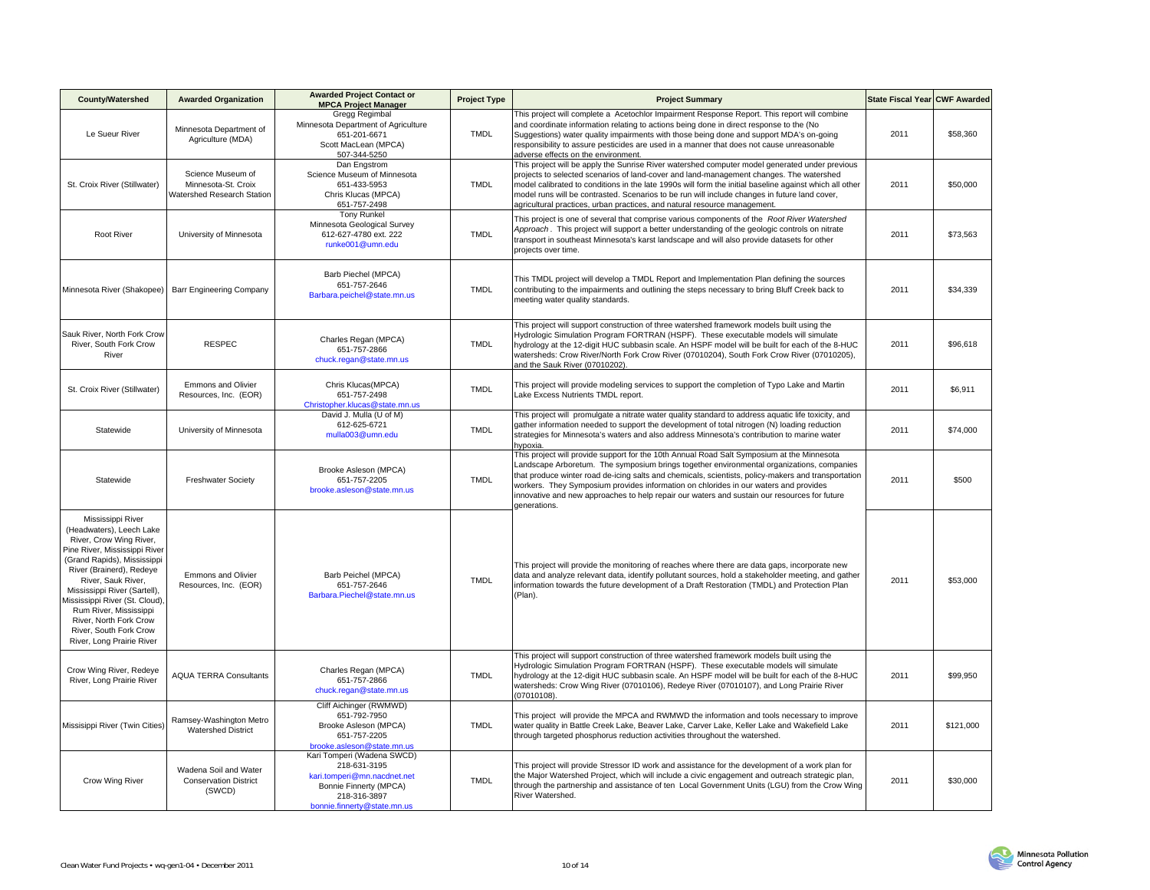| <b>County/Watershed</b>                                                                                                                                                                                                                                                                                                                                                 | <b>Awarded Organization</b>                                            | <b>Awarded Project Contact or</b><br><b>MPCA Project Manager</b>                                                                                   | <b>Project Type</b> | <b>Project Summary</b>                                                                                                                                                                                                                                                                                                                                                                                                                                                                                 | State Fiscal Year CWF Awarded |           |
|-------------------------------------------------------------------------------------------------------------------------------------------------------------------------------------------------------------------------------------------------------------------------------------------------------------------------------------------------------------------------|------------------------------------------------------------------------|----------------------------------------------------------------------------------------------------------------------------------------------------|---------------------|--------------------------------------------------------------------------------------------------------------------------------------------------------------------------------------------------------------------------------------------------------------------------------------------------------------------------------------------------------------------------------------------------------------------------------------------------------------------------------------------------------|-------------------------------|-----------|
| Le Sueur River                                                                                                                                                                                                                                                                                                                                                          | Minnesota Department of<br>Agriculture (MDA)                           | Gregg Regimbal<br>Minnesota Department of Agriculture<br>651-201-6671<br>Scott MacLean (MPCA)<br>507-344-5250                                      | <b>TMDL</b>         | This project will complete a Acetochlor Impairment Response Report. This report will combine<br>and coordinate information relating to actions being done in direct response to the (No<br>Suggestions) water quality impairments with those being done and support MDA's on-going<br>responsibility to assure pesticides are used in a manner that does not cause unreasonable<br>adverse effects on the environment.                                                                                 | 2011                          | \$58,360  |
| St. Croix River (Stillwater)                                                                                                                                                                                                                                                                                                                                            | Science Museum of<br>Minnesota-St. Croix<br>Watershed Research Station | Dan Engstrom<br>Science Museum of Minnesota<br>651-433-5953<br>Chris Klucas (MPCA)<br>651-757-2498                                                 | TMDL                | This project will be apply the Sunrise River watershed computer model generated under previous<br>projects to selected scenarios of land-cover and land-management changes. The watershed<br>model calibrated to conditions in the late 1990s will form the initial baseline against which all other<br>model runs will be contrasted. Scenarios to be run will include changes in future land cover,<br>agricultural practices, urban practices, and natural resource management.                     | 2011                          | \$50,000  |
| <b>Root River</b>                                                                                                                                                                                                                                                                                                                                                       | University of Minnesota                                                | <b>Tony Runkel</b><br>Minnesota Geological Survey<br>612-627-4780 ext. 222<br>runke001@umn.edu                                                     | TMDL                | This project is one of several that comprise various components of the Root River Watershed<br>Approach. This project will support a better understanding of the geologic controls on nitrate<br>transport in southeast Minnesota's karst landscape and will also provide datasets for other<br>projects over time.                                                                                                                                                                                    | 2011                          | \$73,563  |
| Minnesota River (Shakopee)                                                                                                                                                                                                                                                                                                                                              | Barr Engineering Company                                               | Barb Piechel (MPCA)<br>651-757-2646<br>Barbara.peichel@state.mn.us                                                                                 | <b>TMDL</b>         | This TMDL project will develop a TMDL Report and Implementation Plan defining the sources<br>contributing to the impairments and outlining the steps necessary to bring Bluff Creek back to<br>meeting water quality standards.                                                                                                                                                                                                                                                                        | 2011                          | \$34,339  |
| Sauk River, North Fork Crow<br>River, South Fork Crow<br>River                                                                                                                                                                                                                                                                                                          | <b>RESPEC</b>                                                          | Charles Regan (MPCA)<br>651-757-2866<br>chuck.regan@state.mn.us                                                                                    | <b>TMDL</b>         | This project will support construction of three watershed framework models built using the<br>Hydrologic Simulation Program FORTRAN (HSPF). These executable models will simulate<br>hydrology at the 12-digit HUC subbasin scale. An HSPF model will be built for each of the 8-HUC<br>watersheds: Crow River/North Fork Crow River (07010204), South Fork Crow River (07010205),<br>and the Sauk River (07010202).                                                                                   | 2011                          | \$96,618  |
| St. Croix River (Stillwater)                                                                                                                                                                                                                                                                                                                                            | Emmons and Olivier<br>Resources, Inc. (EOR)                            | Chris Klucas(MPCA)<br>651-757-2498<br>Christopher.klucas@state.mn.us                                                                               | <b>TMDL</b>         | This project will provide modeling services to support the completion of Typo Lake and Martin<br>Lake Excess Nutrients TMDL report.                                                                                                                                                                                                                                                                                                                                                                    | 2011                          | \$6,911   |
| Statewide                                                                                                                                                                                                                                                                                                                                                               | University of Minnesota                                                | David J. Mulla (U of M)<br>612-625-6721<br>mulla003@umn.edu                                                                                        | <b>TMDL</b>         | This project will promulgate a nitrate water quality standard to address aquatic life toxicity, and<br>gather information needed to support the development of total nitrogen (N) loading reduction<br>strategies for Minnesota's waters and also address Minnesota's contribution to marine water<br>hypoxia.                                                                                                                                                                                         | 2011                          | \$74,000  |
| Statewide                                                                                                                                                                                                                                                                                                                                                               | <b>Freshwater Society</b>                                              | Brooke Asleson (MPCA)<br>651-757-2205<br>brooke.asleson@state.mn.us                                                                                | <b>TMDL</b>         | This project will provide support for the 10th Annual Road Salt Symposium at the Minnesota<br>Landscape Arboretum. The symposium brings together environmental organizations, companies<br>that produce winter road de-icing salts and chemicals, scientists, policy-makers and transportation<br>workers. They Symposium provides information on chlorides in our waters and provides<br>innovative and new approaches to help repair our waters and sustain our resources for future<br>generations. | 2011                          | \$500     |
| Mississippi River<br>(Headwaters), Leech Lake<br>River, Crow Wing River,<br>Pine River, Mississippi River<br>(Grand Rapids), Mississippi<br>River (Brainerd), Redeye<br>River, Sauk River,<br>Mississippi River (Sartell),<br>Mississippi River (St. Cloud),<br>Rum River, Mississippi<br>River, North Fork Crow<br>River, South Fork Crow<br>River, Long Prairie River | Emmons and Olivier<br>Resources, Inc. (EOR)                            | Barb Peichel (MPCA)<br>651-757-2646<br>Barbara.Piechel@state.mn.us                                                                                 | <b>TMDL</b>         | This project will provide the monitoring of reaches where there are data gaps, incorporate new<br>data and analyze relevant data, identify pollutant sources, hold a stakeholder meeting, and gather<br>information towards the future development of a Draft Restoration (TMDL) and Protection Plan<br>(Plan).                                                                                                                                                                                        | 2011                          | \$53,000  |
| Crow Wing River, Redeye<br>River, Long Prairie River                                                                                                                                                                                                                                                                                                                    | <b>AQUA TERRA Consultants</b>                                          | Charles Regan (MPCA)<br>651-757-2866<br>chuck.regan@state.mn.us                                                                                    | <b>TMDL</b>         | This project will support construction of three watershed framework models built using the<br>Hydrologic Simulation Program FORTRAN (HSPF). These executable models will simulate<br>hydrology at the 12-digit HUC subbasin scale. An HSPF model will be built for each of the 8-HUC<br>watersheds: Crow Wing River (07010106), Redeye River (07010107), and Long Prairie River<br>07010108).                                                                                                          | 2011                          | \$99,950  |
| Missisippi River (Twin Cities)                                                                                                                                                                                                                                                                                                                                          | Ramsey-Washington Metro<br><b>Watershed District</b>                   | Cliff Aichinger (RWMWD)<br>651-792-7950<br>Brooke Asleson (MPCA)<br>651-757-2205<br>brooke.asleson@state.mn.us                                     | <b>TMDL</b>         | This project will provide the MPCA and RWMWD the information and tools necessary to improve<br>water quality in Battle Creek Lake, Beaver Lake, Carver Lake, Keller Lake and Wakefield Lake<br>through targeted phosphorus reduction activities throughout the watershed.                                                                                                                                                                                                                              | 2011                          | \$121,000 |
| Crow Wing River                                                                                                                                                                                                                                                                                                                                                         | Wadena Soil and Water<br><b>Conservation District</b><br>(SWCD)        | Kari Tomperi (Wadena SWCD)<br>218-631-3195<br>kari.tomperi@mn.nacdnet.net<br>Bonnie Finnerty (MPCA)<br>218-316-3897<br>bonnie.finnerty@state.mn.us | <b>TMDL</b>         | This project will provide Stressor ID work and assistance for the development of a work plan for<br>the Major Watershed Project, which will include a civic engagement and outreach strategic plan,<br>through the partnership and assistance of ten Local Government Units (LGU) from the Crow Wing<br>River Watershed.                                                                                                                                                                               | 2011                          | \$30,000  |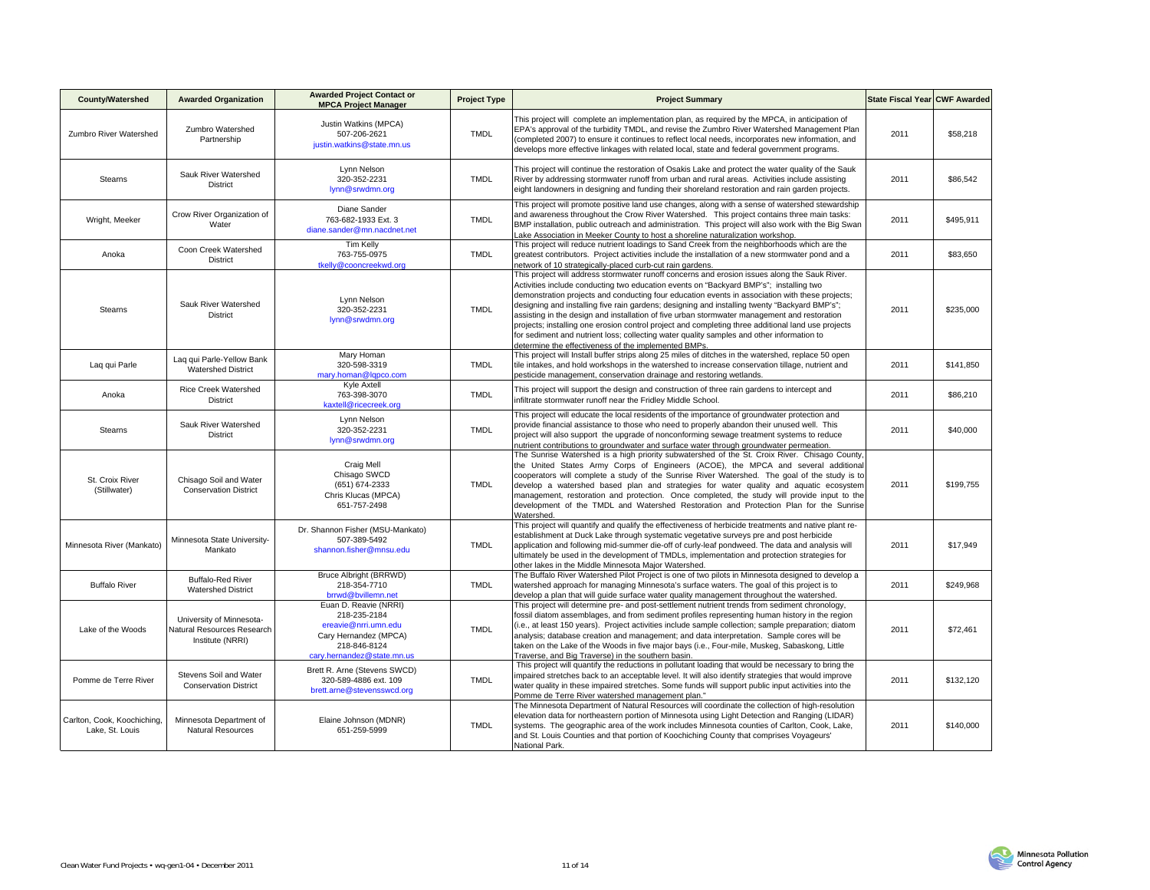| <b>County/Watershed</b>                        | <b>Awarded Organization</b>                                                | <b>Awarded Project Contact or</b><br><b>MPCA Project Manager</b>                                                                     | <b>Project Type</b> | <b>Project Summary</b>                                                                                                                                                                                                                                                                                                                                                                                                                                                                                                                                                                                                                                                                                                                                 | State Fiscal Year CWF Awarded |           |
|------------------------------------------------|----------------------------------------------------------------------------|--------------------------------------------------------------------------------------------------------------------------------------|---------------------|--------------------------------------------------------------------------------------------------------------------------------------------------------------------------------------------------------------------------------------------------------------------------------------------------------------------------------------------------------------------------------------------------------------------------------------------------------------------------------------------------------------------------------------------------------------------------------------------------------------------------------------------------------------------------------------------------------------------------------------------------------|-------------------------------|-----------|
| Zumbro River Watershed                         | Zumbro Watershed<br>Partnership                                            | Justin Watkins (MPCA)<br>507-206-2621<br>justin.watkins@state.mn.us                                                                  | <b>TMDL</b>         | This project will complete an implementation plan, as required by the MPCA, in anticipation of<br>EPA's approval of the turbidity TMDL, and revise the Zumbro River Watershed Management Plan<br>(completed 2007) to ensure it continues to reflect local needs, incorporates new information, and<br>develops more effective linkages with related local, state and federal government programs.                                                                                                                                                                                                                                                                                                                                                      | 2011                          | \$58,218  |
| <b>Stearns</b>                                 | Sauk River Watershed<br>District                                           | Lynn Nelson<br>320-352-2231<br>lynn@srwdmn.org                                                                                       | <b>TMDL</b>         | This project will continue the restoration of Osakis Lake and protect the water quality of the Sauk<br>River by addressing stormwater runoff from urban and rural areas. Activities include assisting<br>eight landowners in designing and funding their shoreland restoration and rain garden projects.                                                                                                                                                                                                                                                                                                                                                                                                                                               | 2011                          | \$86,542  |
| Wright, Meeker                                 | Crow River Organization of<br>Water                                        | Diane Sander<br>763-682-1933 Ext. 3<br>diane.sander@mn.nacdnet.net                                                                   | TMDL                | This project will promote positive land use changes, along with a sense of watershed stewardship<br>and awareness throughout the Crow River Watershed. This project contains three main tasks:<br>BMP installation, public outreach and administration. This project will also work with the Big Swan<br>Lake Association in Meeker County to host a shoreline naturalization workshop.                                                                                                                                                                                                                                                                                                                                                                | 2011                          | \$495.911 |
| Anoka                                          | Coon Creek Watershed<br><b>District</b>                                    | <b>Tim Kelly</b><br>763-755-0975<br>tkelly@cooncreekwd.org                                                                           | TMDL                | This project will reduce nutrient loadings to Sand Creek from the neighborhoods which are the<br>greatest contributors. Project activities include the installation of a new stormwater pond and a<br>network of 10 strategically-placed curb-cut rain gardens.                                                                                                                                                                                                                                                                                                                                                                                                                                                                                        | 2011                          | \$83,650  |
| <b>Stearns</b>                                 | Sauk River Watershed<br>District                                           | Lynn Nelson<br>320-352-2231<br>lynn@srwdmn.org                                                                                       | <b>TMDL</b>         | This project will address stormwater runoff concerns and erosion issues along the Sauk River.<br>Activities include conducting two education events on "Backyard BMP's"; installing two<br>demonstration projects and conducting four education events in association with these projects;<br>designing and installing five rain gardens; designing and installing twenty "Backyard BMP's";<br>assisting in the design and installation of five urban stormwater management and restoration<br>projects; installing one erosion control project and completing three additional land use projects<br>for sediment and nutrient loss; collecting water quality samples and other information to<br>determine the effectiveness of the implemented BMPs. | 2011                          | \$235.000 |
| Lag qui Parle                                  | Lag qui Parle-Yellow Bank<br><b>Watershed District</b>                     | Mary Homan<br>320-598-3319<br>mary.homan@lqpco.com                                                                                   | <b>TMDL</b>         | This project will Install buffer strips along 25 miles of ditches in the watershed, replace 50 open<br>tile intakes, and hold workshops in the watershed to increase conservation tillage, nutrient and<br>pesticide management, conservation drainage and restoring wetlands.                                                                                                                                                                                                                                                                                                                                                                                                                                                                         | 2011                          | \$141,850 |
| Anoka                                          | Rice Creek Watershed<br><b>District</b>                                    | Kyle Axtell<br>763-398-3070<br>kaxtell@ricecreek.org                                                                                 | <b>TMDL</b>         | This project will support the design and construction of three rain gardens to intercept and<br>infiltrate stormwater runoff near the Fridley Middle School.                                                                                                                                                                                                                                                                                                                                                                                                                                                                                                                                                                                           | 2011                          | \$86,210  |
| <b>Stearns</b>                                 | Sauk River Watershed<br><b>District</b>                                    | Lynn Nelson<br>320-352-2231<br>lynn@srwdmn.org                                                                                       | <b>TMDL</b>         | This project will educate the local residents of the importance of groundwater protection and<br>provide financial assistance to those who need to properly abandon their unused well. This<br>project will also support the upgrade of nonconforming sewage treatment systems to reduce<br>nutrient contributions to groundwater and surface water through groundwater permeation.                                                                                                                                                                                                                                                                                                                                                                    | 2011                          | \$40,000  |
| St. Croix River<br>(Stillwater)                | Chisago Soil and Water<br><b>Conservation District</b>                     | Craig Mell<br>Chisago SWCD<br>(651) 674-2333<br>Chris Klucas (MPCA)<br>651-757-2498                                                  | <b>TMDL</b>         | The Sunrise Watershed is a high priority subwatershed of the St. Croix River. Chisago County,<br>the United States Army Corps of Engineers (ACOE), the MPCA and several additional<br>cooperators will complete a study of the Sunrise River Watershed. The goal of the study is to<br>develop a watershed based plan and strategies for water quality and aquatic ecosystem<br>management, restoration and protection. Once completed, the study will provide input to the<br>development of the TMDL and Watershed Restoration and Protection Plan for the Sunrise<br>Watershed.                                                                                                                                                                     | 2011                          | \$199,755 |
| Minnesota River (Mankato)                      | Minnesota State University-<br>Mankato                                     | Dr. Shannon Fisher (MSU-Mankato)<br>507-389-5492<br>shannon.fisher@mnsu.edu                                                          | <b>TMDL</b>         | This project will quantify and qualify the effectiveness of herbicide treatments and native plant re-<br>establishment at Duck Lake through systematic vegetative surveys pre and post herbicide<br>application and following mid-summer die-off of curly-leaf pondweed. The data and analysis will<br>ultimately be used in the development of TMDLs, implementation and protection strategies for<br>other lakes in the Middle Minnesota Maior Watershed.                                                                                                                                                                                                                                                                                            | 2011                          | \$17,949  |
| <b>Buffalo River</b>                           | <b>Buffalo-Red River</b><br><b>Watershed District</b>                      | Bruce Albright (BRRWD)<br>218-354-7710<br>brrwd@bvillemn.net                                                                         | <b>TMDL</b>         | The Buffalo River Watershed Pilot Project is one of two pilots in Minnesota designed to develop a<br>watershed approach for managing Minnesota's surface waters. The goal of this project is to<br>develop a plan that will quide surface water quality management throughout the watershed.                                                                                                                                                                                                                                                                                                                                                                                                                                                           | 2011                          | \$249,968 |
| Lake of the Woods                              | University of Minnesota-<br>Natural Resources Research<br>Institute (NRRI) | Euan D. Reavie (NRRI)<br>218-235-2184<br>ereavie@nrri.umn.edu<br>Cary Hernandez (MPCA)<br>218-846-8124<br>carv.hernandez@state.mn.us | TMDL                | This project will determine pre- and post-settlement nutrient trends from sediment chronology,<br>fossil diatom assemblages, and from sediment profiles representing human history in the region<br>(i.e., at least 150 years). Project activities include sample collection; sample preparation; diatom<br>analysis; database creation and management; and data interpretation. Sample cores will be<br>taken on the Lake of the Woods in five major bays (i.e., Four-mile, Muskeg, Sabaskong, Little<br>Traverse, and Big Traverse) in the southern basin.                                                                                                                                                                                           | 2011                          | \$72.461  |
| Pomme de Terre River                           | Stevens Soil and Water<br><b>Conservation District</b>                     | Brett R. Arne (Stevens SWCD)<br>320-589-4886 ext. 109<br>brett.arne@stevensswcd.org                                                  | <b>TMDL</b>         | This project will quantify the reductions in pollutant loading that would be necessary to bring the<br>impaired stretches back to an acceptable level. It will also identify strategies that would improve<br>water quality in these impaired stretches. Some funds will support public input activities into the<br>Pomme de Terre River watershed management plan."                                                                                                                                                                                                                                                                                                                                                                                  | 2011                          | \$132,120 |
| Carlton, Cook, Koochiching,<br>Lake, St. Louis | Minnesota Department of<br>Natural Resources                               | Elaine Johnson (MDNR)<br>651-259-5999                                                                                                | <b>TMDL</b>         | The Minnesota Department of Natural Resources will coordinate the collection of high-resolution<br>elevation data for northeastern portion of Minnesota using Light Detection and Ranging (LIDAR)<br>systems. The geographic area of the work includes Minnesota counties of Carlton, Cook, Lake,<br>and St. Louis Counties and that portion of Koochiching County that comprises Voyageurs'<br>National Park.                                                                                                                                                                                                                                                                                                                                         | 2011                          | \$140,000 |

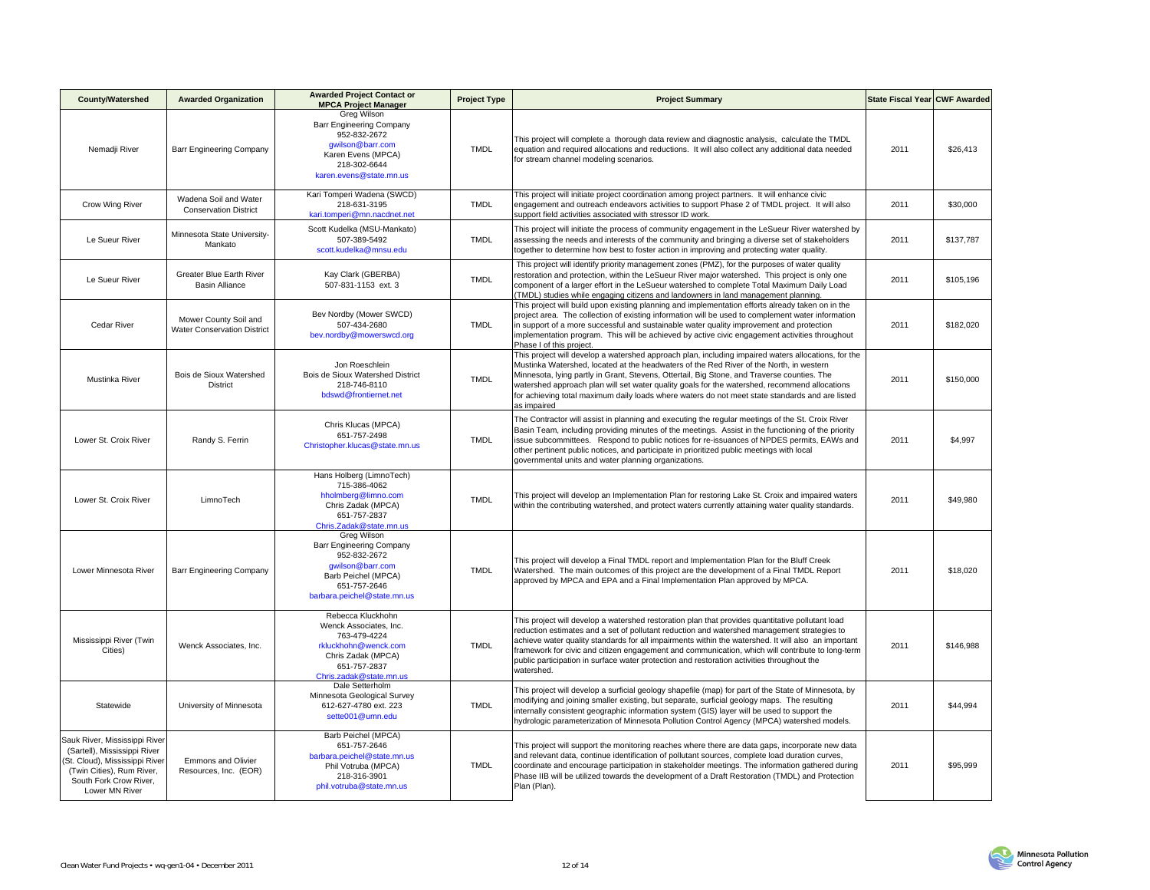| <b>County/Watershed</b>                                                                                                                                                 | <b>Awarded Organization</b>                                 | <b>Awarded Project Contact or</b><br><b>MPCA Project Manager</b>                                                                                         | <b>Project Type</b> | <b>Project Summary</b>                                                                                                                                                                                                                                                                                                                                                                                                                                                                                                 | State Fiscal Year CWF Awarded |           |
|-------------------------------------------------------------------------------------------------------------------------------------------------------------------------|-------------------------------------------------------------|----------------------------------------------------------------------------------------------------------------------------------------------------------|---------------------|------------------------------------------------------------------------------------------------------------------------------------------------------------------------------------------------------------------------------------------------------------------------------------------------------------------------------------------------------------------------------------------------------------------------------------------------------------------------------------------------------------------------|-------------------------------|-----------|
| Nemadji River                                                                                                                                                           | Barr Engineering Company                                    | Greg Wilson<br><b>Barr Engineering Company</b><br>952-832-2672<br>gwilson@barr.com<br>Karen Evens (MPCA)<br>218-302-6644<br>karen.evens@state.mn.us      | <b>TMDL</b>         | This project will complete a thorough data review and diagnostic analysis, calculate the TMDL<br>equation and required allocations and reductions. It will also collect any additional data needed<br>for stream channel modeling scenarios.                                                                                                                                                                                                                                                                           | 2011                          | \$26,413  |
| Crow Wing River                                                                                                                                                         | Wadena Soil and Water<br><b>Conservation District</b>       | Kari Tomperi Wadena (SWCD)<br>218-631-3195<br>kari.tomperi@mn.nacdnet.net                                                                                | <b>TMDL</b>         | This project will initiate project coordination among project partners. It will enhance civic<br>engagement and outreach endeavors activities to support Phase 2 of TMDL project. It will also<br>support field activities associated with stressor ID work.                                                                                                                                                                                                                                                           | 2011                          | \$30,000  |
| Le Sueur River                                                                                                                                                          | Minnesota State University-<br>Mankato                      | Scott Kudelka (MSU-Mankato)<br>507-389-5492<br>scott.kudelka@mnsu.edu                                                                                    | <b>TMDL</b>         | This project will initiate the process of community engagement in the LeSueur River watershed by<br>assessing the needs and interests of the community and bringing a diverse set of stakeholders<br>together to determine how best to foster action in improving and protecting water quality.                                                                                                                                                                                                                        | 2011                          | \$137,787 |
| Le Sueur River                                                                                                                                                          | <b>Greater Blue Earth River</b><br><b>Basin Alliance</b>    | Kay Clark (GBERBA)<br>507-831-1153 ext. 3                                                                                                                | <b>TMDL</b>         | This project will identify priority management zones (PMZ), for the purposes of water quality<br>restoration and protection, within the LeSueur River major watershed. This project is only one<br>component of a larger effort in the LeSueur watershed to complete Total Maximum Daily Load<br>(TMDL) studies while engaging citizens and landowners in land management planning.                                                                                                                                    | 2011                          | \$105.196 |
| Cedar River                                                                                                                                                             | Mower County Soil and<br><b>Water Conservation District</b> | Bev Nordby (Mower SWCD)<br>507-434-2680<br>bev.nordby@mowerswcd.org                                                                                      | <b>TMDL</b>         | This project will build upon existing planning and implementation efforts already taken on in the<br>project area. The collection of existing information will be used to complement water information<br>in support of a more successful and sustainable water quality improvement and protection<br>implementation program. This will be achieved by active civic engagement activities throughout<br>Phase I of this project.                                                                                       | 2011                          | \$182,020 |
| Mustinka River                                                                                                                                                          | Bois de Sioux Watershed<br><b>District</b>                  | Jon Roeschlein<br>Bois de Sioux Watershed District<br>218-746-8110<br>bdswd@frontiernet.net                                                              | <b>TMDL</b>         | This project will develop a watershed approach plan, including impaired waters allocations, for the<br>Mustinka Watershed, located at the headwaters of the Red River of the North, in western<br>Minnesota, lying partly in Grant, Stevens, Ottertail, Big Stone, and Traverse counties. The<br>watershed approach plan will set water quality goals for the watershed, recommend allocations<br>for achieving total maximum daily loads where waters do not meet state standards and are listed<br>as impaired       | 2011                          | \$150,000 |
| Lower St. Croix River                                                                                                                                                   | Randy S. Ferrin                                             | Chris Klucas (MPCA)<br>651-757-2498<br>Christopher.klucas@state.mn.us                                                                                    | <b>TMDL</b>         | The Contractor will assist in planning and executing the regular meetings of the St. Croix River<br>Basin Team, including providing minutes of the meetings. Assist in the functioning of the priority<br>issue subcommittees. Respond to public notices for re-issuances of NPDES permits, EAWs and<br>other pertinent public notices, and participate in prioritized public meetings with local<br>governmental units and water planning organizations.                                                              | 2011                          | \$4,997   |
| Lower St. Croix River                                                                                                                                                   | LimnoTech                                                   | Hans Holberg (LimnoTech)<br>715-386-4062<br>hholmberg@limno.com<br>Chris Zadak (MPCA)<br>651-757-2837<br>Chris.Zadak@state.mn.us                         | <b>TMDL</b>         | This project will develop an Implementation Plan for restoring Lake St. Croix and impaired waters<br>within the contributing watershed, and protect waters currently attaining water quality standards.                                                                                                                                                                                                                                                                                                                | 2011                          | \$49,980  |
| Lower Minnesota River                                                                                                                                                   | Barr Engineering Company                                    | Greg Wilson<br><b>Barr Engineering Company</b><br>952-832-2672<br>qwilson@barr.com<br>Barb Peichel (MPCA)<br>651-757-2646<br>barbara.peichel@state.mn.us | <b>TMDL</b>         | This project will develop a Final TMDL report and Implementation Plan for the Bluff Creek<br>Watershed. The main outcomes of this project are the development of a Final TMDL Report<br>approved by MPCA and EPA and a Final Implementation Plan approved by MPCA.                                                                                                                                                                                                                                                     | 2011                          | \$18,020  |
| Mississippi River (Twin<br>Cities)                                                                                                                                      | Wenck Associates, Inc.                                      | Rebecca Kluckhohn<br>Wenck Associates, Inc.<br>763-479-4224<br>rkluckhohn@wenck.com<br>Chris Zadak (MPCA)<br>651-757-2837<br>Chris.zadak@state.mn.us     | <b>TMDL</b>         | This project will develop a watershed restoration plan that provides quantitative pollutant load<br>reduction estimates and a set of pollutant reduction and watershed management strategies to<br>achieve water quality standards for all impairments within the watershed. It will also an important<br>framework for civic and citizen engagement and communication, which will contribute to long-term<br>public participation in surface water protection and restoration activities throughout the<br>watershed. | 2011                          | \$146,988 |
| Statewide                                                                                                                                                               | University of Minnesota                                     | Dale Setterholm<br>Minnesota Geological Survey<br>612-627-4780 ext. 223<br>sette001@umn.edu                                                              | <b>TMDL</b>         | This project will develop a surficial geology shapefile (map) for part of the State of Minnesota, by<br>modifying and joining smaller existing, but separate, surficial geology maps. The resulting<br>internally consistent geographic information system (GIS) layer will be used to support the<br>hydrologic parameterization of Minnesota Pollution Control Agency (MPCA) watershed models.                                                                                                                       | 2011                          | \$44,994  |
| Sauk River, Mississippi River<br>(Sartell), Mississippi River<br>St. Cloud), Mississippi River<br>(Twin Cities), Rum River,<br>South Fork Crow River,<br>Lower MN River | <b>Emmons and Olivier</b><br>Resources, Inc. (EOR)          | Barb Peichel (MPCA)<br>651-757-2646<br>barbara.peichel@state.mn.us<br>Phil Votruba (MPCA)<br>218-316-3901<br>phil.votruba@state.mn.us                    | <b>TMDL</b>         | This project will support the monitoring reaches where there are data gaps, incorporate new data<br>and relevant data, continue identification of pollutant sources, complete load duration curves,<br>coordinate and encourage participation in stakeholder meetings. The information gathered during<br>Phase IIB will be utilized towards the development of a Draft Restoration (TMDL) and Protection<br>Plan (Plan).                                                                                              | 2011                          | \$95,999  |

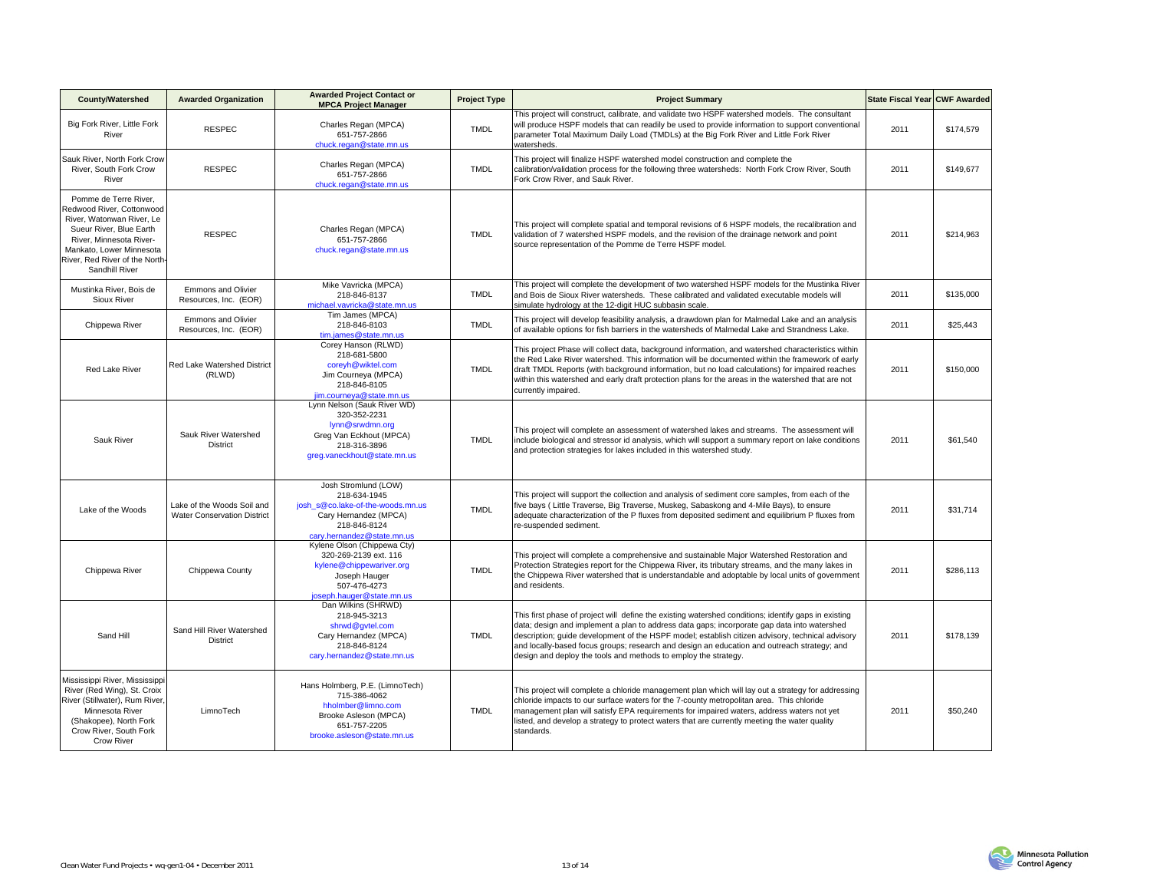| <b>County/Watershed</b>                                                                                                                                                                                               | <b>Awarded Organization</b>                                      | <b>Awarded Project Contact or</b><br><b>MPCA Project Manager</b>                                                                                 | <b>Project Type</b> | <b>Project Summary</b>                                                                                                                                                                                                                                                                                                                                                                                                                                                    | State Fiscal Year CWF Awarded |           |
|-----------------------------------------------------------------------------------------------------------------------------------------------------------------------------------------------------------------------|------------------------------------------------------------------|--------------------------------------------------------------------------------------------------------------------------------------------------|---------------------|---------------------------------------------------------------------------------------------------------------------------------------------------------------------------------------------------------------------------------------------------------------------------------------------------------------------------------------------------------------------------------------------------------------------------------------------------------------------------|-------------------------------|-----------|
| Big Fork River, Little Fork<br>River                                                                                                                                                                                  | <b>RESPEC</b>                                                    | Charles Regan (MPCA)<br>651-757-2866<br>chuck.regan@state.mn.us                                                                                  | <b>TMDL</b>         | This project will construct, calibrate, and validate two HSPF watershed models. The consultant<br>will produce HSPF models that can readily be used to provide information to support conventional<br>parameter Total Maximum Daily Load (TMDLs) at the Big Fork River and Little Fork River<br>watersheds.                                                                                                                                                               | 2011                          | \$174,579 |
| Sauk River, North Fork Crow<br>River, South Fork Crow<br>River                                                                                                                                                        | <b>RESPEC</b>                                                    | Charles Regan (MPCA)<br>651-757-2866<br>chuck.regan@state.mn.us                                                                                  | <b>TMDL</b>         | This project will finalize HSPF watershed model construction and complete the<br>calibration/validation process for the following three watersheds: North Fork Crow River, South<br>Fork Crow River, and Sauk River.                                                                                                                                                                                                                                                      | 2011                          | \$149,677 |
| Pomme de Terre River,<br>Redwood River, Cottonwood<br>River, Watonwan River, Le<br>Sueur River, Blue Earth<br>River, Minnesota River-<br>Mankato, Lower Minnesota<br>River, Red River of the North-<br>Sandhill River | <b>RESPEC</b>                                                    | Charles Regan (MPCA)<br>651-757-2866<br>chuck.regan@state.mn.us                                                                                  | <b>TMDL</b>         | This project will complete spatial and temporal revisions of 6 HSPF models, the recalibration and<br>validation of 7 watershed HSPF models, and the revision of the drainage network and point<br>source representation of the Pomme de Terre HSPF model.                                                                                                                                                                                                                 | 2011                          | \$214,963 |
| Mustinka River, Bois de<br>Sioux River                                                                                                                                                                                | Emmons and Olivier<br>Resources, Inc. (EOR)                      | Mike Vavricka (MPCA)<br>218-846-8137<br>michael.vavricka@state.mn.us                                                                             | <b>TMDL</b>         | This project will complete the development of two watershed HSPF models for the Mustinka River<br>and Bois de Sioux River watersheds. These calibrated and validated executable models will<br>simulate hydrology at the 12-digit HUC subbasin scale.                                                                                                                                                                                                                     | 2011                          | \$135,000 |
| Chippewa River                                                                                                                                                                                                        | Emmons and Olivier<br>Resources, Inc. (EOR)                      | Tim James (MPCA)<br>218-846-8103<br>tim.james@state.mn.us                                                                                        | <b>TMDL</b>         | This project will develop feasibility analysis, a drawdown plan for Malmedal Lake and an analysis<br>of available options for fish barriers in the watersheds of Malmedal Lake and Strandness Lake.                                                                                                                                                                                                                                                                       | 2011                          | \$25,443  |
| Red Lake River                                                                                                                                                                                                        | Red Lake Watershed District<br>(RLWD)                            | Corey Hanson (RLWD)<br>218-681-5800<br>coreyh@wiktel.com<br>Jim Courneya (MPCA)<br>218-846-8105<br>jim.courneya@state.mn.us                      | <b>TMDL</b>         | This project Phase will collect data, background information, and watershed characteristics within<br>the Red Lake River watershed. This information will be documented within the framework of early<br>draft TMDL Reports (with background information, but no load calculations) for impaired reaches<br>within this watershed and early draft protection plans for the areas in the watershed that are not<br>currently impaired.                                     | 2011                          | \$150,000 |
| Sauk River                                                                                                                                                                                                            | Sauk River Watershed<br><b>District</b>                          | Lynn Nelson (Sauk River WD)<br>320-352-2231<br>lynn@srwdmn.org<br>Greg Van Eckhout (MPCA)<br>218-316-3896<br>greg.vaneckhout@state.mn.us         | <b>TMDL</b>         | This project will complete an assessment of watershed lakes and streams. The assessment will<br>include biological and stressor id analysis, which will support a summary report on lake conditions<br>and protection strategies for lakes included in this watershed study.                                                                                                                                                                                              | 2011                          | \$61,540  |
| Lake of the Woods                                                                                                                                                                                                     | Lake of the Woods Soil and<br><b>Water Conservation District</b> | Josh Stromlund (LOW)<br>218-634-1945<br>josh s@co.lake-of-the-woods.mn.us<br>Cary Hernandez (MPCA)<br>218-846-8124<br>cary.hernandez@state.mn.us | <b>TMDL</b>         | This project will support the collection and analysis of sediment core samples, from each of the<br>five bays ( Little Traverse, Big Traverse, Muskeg, Sabaskong and 4-Mile Bays), to ensure<br>adequate characterization of the P fluxes from deposited sediment and equilibrium P fluxes from<br>re-suspended sediment.                                                                                                                                                 | 2011                          | \$31,714  |
| Chippewa River                                                                                                                                                                                                        | Chippewa County                                                  | Kylene Olson (Chippewa Cty)<br>320-269-2139 ext. 116<br>kylene@chippewariver.org<br>Joseph Hauger<br>507-476-4273<br>joseph.hauger@state.mn.us   | <b>TMDL</b>         | This project will complete a comprehensive and sustainable Major Watershed Restoration and<br>Protection Strategies report for the Chippewa River, its tributary streams, and the many lakes in<br>the Chippewa River watershed that is understandable and adoptable by local units of government<br>and residents.                                                                                                                                                       | 2011                          | \$286,113 |
| Sand Hill                                                                                                                                                                                                             | Sand Hill River Watershed<br><b>District</b>                     | Dan Wilkins (SHRWD)<br>218-945-3213<br>shrwd@gvtel.com<br>Cary Hernandez (MPCA)<br>218-846-8124<br>cary.hernandez@state.mn.us                    | <b>TMDL</b>         | This first phase of project will define the existing watershed conditions; identify gaps in existing<br>data; design and implement a plan to address data gaps; incorporate gap data into watershed<br>description; quide development of the HSPF model; establish citizen advisory, technical advisory<br>and locally-based focus groups; research and design an education and outreach strategy; and<br>design and deploy the tools and methods to employ the strategy. | 2011                          | \$178,139 |
| Mississippi River, Mississippi<br>River (Red Wing), St. Croix<br>River (Stillwater), Rum River<br>Minnesota River<br>(Shakopee), North Fork<br>Crow River, South Fork<br><b>Crow River</b>                            | LimnoTech                                                        | Hans Holmberg, P.E. (LimnoTech)<br>715-386-4062<br>hholmber@limno.com<br>Brooke Asleson (MPCA)<br>651-757-2205<br>brooke.asleson@state.mn.us     | <b>TMDL</b>         | This project will complete a chloride management plan which will lay out a strategy for addressing<br>chloride impacts to our surface waters for the 7-county metropolitan area. This chloride<br>management plan will satisfy EPA requirements for impaired waters, address waters not yet<br>listed, and develop a strategy to protect waters that are currently meeting the water quality<br>standards.                                                                | 2011                          | \$50,240  |

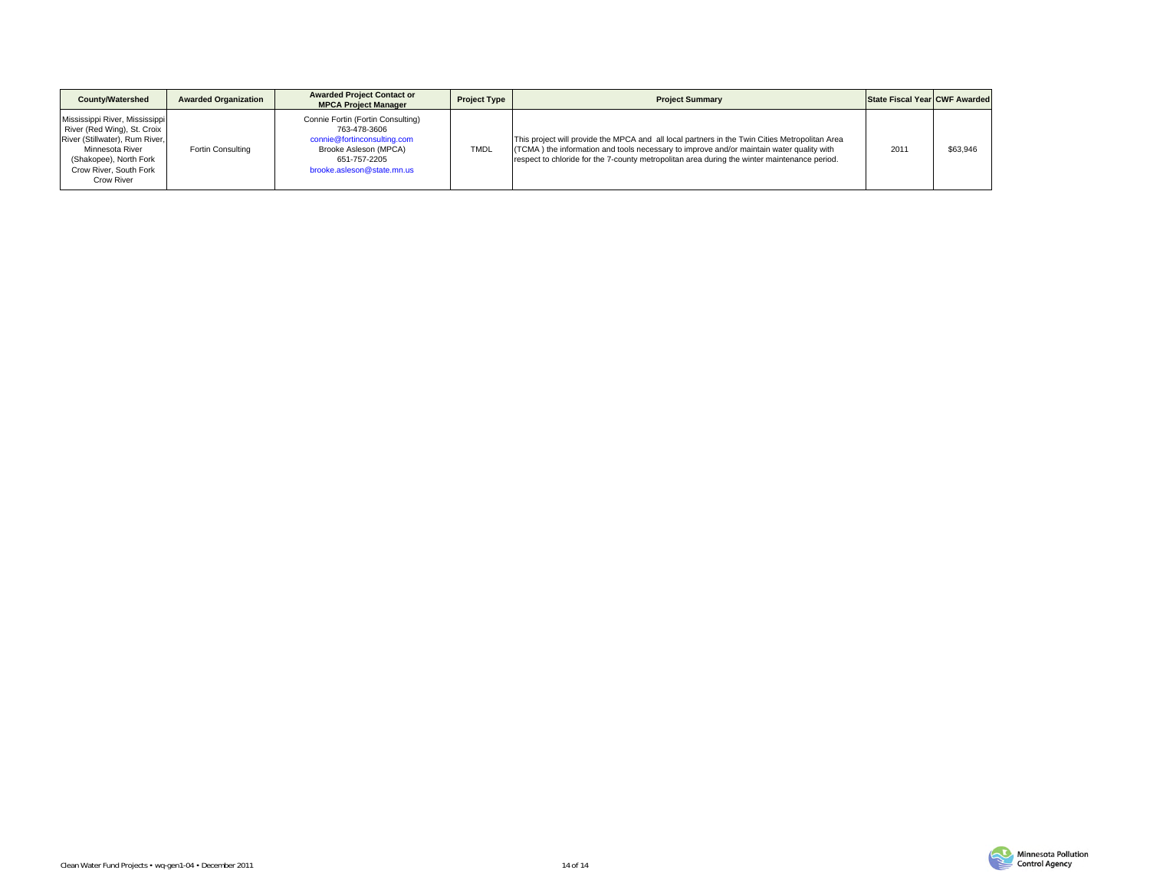| <b>County/Watershed</b>                                                                                                                                                                     | <b>Awarded Organization</b> | <b>Awarded Project Contact or</b><br><b>MPCA Project Manager</b>                                                                                        | <b>Project Type</b> | <b>Project Summary</b>                                                                                                                                                                                                                                                                     | <b>State Fiscal Year CWF Awarded</b> |          |
|---------------------------------------------------------------------------------------------------------------------------------------------------------------------------------------------|-----------------------------|---------------------------------------------------------------------------------------------------------------------------------------------------------|---------------------|--------------------------------------------------------------------------------------------------------------------------------------------------------------------------------------------------------------------------------------------------------------------------------------------|--------------------------------------|----------|
| Mississippi River, Mississippi<br>River (Red Wing), St. Croix<br>River (Stillwater), Rum River,<br>Minnesota River<br>(Shakopee), North Fork<br>Crow River, South Fork<br><b>Crow River</b> | Fortin Consulting           | Connie Fortin (Fortin Consulting)<br>763-478-3606<br>connie@fortinconsulting.com<br>Brooke Asleson (MPCA)<br>651-757-2205<br>brooke.asleson@state.mn.us | <b>TMDL</b>         | This project will provide the MPCA and all local partners in the Twin Cities Metropolitan Area<br>(TCMA) the information and tools necessary to improve and/or maintain water quality with<br>respect to chloride for the 7-county metropolitan area during the winter maintenance period. | 2011                                 | \$63,946 |

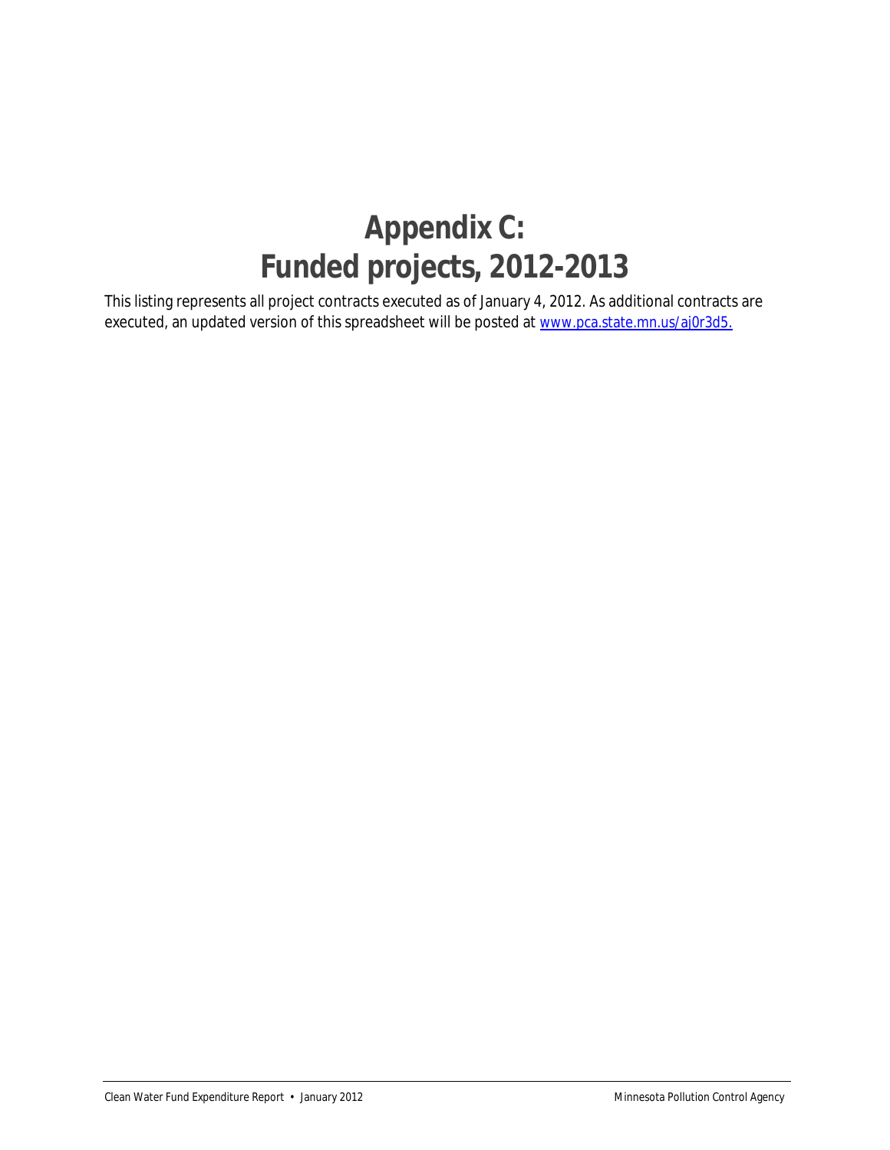### **Appendix C: Funded projects, 2012-2013**

executed, an updated version of this spreadsheet will be posted at www.pca.state.mn.us/aj0r3d5. This listing represents all project contracts executed as of January 4, 2012. As additional contracts are executed, an updated version of this spreadsheet will be posted at <u>www.pca.state.mn.us/aj0r3d5.</u><br>Clean Water Fund Expenditure Report • January 2012<br>Clean Water Fund Expenditure Report • January 2012